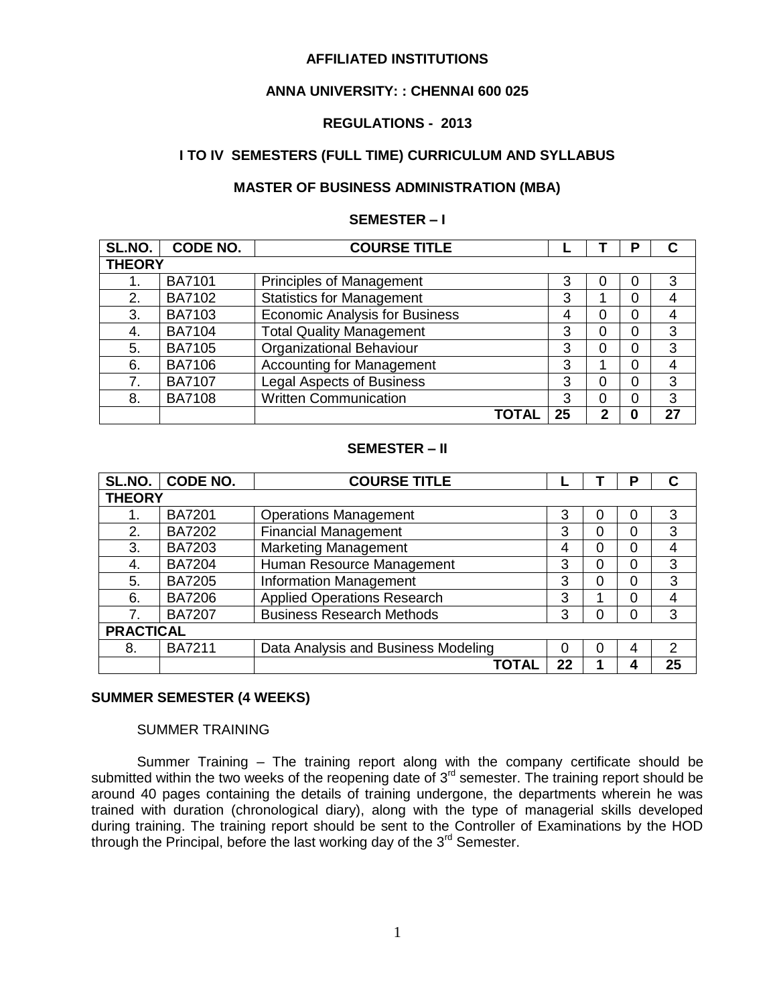#### **AFFILIATED INSTITUTIONS**

#### **ANNA UNIVERSITY: : CHENNAI 600 025**

#### **REGULATIONS - 2013**

#### **I TO IV SEMESTERS (FULL TIME) CURRICULUM AND SYLLABUS**

#### **MASTER OF BUSINESS ADMINISTRATION (MBA)**

#### **SEMESTER – I**

| SL.NO.        | <b>CODE NO.</b> | <b>COURSE TITLE</b>                   |       |    |   | D |    |
|---------------|-----------------|---------------------------------------|-------|----|---|---|----|
| <b>THEORY</b> |                 |                                       |       |    |   |   |    |
|               | <b>BA7101</b>   | <b>Principles of Management</b>       |       | 3  |   | O | 3  |
| 2.            | <b>BA7102</b>   | <b>Statistics for Management</b>      |       | 3  |   |   | 4  |
| 3.            | <b>BA7103</b>   | <b>Economic Analysis for Business</b> |       | 4  |   |   | 4  |
| 4.            | <b>BA7104</b>   | <b>Total Quality Management</b>       |       | 3  |   |   | 3  |
| 5.            | <b>BA7105</b>   | <b>Organizational Behaviour</b>       |       | 3  | 0 | ი | 3  |
| 6.            | <b>BA7106</b>   | <b>Accounting for Management</b>      |       | 3  |   |   | 4  |
| 7.            | <b>BA7107</b>   | <b>Legal Aspects of Business</b>      |       | 3  |   |   | 3  |
| 8.            | <b>BA7108</b>   | <b>Written Communication</b>          |       | 3  | 0 |   | 3  |
|               |                 |                                       | ΤΟΤΑΙ | 25 | າ |   | 27 |

#### **SEMESTER – II**

| SL.NO.           | <b>CODE NO.</b> | <b>COURSE TITLE</b>                 |    |   | Р | C  |
|------------------|-----------------|-------------------------------------|----|---|---|----|
|                  | <b>THEORY</b>   |                                     |    |   |   |    |
|                  | <b>BA7201</b>   | <b>Operations Management</b>        | 3  | 0 | 0 | 3  |
| 2.               | <b>BA7202</b>   | <b>Financial Management</b>         | 3  | 0 | 0 | 3  |
| 3.               | <b>BA7203</b>   | <b>Marketing Management</b>         | 4  | 0 | 0 | 4  |
| 4.               | <b>BA7204</b>   | Human Resource Management           | 3  | 0 | 0 | 3  |
| 5.               | <b>BA7205</b>   | <b>Information Management</b>       | 3  | 0 | 0 | 3  |
| 6.               | <b>BA7206</b>   | <b>Applied Operations Research</b>  | 3  | 4 | 0 | 4  |
| $\overline{7}$   | <b>BA7207</b>   | <b>Business Research Methods</b>    | 3  | 0 |   | 3  |
| <b>PRACTICAL</b> |                 |                                     |    |   |   |    |
| 8.               | <b>BA7211</b>   | Data Analysis and Business Modeling | 0  | 0 | 4 | 2  |
|                  |                 | ΤΟΤΑΙ                               | 22 |   |   | 25 |

### **SUMMER SEMESTER (4 WEEKS)**

#### SUMMER TRAINING

Summer Training – The training report along with the company certificate should be submitted within the two weeks of the reopening date of  $3<sup>rd</sup>$  semester. The training report should be around 40 pages containing the details of training undergone, the departments wherein he was trained with duration (chronological diary), along with the type of managerial skills developed during training. The training report should be sent to the Controller of Examinations by the HOD through the Principal, before the last working day of the  $3<sup>rd</sup>$  Semester.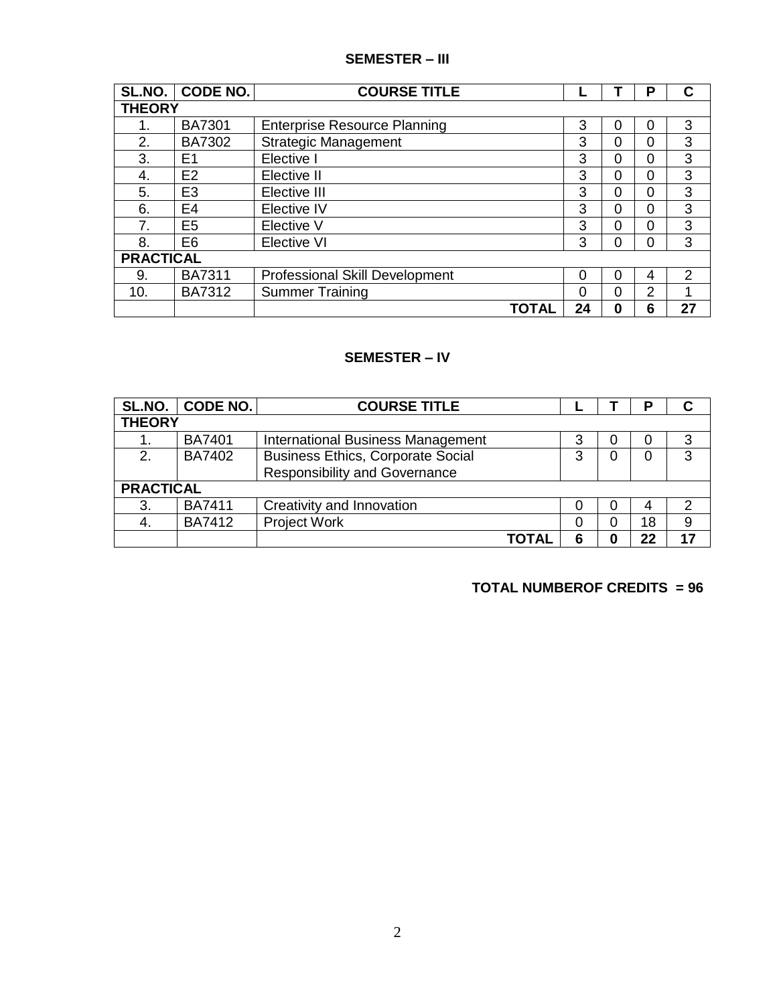### **SEMESTER – III**

| SL.NO.           | CODE NO.       | <b>COURSE TITLE</b>                   |    |   | Р |               |
|------------------|----------------|---------------------------------------|----|---|---|---------------|
| <b>THEORY</b>    |                |                                       |    |   |   |               |
|                  | <b>BA7301</b>  | <b>Enterprise Resource Planning</b>   | 3  | 0 | 0 | 3             |
| 2.               | <b>BA7302</b>  | <b>Strategic Management</b>           | 3  | 0 | 0 | 3             |
| 3.               | E1             | Elective I                            | 3  | 0 | 0 | 3             |
| 4.               | E <sub>2</sub> | Elective II                           | 3  | 0 | 0 | 3             |
| 5.               | E <sub>3</sub> | Elective III                          | 3  | 0 | 0 | 3             |
| 6.               | E <sub>4</sub> | Elective IV                           | 3  | 0 | 0 | 3             |
| 7.               | E <sub>5</sub> | Elective V                            | 3  | 0 | 0 | 3             |
| 8.               | E <sub>6</sub> | <b>Elective VI</b>                    | 3  | ი | 0 | 3             |
| <b>PRACTICAL</b> |                |                                       |    |   |   |               |
| 9.               | <b>BA7311</b>  | <b>Professional Skill Development</b> | 0  | O | 4 | $\mathcal{P}$ |
| 10.              | <b>BA7312</b>  | <b>Summer Training</b>                | 0  | ი | 2 |               |
|                  |                | TOTAL                                 | 24 | O | 6 | 27            |

#### **SEMESTER – IV**

| SL.NO.           | CODE NO.      | <b>COURSE TITLE</b>                      |   |   | О  |   |
|------------------|---------------|------------------------------------------|---|---|----|---|
| <b>THEORY</b>    |               |                                          |   |   |    |   |
|                  | <b>BA7401</b> | International Business Management        | 3 | U |    |   |
| 2.               | <b>BA7402</b> | <b>Business Ethics, Corporate Social</b> | 3 | O |    | 3 |
|                  |               | <b>Responsibility and Governance</b>     |   |   |    |   |
| <b>PRACTICAL</b> |               |                                          |   |   |    |   |
| 3.               | <b>BA7411</b> | Creativity and Innovation                |   |   |    |   |
|                  | <b>BA7412</b> | <b>Project Work</b>                      | 0 | 0 | 18 | 9 |
|                  |               | ΤΩΤΑΙ                                    | 6 | O | າາ |   |

#### **TOTAL NUMBEROF CREDITS = 96**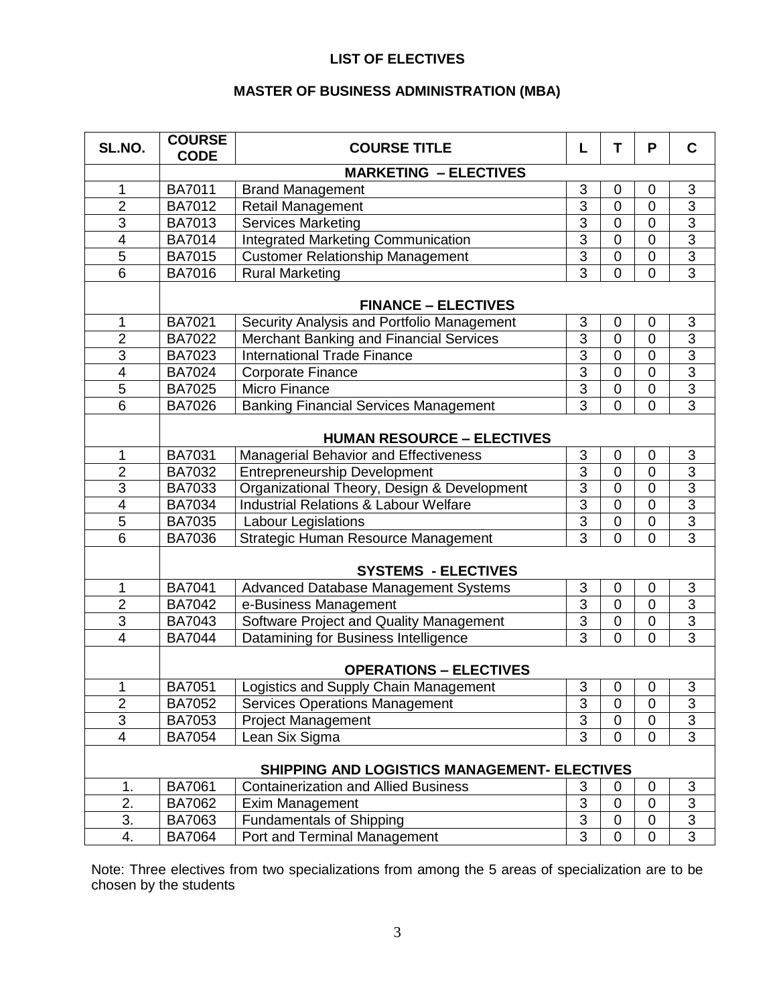### **LIST OF ELECTIVES**

### **MASTER OF BUSINESS ADMINISTRATION (MBA)**

| SL.NO.                  | <b>COURSE</b><br><b>CODE</b>                         | <b>COURSE TITLE</b>                                                                         | L              | т              | P              | $\mathbf C$               |
|-------------------------|------------------------------------------------------|---------------------------------------------------------------------------------------------|----------------|----------------|----------------|---------------------------|
|                         |                                                      | <b>MARKETING - ELECTIVES</b>                                                                |                |                |                |                           |
| 1                       | <b>BA7011</b>                                        | <b>Brand Management</b>                                                                     | 3              | $\overline{0}$ | 0              | $\ensuremath{\mathsf{3}}$ |
| $\overline{2}$          | <b>BA7012</b>                                        | Retail Management                                                                           | $\overline{3}$ | $\overline{0}$ | $\overline{0}$ | $\overline{3}$            |
| $\overline{3}$          | <b>BA7013</b>                                        | <b>Services Marketing</b>                                                                   | $\overline{3}$ | $\overline{0}$ | $\overline{0}$ | $\overline{3}$            |
| 4                       | <b>BA7014</b>                                        | <b>Integrated Marketing Communication</b>                                                   | $\overline{3}$ | 0              | 0              | $\overline{3}$            |
| 5                       | BA7015                                               | <b>Customer Relationship Management</b>                                                     | $\overline{3}$ | $\overline{0}$ | $\overline{0}$ | $\overline{3}$            |
| $\overline{6}$          | BA7016                                               | <b>Rural Marketing</b>                                                                      | $\overline{3}$ | $\overline{0}$ | $\overline{0}$ | $\overline{3}$            |
|                         |                                                      |                                                                                             |                |                |                |                           |
|                         |                                                      | <b>FINANCE – ELECTIVES</b>                                                                  |                |                |                |                           |
| 1                       | <b>BA7021</b>                                        | Security Analysis and Portfolio Management                                                  | 3              | $\mathbf 0$    | 0              | $\ensuremath{\mathsf{3}}$ |
| $\overline{2}$          | BA7022                                               | Merchant Banking and Financial Services                                                     | $\overline{3}$ | $\overline{0}$ | $\overline{0}$ | $\overline{3}$            |
| 3                       | <b>BA7023</b>                                        | <b>International Trade Finance</b>                                                          | $\overline{3}$ | $\overline{0}$ | $\overline{0}$ | $\overline{3}$            |
| $\overline{\mathbf{4}}$ | BA7024                                               | <b>Corporate Finance</b>                                                                    | $\overline{3}$ | $\overline{0}$ | $\overline{0}$ | $\overline{3}$            |
| $\overline{5}$          | BA7025                                               | Micro Finance                                                                               | 3              | 0              | $\overline{0}$ | $\overline{3}$            |
| 6                       | <b>BA7026</b>                                        | <b>Banking Financial Services Management</b>                                                | $\overline{3}$ | $\overline{0}$ | $\overline{0}$ | $\overline{3}$            |
|                         |                                                      | <b>HUMAN RESOURCE - ELECTIVES</b>                                                           |                |                |                |                           |
| 1                       | BA7031                                               | Managerial Behavior and Effectiveness                                                       | 3              | $\mathbf 0$    | 0              | 3                         |
| $\overline{2}$          | BA7032                                               | <b>Entrepreneurship Development</b>                                                         | $\overline{3}$ | $\overline{0}$ | $\overline{0}$ | $\overline{3}$            |
| 3                       | BA7033                                               | Organizational Theory, Design & Development                                                 | $\overline{3}$ | 0              | $\overline{0}$ | $\overline{3}$            |
| $\overline{\mathbf{4}}$ | BA7034                                               | <b>Industrial Relations &amp; Labour Welfare</b>                                            | $\overline{3}$ | $\overline{0}$ | $\overline{0}$ | $\overline{3}$            |
| 5                       | <b>BA7035</b>                                        | Labour Legislations                                                                         | $\overline{3}$ | $\overline{0}$ | $\overline{0}$ | $\overline{3}$            |
| 6                       | Strategic Human Resource Management<br><b>BA7036</b> |                                                                                             | $\overline{3}$ | $\overline{0}$ | $\overline{0}$ | $\overline{3}$            |
|                         |                                                      |                                                                                             |                |                |                |                           |
|                         |                                                      | <b>SYSTEMS - ELECTIVES</b>                                                                  |                |                |                |                           |
| 1                       | <b>BA7041</b>                                        | Advanced Database Management Systems                                                        | 3              | $\mathbf 0$    | 0              | 3                         |
| $\overline{2}$          | <b>BA7042</b>                                        | e-Business Management                                                                       | $\overline{3}$ | $\mathbf 0$    | 0              | 3                         |
| 3                       | BA7043                                               | Software Project and Quality Management                                                     | $\overline{3}$ | $\mathbf 0$    | $\overline{0}$ | $\overline{3}$            |
| 4                       | <b>BA7044</b>                                        | Datamining for Business Intelligence                                                        | 3              | $\overline{0}$ | $\overline{0}$ | $\overline{3}$            |
|                         |                                                      | <b>OPERATIONS - ELECTIVES</b>                                                               |                |                |                |                           |
| 1                       | <b>BA7051</b>                                        | Logistics and Supply Chain Management                                                       | 3              | 0              | 0              | 3                         |
| $\overline{2}$          | BA7052                                               | <b>Services Operations Management</b>                                                       | 3              | 0              | 0              | 3                         |
| 3                       | BA7053                                               | <b>Project Management</b>                                                                   | 3              | 0              | 0              | $\overline{3}$            |
| $\overline{\mathbf{4}}$ | <b>BA7054</b>                                        | Lean Six Sigma                                                                              | 3              | $\overline{0}$ | $\overline{0}$ | $\overline{3}$            |
|                         |                                                      |                                                                                             |                |                |                |                           |
| 1.                      | <b>BA7061</b>                                        | SHIPPING AND LOGISTICS MANAGEMENT- ELECTIVES<br><b>Containerization and Allied Business</b> | 3              | 0              | 0              | 3                         |
| 2.                      | BA7062                                               | Exim Management                                                                             | 3              | 0              | 0              | 3                         |
| 3.                      | BA7063                                               | <b>Fundamentals of Shipping</b>                                                             | 3              | $\overline{0}$ | 0              | $\overline{3}$            |
| 4.                      | <b>BA7064</b>                                        | Port and Terminal Management                                                                | 3              | $\mathbf 0$    | 0              | $\overline{3}$            |

Note: Three electives from two specializations from among the 5 areas of specialization are to be chosen by the students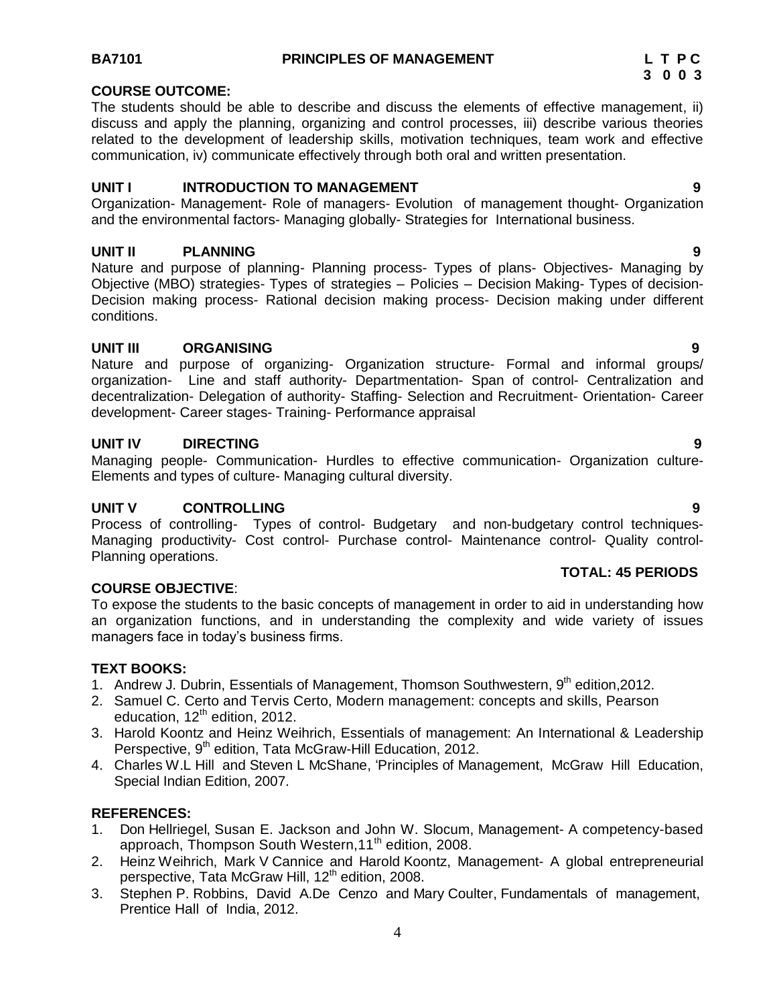### **COURSE OUTCOME:**

The students should be able to describe and discuss the elements of effective management, ii) discuss and apply the planning, organizing and control processes, iii) describe various theories related to the development of leadership skills, motivation techniques, team work and effective communication, iv) communicate effectively through both oral and written presentation.

#### **UNIT I INTRODUCTION TO MANAGEMENT 9**

Organization- Management- Role of managers- Evolution of management thought- Organization and the environmental factors- Managing globally- Strategies for International business.

#### **UNIT II PLANNING 9**

Nature and purpose of planning- Planning process- Types of plans- Objectives- Managing by Objective (MBO) strategies- Types of strategies – Policies – Decision Making- Types of decision-Decision making process- Rational decision making process- Decision making under different conditions.

#### **UNIT III ORGANISING 9**

Nature and purpose of organizing- Organization structure- Formal and informal groups/ organization- Line and staff authority- Departmentation- Span of control- Centralization and decentralization- Delegation of authority- Staffing- Selection and Recruitment- Orientation- Career development- Career stages- Training- Performance appraisal

#### **UNIT IV DIRECTING 9**

Managing people- Communication- Hurdles to effective communication- Organization culture-Elements and types of culture- Managing cultural diversity.

#### **UNIT V CONTROLLING 9**

Process of controlling- Types of control- Budgetary and non-budgetary control techniques-Managing productivity- Cost control- Purchase control- Maintenance control- Quality control-Planning operations.

#### **TOTAL: 45 PERIODS**

#### **COURSE OBJECTIVE**:

To expose the students to the basic concepts of management in order to aid in understanding how an organization functions, and in understanding the complexity and wide variety of issues managers face in today's business firms.

#### **TEXT BOOKS:**

- 1. Andrew J. Dubrin, Essentials of Management, Thomson Southwestern, 9<sup>th</sup> edition, 2012.
- 2. Samuel C. Certo and Tervis Certo, Modern management: concepts and skills, Pearson education,  $12<sup>th</sup>$  edition, 2012.
- 3. Harold Koontz and Heinz Weihrich, Essentials of management: An International & Leadership Perspective, 9<sup>th</sup> edition, Tata McGraw-Hill Education, 2012.
- 4. Charles W.L Hill and Steven L McShane, "Principles of Management, McGraw Hill Education, Special Indian Edition, 2007.

#### **REFERENCES:**

- 1. Don Hellriegel, Susan E. Jackson and John W. Slocum, Management- A competency-based approach, Thompson South Western, 11<sup>th</sup> edition, 2008.
- 2. Heinz Weihrich, Mark V Cannice and Harold Koontz, Management- A global entrepreneurial perspective, Tata McGraw Hill, 12<sup>th</sup> edition, 2008.
- 3. Stephen P. Robbins, David A.De Cenzo and Mary Coulter, Fundamentals of management, Prentice Hall of India, 2012.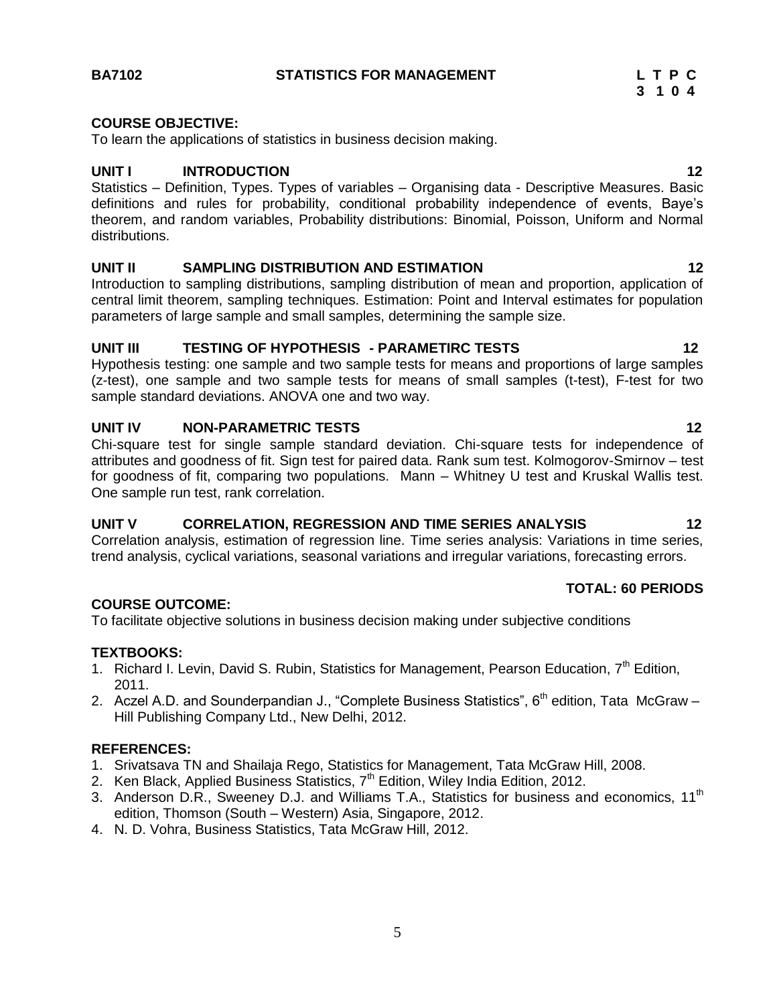#### **BA7102 STATISTICS FOR MANAGEMENT L T P C**

#### **COURSE OBJECTIVE:**

To learn the applications of statistics in business decision making.

#### **UNIT I INTRODUCTION 12**

Statistics – Definition, Types. Types of variables – Organising data - Descriptive Measures. Basic definitions and rules for probability, conditional probability independence of events, Baye"s theorem, and random variables, Probability distributions: Binomial, Poisson, Uniform and Normal distributions.

#### **UNIT II SAMPLING DISTRIBUTION AND ESTIMATION 12**

Introduction to sampling distributions, sampling distribution of mean and proportion, application of central limit theorem, sampling techniques. Estimation: Point and Interval estimates for population parameters of large sample and small samples, determining the sample size.

#### **UNIT III TESTING OF HYPOTHESIS - PARAMETIRC TESTS 12**

Hypothesis testing: one sample and two sample tests for means and proportions of large samples (z-test), one sample and two sample tests for means of small samples (t-test), F-test for two sample standard deviations. ANOVA one and two way.

#### **UNIT IV NON-PARAMETRIC TESTS 12**

Chi-square test for single sample standard deviation. Chi-square tests for independence of attributes and goodness of fit. Sign test for paired data. Rank sum test. Kolmogorov-Smirnov – test for goodness of fit, comparing two populations. Mann – Whitney U test and Kruskal Wallis test. One sample run test, rank correlation.

#### **UNIT V CORRELATION, REGRESSION AND TIME SERIES ANALYSIS 12**

Correlation analysis, estimation of regression line. Time series analysis: Variations in time series, trend analysis, cyclical variations, seasonal variations and irregular variations, forecasting errors.

#### **COURSE OUTCOME:**

To facilitate objective solutions in business decision making under subjective conditions

#### **TEXTBOOKS:**

- 1. Richard I. Levin, David S. Rubin, Statistics for Management, Pearson Education,  $7<sup>th</sup>$  Edition, 2011.
- 2. Aczel A.D. and Sounderpandian J., "Complete Business Statistics",  $6<sup>th</sup>$  edition, Tata McGraw Hill Publishing Company Ltd., New Delhi, 2012.

#### **REFERENCES:**

- 1. Srivatsava TN and Shailaja Rego, Statistics for Management, Tata McGraw Hill, 2008.
- 2. Ken Black, Applied Business Statistics, 7<sup>th</sup> Edition, Wiley India Edition, 2012.
- 3. Anderson D.R., Sweeney D.J. and Williams T.A., Statistics for business and economics, 11<sup>th</sup> edition, Thomson (South – Western) Asia, Singapore, 2012.
- 4. N. D. Vohra, Business Statistics, Tata McGraw Hill, 2012.

5

### **TOTAL: 60 PERIODS**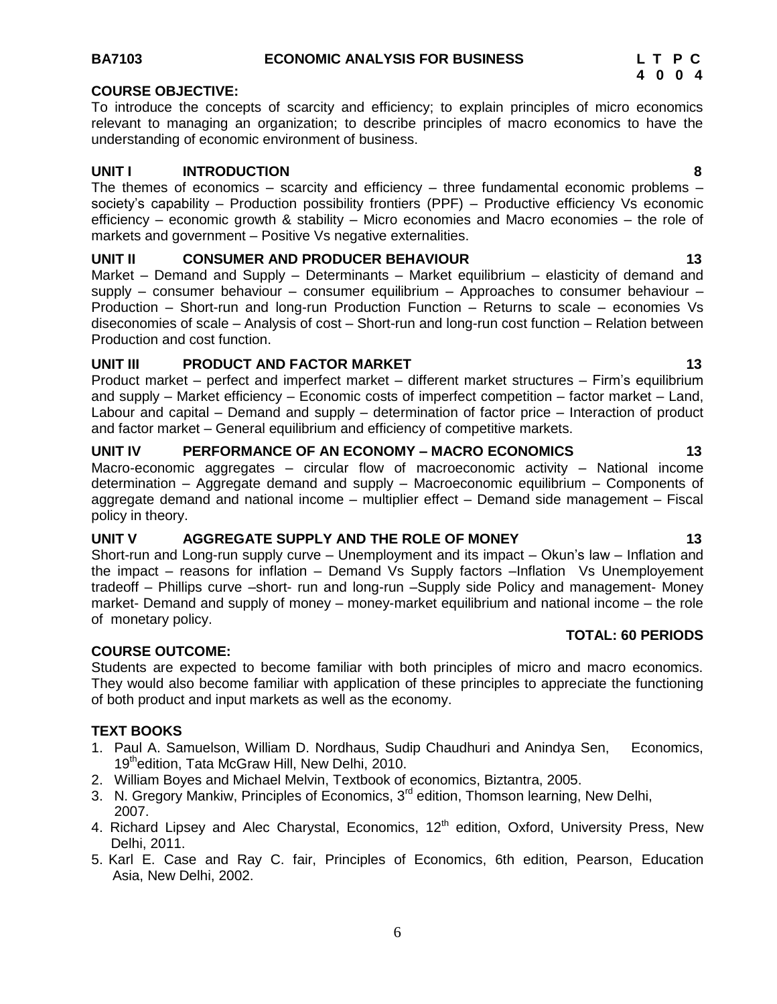#### **BA7103 ECONOMIC ANALYSIS FOR BUSINESS L T P C**

#### **COURSE OBJECTIVE:**

To introduce the concepts of scarcity and efficiency; to explain principles of micro economics relevant to managing an organization; to describe principles of macro economics to have the understanding of economic environment of business.

#### **UNIT I INTRODUCTION 8**

The themes of economics – scarcity and efficiency – three fundamental economic problems – society's capability – Production possibility frontiers (PPF) – Productive efficiency Vs economic efficiency – economic growth & stability – Micro economies and Macro economies – the role of markets and government – Positive Vs negative externalities.

#### **UNIT II CONSUMER AND PRODUCER BEHAVIOUR 13**

Market – Demand and Supply – Determinants – Market equilibrium – elasticity of demand and supply – consumer behaviour – consumer equilibrium – Approaches to consumer behaviour – Production – Short-run and long-run Production Function – Returns to scale – economies Vs diseconomies of scale – Analysis of cost – Short-run and long-run cost function – Relation between Production and cost function.

#### **UNIT III** PRODUCT AND FACTOR MARKET 13

Product market – perfect and imperfect market – different market structures – Firm"s equilibrium and supply – Market efficiency – Economic costs of imperfect competition – factor market – Land, Labour and capital – Demand and supply – determination of factor price – Interaction of product and factor market – General equilibrium and efficiency of competitive markets.

#### **UNIT IV PERFORMANCE OF AN ECONOMY – MACRO ECONOMICS 13**

Macro-economic aggregates – circular flow of macroeconomic activity – National income determination – Aggregate demand and supply – Macroeconomic equilibrium – Components of aggregate demand and national income – multiplier effect – Demand side management – Fiscal policy in theory.

### **UNIT V AGGREGATE SUPPLY AND THE ROLE OF MONEY 13**

Short-run and Long-run supply curve - Unemployment and its impact - Okun's law - Inflation and the impact – reasons for inflation – Demand Vs Supply factors –Inflation Vs Unemployement tradeoff – Phillips curve –short- run and long-run –Supply side Policy and management- Money market- Demand and supply of money – money-market equilibrium and national income – the role of monetary policy.

#### **COURSE OUTCOME:**

Students are expected to become familiar with both principles of micro and macro economics. They would also become familiar with application of these principles to appreciate the functioning of both product and input markets as well as the economy.

#### **TEXT BOOKS**

- 1. Paul A. Samuelson, William D. Nordhaus, Sudip Chaudhuri and Anindya Sen, Economics, 19<sup>th</sup>edition, Tata McGraw Hill, New Delhi, 2010.
- 2. William Boyes and Michael Melvin, Textbook of economics, Biztantra, 2005.
- 3. N. Gregory Mankiw, Principles of Economics, 3<sup>rd</sup> edition, Thomson learning, New Delhi, 2007.
- 4. Richard Lipsey and Alec Charystal, Economics,  $12<sup>th</sup>$  edition, Oxford, University Press, New Delhi, 2011.
- 5. Karl E. Case and Ray C. fair, Principles of Economics, 6th edition, Pearson, Education Asia, New Delhi, 2002.

**TOTAL: 60 PERIODS**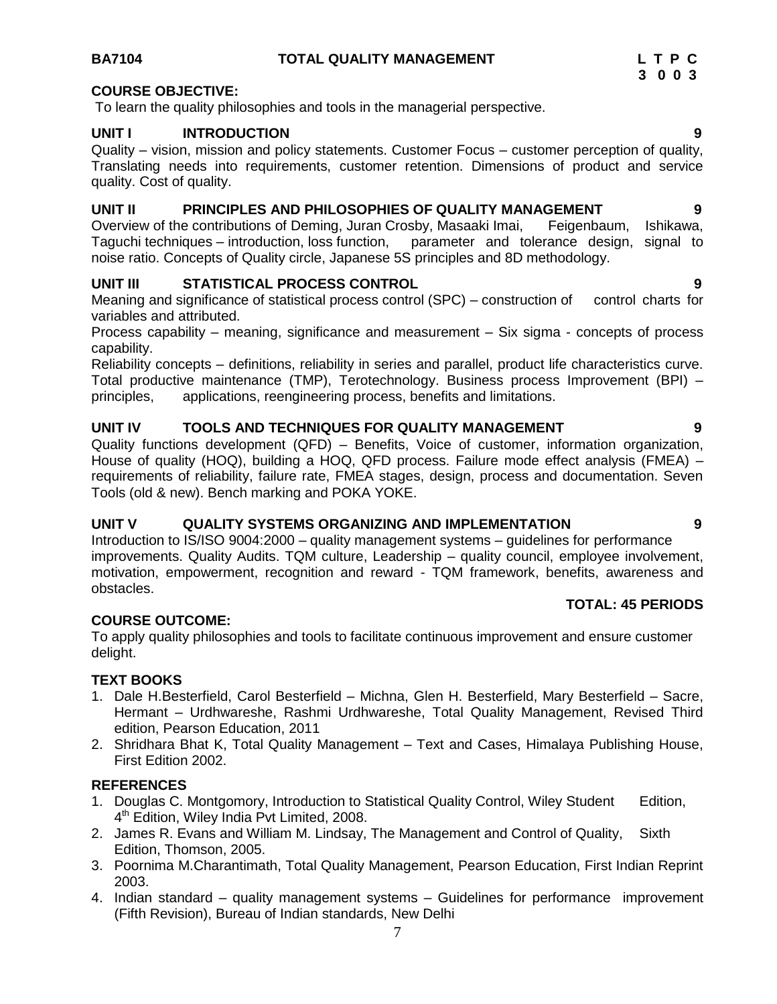#### **BA7104 TOTAL QUALITY MANAGEMENT L T P C**

#### **COURSE OBJECTIVE:**

To learn the quality philosophies and tools in the managerial perspective.

#### **UNIT I INTRODUCTION 9**

Quality – vision, mission and policy statements. Customer Focus – customer perception of quality, Translating needs into requirements, customer retention. Dimensions of product and service quality. Cost of quality.

### **UNIT II PRINCIPLES AND PHILOSOPHIES OF QUALITY MANAGEMENT 9**

Overview of the contributions of Deming, Juran Crosby, Masaaki Imai, Feigenbaum, Ishikawa, Taguchi techniques – introduction, loss function, parameter and tolerance design, signal to noise ratio. Concepts of Quality circle, Japanese 5S principles and 8D methodology.

#### **UNIT III STATISTICAL PROCESS CONTROL 9**

Meaning and significance of statistical process control (SPC) – construction of control charts for variables and attributed.

Process capability – meaning, significance and measurement – Six sigma - concepts of process capability.

Reliability concepts – definitions, reliability in series and parallel, product life characteristics curve. Total productive maintenance (TMP), Terotechnology. Business process Improvement (BPI) – principles, applications, reengineering process, benefits and limitations.

#### **UNIT IV TOOLS AND TECHNIQUES FOR QUALITY MANAGEMENT 9**

Quality functions development (QFD) – Benefits, Voice of customer, information organization, House of quality (HOQ), building a HOQ, QFD process. Failure mode effect analysis (FMEA) – requirements of reliability, failure rate, FMEA stages, design, process and documentation. Seven Tools (old & new). Bench marking and POKA YOKE.

### **UNIT V QUALITY SYSTEMS ORGANIZING AND IMPLEMENTATION 9**

Introduction to IS/ISO 9004:2000 – quality management systems – guidelines for performance improvements. Quality Audits. TQM culture, Leadership – quality council, employee involvement, motivation, empowerment, recognition and reward - TQM framework, benefits, awareness and obstacles.

#### **COURSE OUTCOME:**

To apply quality philosophies and tools to facilitate continuous improvement and ensure customer delight.

#### **TEXT BOOKS**

- 1. Dale H.Besterfield, Carol Besterfield Michna, Glen H. Besterfield, Mary Besterfield Sacre, Hermant – Urdhwareshe, Rashmi Urdhwareshe, Total Quality Management, Revised Third edition, Pearson Education, 2011
- 2. Shridhara Bhat K, Total Quality Management Text and Cases, Himalaya Publishing House, First Edition 2002.

#### **REFERENCES**

- 1. Douglas C. Montgomory, Introduction to Statistical Quality Control, Wiley Student Edition, 4<sup>th</sup> Edition, Wiley India Pvt Limited, 2008.
- 2. James R. Evans and William M. Lindsay, The Management and Control of Quality, Sixth Edition, Thomson, 2005.
- 3. Poornima M.Charantimath, Total Quality Management, Pearson Education, First Indian Reprint 2003.
- 4. Indian standard quality management systems Guidelines for performance improvement (Fifth Revision), Bureau of Indian standards, New Delhi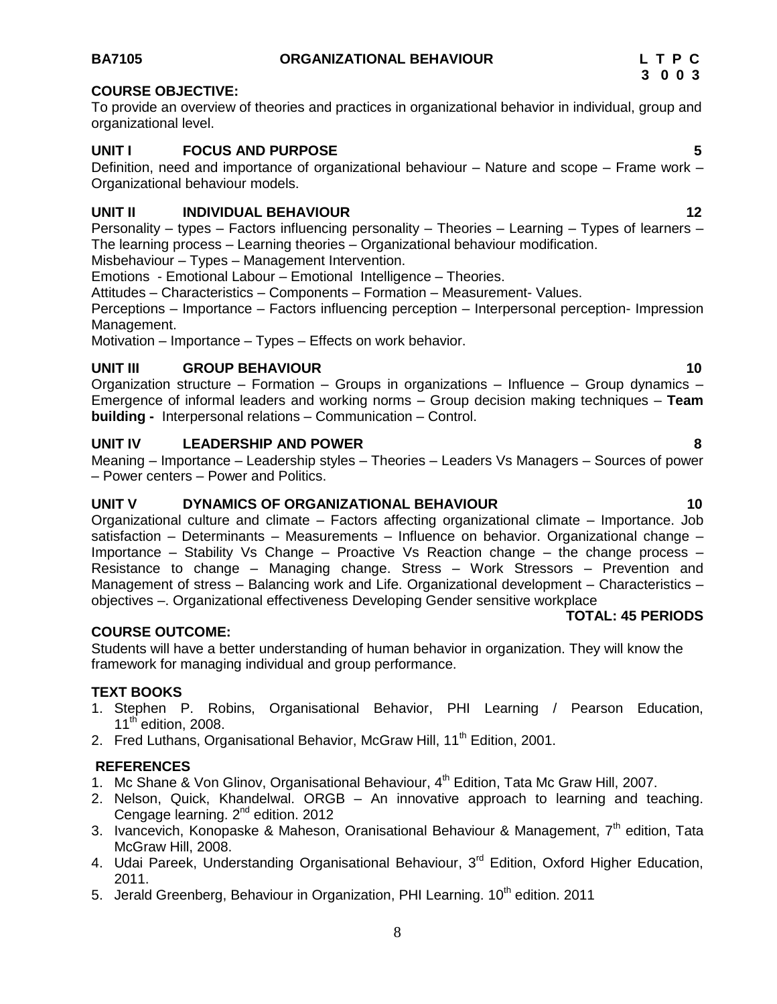### **BA7105 ORGANIZATIONAL BEHAVIOUR L T P C**

#### **COURSE OBJECTIVE:**

To provide an overview of theories and practices in organizational behavior in individual, group and organizational level.

#### **UNIT I FOCUS AND PURPOSE 5**

Definition, need and importance of organizational behaviour – Nature and scope – Frame work – Organizational behaviour models.

#### **UNIT II INDIVIDUAL BEHAVIOUR 12**

Personality – types – Factors influencing personality – Theories – Learning – Types of learners – The learning process – Learning theories – Organizational behaviour modification. Misbehaviour – Types – Management Intervention.

Emotions - Emotional Labour – Emotional Intelligence – Theories.

Attitudes – Characteristics – Components – Formation – Measurement- Values.

Perceptions – Importance – Factors influencing perception – Interpersonal perception- Impression Management.

Motivation – Importance – Types – Effects on work behavior.

#### **UNIT III** GROUP BEHAVIOUR **10**

Organization structure – Formation – Groups in organizations – Influence – Group dynamics – Emergence of informal leaders and working norms – Group decision making techniques – **Team building -** Interpersonal relations – Communication – Control.

#### **UNIT IV LEADERSHIP AND POWER 8**

Meaning – Importance – Leadership styles – Theories – Leaders Vs Managers – Sources of power – Power centers – Power and Politics.

#### **UNIT V DYNAMICS OF ORGANIZATIONAL BEHAVIOUR 10**

Organizational culture and climate – Factors affecting organizational climate – Importance. Job satisfaction – Determinants – Measurements – Influence on behavior. Organizational change – Importance – Stability Vs Change – Proactive Vs Reaction change – the change process – Resistance to change – Managing change. Stress – Work Stressors – Prevention and Management of stress – Balancing work and Life. Organizational development – Characteristics – objectives –. Organizational effectiveness Developing Gender sensitive workplace

### **TOTAL: 45 PERIODS**

#### Students will have a better understanding of human behavior in organization. They will know the framework for managing individual and group performance.

**COURSE OUTCOME:** 

**TEXT BOOKS**

- 1. Stephen P. Robins, Organisational Behavior, PHI Learning / Pearson Education,  $11<sup>th</sup>$  edition, 2008.
- 2. Fred Luthans, Organisational Behavior, McGraw Hill, 11<sup>th</sup> Edition, 2001.

#### **REFERENCES**

- 1. Mc Shane & Von Glinov, Organisational Behaviour, 4<sup>th</sup> Edition, Tata Mc Graw Hill, 2007.
- 2. Nelson, Quick, Khandelwal. ORGB An innovative approach to learning and teaching. Cengage learning. 2<sup>nd</sup> edition. 2012
- 3. Ivancevich, Konopaske & Maheson, Oranisational Behaviour & Management,  $7<sup>th</sup>$  edition. Tata McGraw Hill, 2008.
- 4. Udai Pareek, Understanding Organisational Behaviour, 3<sup>rd</sup> Edition, Oxford Higher Education, 2011.
- 5. Jerald Greenberg, Behaviour in Organization, PHI Learning. 10<sup>th</sup> edition. 2011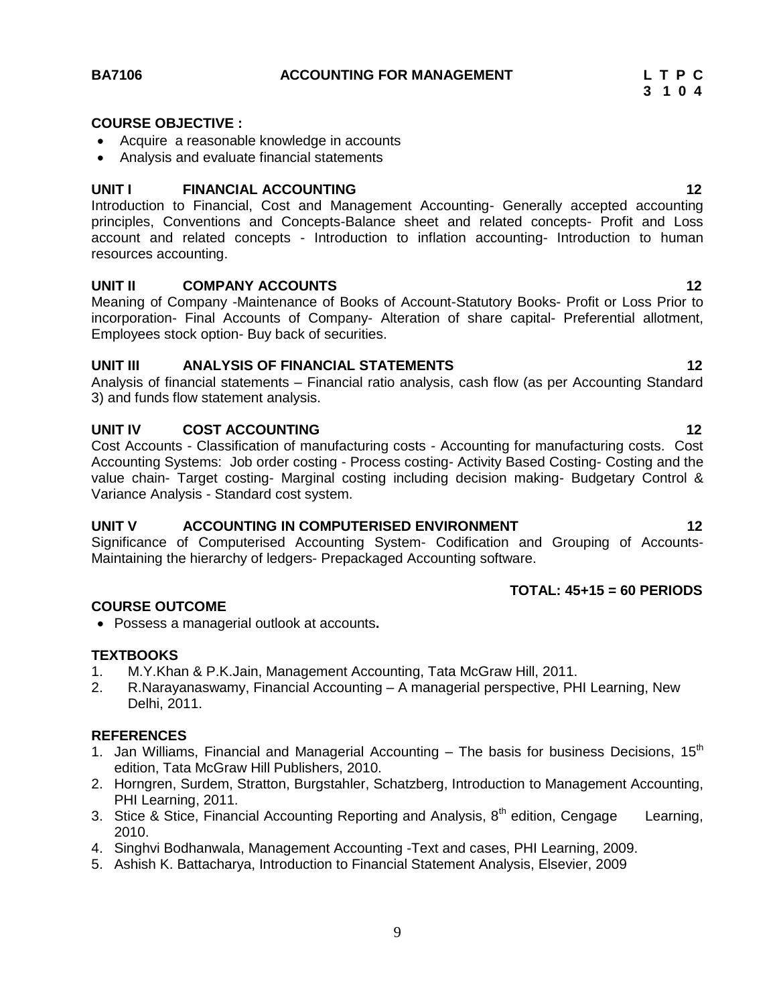#### **COURSE OBJECTIVE :**

- Acquire a reasonable knowledge in accounts
- Analysis and evaluate financial statements

#### **UNIT I FINANCIAL ACCOUNTING 12**

Introduction to Financial, Cost and Management Accounting- Generally accepted accounting principles, Conventions and Concepts-Balance sheet and related concepts- Profit and Loss account and related concepts - Introduction to inflation accounting- Introduction to human resources accounting.

#### **UNIT II COMPANY ACCOUNTS 12**

Meaning of Company -Maintenance of Books of Account-Statutory Books- Profit or Loss Prior to incorporation- Final Accounts of Company- Alteration of share capital- Preferential allotment, Employees stock option- Buy back of securities.

#### **UNIT III ANALYSIS OF FINANCIAL STATEMENTS 12**

Analysis of financial statements – Financial ratio analysis, cash flow (as per Accounting Standard 3) and funds flow statement analysis.

#### **UNIT IV COST ACCOUNTING 12**

Cost Accounts - Classification of manufacturing costs - Accounting for manufacturing costs. Cost Accounting Systems: Job order costing - Process costing- Activity Based Costing- Costing and the value chain- Target costing- Marginal costing including decision making- Budgetary Control & Variance Analysis - Standard cost system.

#### **UNIT V ACCOUNTING IN COMPUTERISED ENVIRONMENT 12**

Significance of Computerised Accounting System- Codification and Grouping of Accounts-Maintaining the hierarchy of ledgers- Prepackaged Accounting software.

#### **TOTAL: 45+15 = 60 PERIODS**

#### **COURSE OUTCOME**

Possess a managerial outlook at accounts**.**

#### **TEXTBOOKS**

- 1. M.Y.Khan & P.K.Jain, Management Accounting, Tata McGraw Hill, 2011.
- 2. R.Narayanaswamy, Financial Accounting A managerial perspective, PHI Learning, New Delhi, 2011.

#### **REFERENCES**

- 1. Jan Williams, Financial and Managerial Accounting  $-$  The basis for business Decisions, 15<sup>th</sup> edition, Tata McGraw Hill Publishers, 2010.
- 2. Horngren, Surdem, Stratton, Burgstahler, Schatzberg, Introduction to Management Accounting, PHI Learning, 2011.
- 3. Stice & Stice, Financial Accounting Reporting and Analysis,  $8<sup>th</sup>$  edition, Cengage Learning, 2010.
- 4. Singhvi Bodhanwala, Management Accounting -Text and cases, PHI Learning, 2009.
- 5. Ashish K. Battacharya, Introduction to Financial Statement Analysis, Elsevier, 2009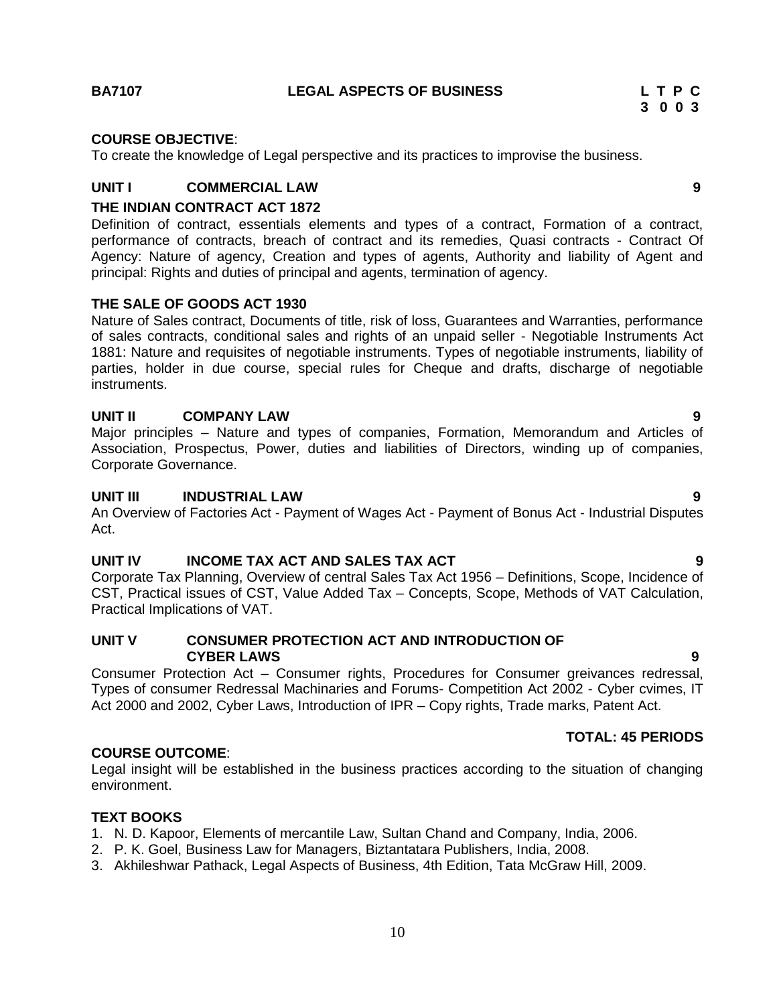#### **COURSE OBJECTIVE**:

To create the knowledge of Legal perspective and its practices to improvise the business.

### **UNIT I COMMERCIAL LAW 9**

#### **THE INDIAN CONTRACT ACT 1872**

Definition of contract, essentials elements and types of a contract, Formation of a contract, performance of contracts, breach of contract and its remedies, Quasi contracts - Contract Of Agency: Nature of agency, Creation and types of agents, Authority and liability of Agent and principal: Rights and duties of principal and agents, termination of agency.

#### **THE SALE OF GOODS ACT 1930**

Nature of Sales contract, Documents of title, risk of loss, Guarantees and Warranties, performance of sales contracts, conditional sales and rights of an unpaid seller - Negotiable Instruments Act 1881: Nature and requisites of negotiable instruments. Types of negotiable instruments, liability of parties, holder in due course, special rules for Cheque and drafts, discharge of negotiable instruments.

#### **UNIT II COMPANY LAW 9**

Major principles – Nature and types of companies, Formation, Memorandum and Articles of Association, Prospectus, Power, duties and liabilities of Directors, winding up of companies, Corporate Governance.

#### **UNIT III INDUSTRIAL LAW 9**

An Overview of Factories Act - Payment of Wages Act - Payment of Bonus Act - Industrial Disputes Act.

#### **UNIT IV INCOME TAX ACT AND SALES TAX ACT 9**

Corporate Tax Planning, Overview of central Sales Tax Act 1956 – Definitions, Scope, Incidence of CST, Practical issues of CST, Value Added Tax – Concepts, Scope, Methods of VAT Calculation, Practical Implications of VAT.

#### **UNIT V CONSUMER PROTECTION ACT AND INTRODUCTION OF CYBER LAWS 9**

Consumer Protection Act – Consumer rights, Procedures for Consumer greivances redressal, Types of consumer Redressal Machinaries and Forums- Competition Act 2002 - Cyber cvimes, IT Act 2000 and 2002, Cyber Laws, Introduction of IPR – Copy rights, Trade marks, Patent Act.

#### **COURSE OUTCOME**:

Legal insight will be established in the business practices according to the situation of changing environment.

#### **TEXT BOOKS**

- 1. N. D. Kapoor, Elements of mercantile Law, Sultan Chand and Company, India, 2006.
- 2. P. K. Goel, Business Law for Managers, Biztantatara Publishers, India, 2008.
- 3. Akhileshwar Pathack, Legal Aspects of Business, 4th Edition, Tata McGraw Hill, 2009.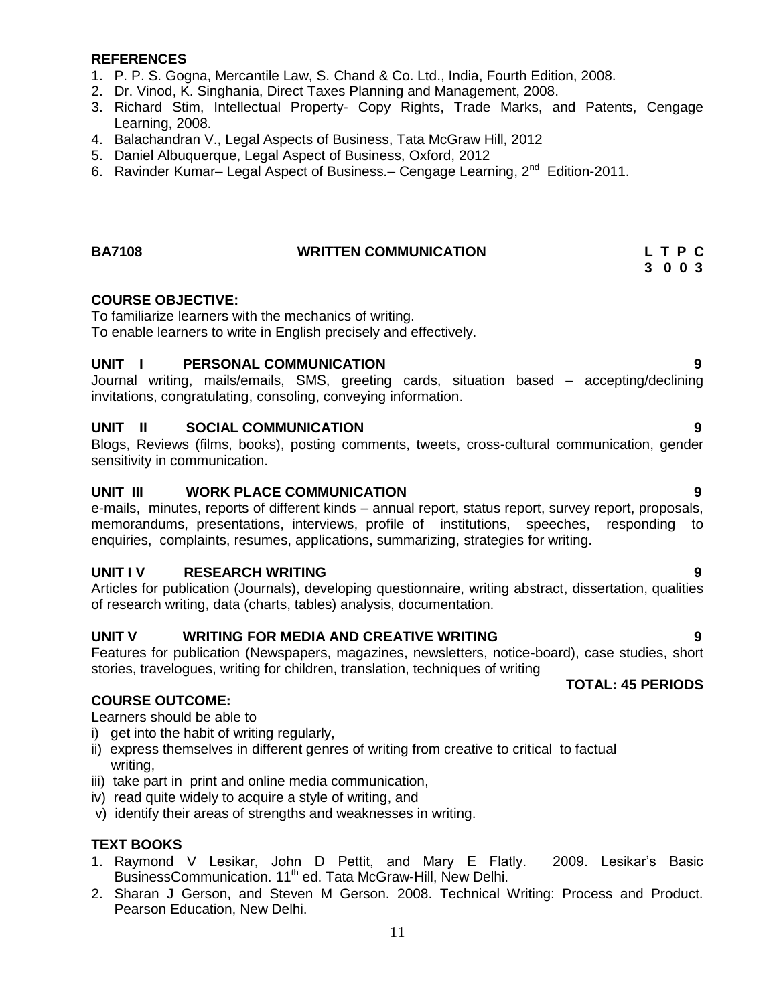#### **REFERENCES**

- 1. P. P. S. Gogna, Mercantile Law, S. Chand & Co. Ltd., India, Fourth Edition, 2008.
- 2. Dr. Vinod, K. Singhania, Direct Taxes Planning and Management, 2008.
- 3. Richard Stim, Intellectual Property- Copy Rights, Trade Marks, and Patents, Cengage Learning, 2008.
- 4. Balachandran V., Legal Aspects of Business, Tata McGraw Hill, 2012
- 5. Daniel Albuquerque, Legal Aspect of Business, Oxford, 2012
- 6. Ravinder Kumar- Legal Aspect of Business.- Cengage Learning, 2<sup>nd</sup> Edition-2011.

#### **BA7108 WRITTEN COMMUNICATION L T P C**

### **3 0 0 3**

#### **COURSE OBJECTIVE:**

To familiarize learners with the mechanics of writing. To enable learners to write in English precisely and effectively.

#### **UNIT I PERSONAL COMMUNICATION 9**

Journal writing, mails/emails, SMS, greeting cards, situation based – accepting/declining invitations, congratulating, consoling, conveying information.

#### **UNIT II SOCIAL COMMUNICATION 9**

Blogs, Reviews (films, books), posting comments, tweets, cross-cultural communication, gender sensitivity in communication.

#### **UNIT III WORK PLACE COMMUNICATION 9**

e-mails, minutes, reports of different kinds – annual report, status report, survey report, proposals, memorandums, presentations, interviews, profile of institutions, speeches, responding to enquiries, complaints, resumes, applications, summarizing, strategies for writing.

#### **UNIT I V RESEARCH WRITING 9**

Articles for publication (Journals), developing questionnaire, writing abstract, dissertation, qualities of research writing, data (charts, tables) analysis, documentation.

#### **UNIT V WRITING FOR MEDIA AND CREATIVE WRITING 9**

Features for publication (Newspapers, magazines, newsletters, notice-board), case studies, short stories, travelogues, writing for children, translation, techniques of writing

#### **TOTAL: 45 PERIODS**

#### **COURSE OUTCOME:**

Learners should be able to

- i) get into the habit of writing regularly,
- ii) express themselves in different genres of writing from creative to critical to factual writing,
- iii) take part in print and online media communication,
- iv) read quite widely to acquire a style of writing, and
- v) identify their areas of strengths and weaknesses in writing.

#### **TEXT BOOKS**

- 1. Raymond V Lesikar, John D Pettit, and Mary E Flatly. 2009. Lesikar"s Basic BusinessCommunication. 11<sup>th</sup> ed. Tata McGraw-Hill, New Delhi.
- 2. Sharan J Gerson, and Steven M Gerson. 2008. Technical Writing: Process and Product. Pearson Education, New Delhi.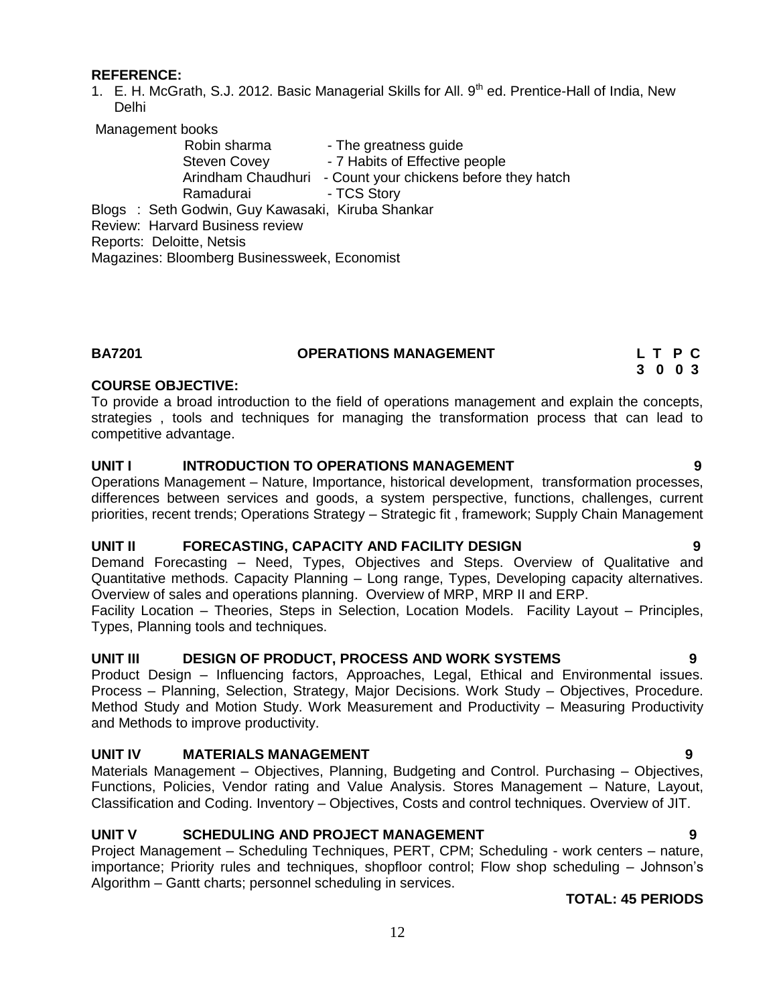#### **REFERENCE:**

1. E. H. McGrath, S.J. 2012. Basic Managerial Skills for All. 9<sup>th</sup> ed. Prentice-Hall of India, New Delhi

Management books

| Robin sharma                                     | - The greatness guide                   |
|--------------------------------------------------|-----------------------------------------|
| <b>Steven Covey</b>                              | - 7 Habits of Effective people          |
| Arindham Chaudhuri                               | - Count your chickens before they hatch |
| Ramadurai                                        | - TCS Story                             |
| Blogs: Seth Godwin, Guy Kawasaki, Kiruba Shankar |                                         |
| Review: Harvard Business review                  |                                         |
| Reports: Deloitte, Netsis                        |                                         |
| Magazines: Bloomberg Businessweek, Economist     |                                         |

| <b>BA7201</b> | <b>OPERATIONS MANAGEMENT</b> | L T P C |  |  |
|---------------|------------------------------|---------|--|--|
|               |                              | 3 0 0 3 |  |  |

#### **COURSE OBJECTIVE:**

To provide a broad introduction to the field of operations management and explain the concepts, strategies , tools and techniques for managing the transformation process that can lead to competitive advantage.

#### **UNIT I INTRODUCTION TO OPERATIONS MANAGEMENT 9**

Operations Management – Nature, Importance, historical development, transformation processes, differences between services and goods, a system perspective, functions, challenges, current priorities, recent trends; Operations Strategy – Strategic fit , framework; Supply Chain Management

#### **UNIT II FORECASTING, CAPACITY AND FACILITY DESIGN 9**

Demand Forecasting – Need, Types, Objectives and Steps. Overview of Qualitative and Quantitative methods. Capacity Planning – Long range, Types, Developing capacity alternatives. Overview of sales and operations planning. Overview of MRP, MRP II and ERP.

Facility Location – Theories, Steps in Selection, Location Models. Facility Layout – Principles, Types, Planning tools and techniques.

#### **UNIT III DESIGN OF PRODUCT, PROCESS AND WORK SYSTEMS 9**

Product Design – Influencing factors, Approaches, Legal, Ethical and Environmental issues. Process – Planning, Selection, Strategy, Major Decisions. Work Study – Objectives, Procedure. Method Study and Motion Study. Work Measurement and Productivity – Measuring Productivity and Methods to improve productivity.

#### **UNIT IV MATERIALS MANAGEMENT 9**

Materials Management – Objectives, Planning, Budgeting and Control. Purchasing – Objectives, Functions, Policies, Vendor rating and Value Analysis. Stores Management – Nature, Layout, Classification and Coding. Inventory – Objectives, Costs and control techniques. Overview of JIT.

#### **UNIT V SCHEDULING AND PROJECT MANAGEMENT 9**

Project Management – Scheduling Techniques, PERT, CPM; Scheduling - work centers – nature, importance; Priority rules and techniques, shopfloor control; Flow shop scheduling – Johnson"s Algorithm – Gantt charts; personnel scheduling in services.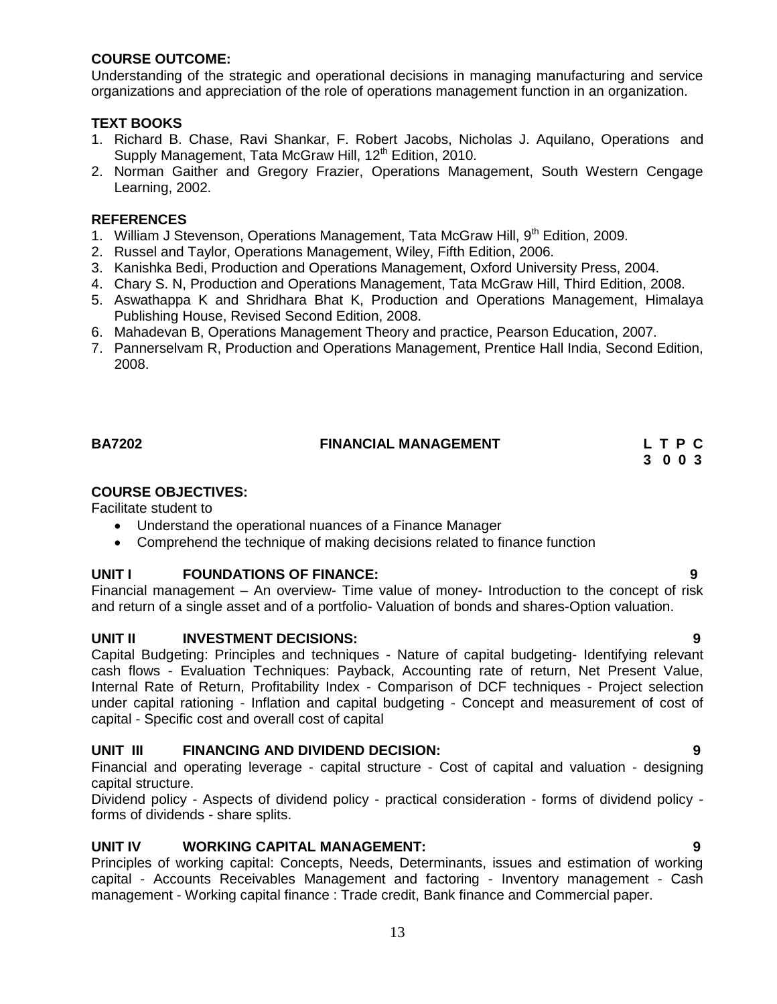#### **COURSE OUTCOME:**

Understanding of the strategic and operational decisions in managing manufacturing and service organizations and appreciation of the role of operations management function in an organization.

#### **TEXT BOOKS**

- 1. Richard B. Chase, Ravi Shankar, F. Robert Jacobs, Nicholas J. Aquilano, Operations and Supply Management, Tata McGraw Hill, 12<sup>th</sup> Edition, 2010.
- 2. Norman Gaither and Gregory Frazier, Operations Management, South Western Cengage Learning, 2002.

#### **REFERENCES**

- 1. William J Stevenson, Operations Management, Tata McGraw Hill, 9<sup>th</sup> Edition, 2009.
- 2. Russel and Taylor, Operations Management, Wiley, Fifth Edition, 2006.
- 3. Kanishka Bedi, Production and Operations Management, Oxford University Press, 2004.
- 4. Chary S. N, Production and Operations Management, Tata McGraw Hill, Third Edition, 2008.
- 5. Aswathappa K and Shridhara Bhat K, Production and Operations Management, Himalaya Publishing House, Revised Second Edition, 2008.
- 6. Mahadevan B, Operations Management Theory and practice, Pearson Education, 2007.
- 7. Pannerselvam R, Production and Operations Management, Prentice Hall India, Second Edition, 2008.

### **BA7202 FINANCIAL MANAGEMENT L T P C**

 **3 0 0 3**

#### **COURSE OBJECTIVES:**

Facilitate student to

- Understand the operational nuances of a Finance Manager
- Comprehend the technique of making decisions related to finance function

#### **UNIT I FOUNDATIONS OF FINANCE: 9**

Financial management – An overview- Time value of money- Introduction to the concept of risk and return of a single asset and of a portfolio- Valuation of bonds and shares-Option valuation.

#### **UNIT II INVESTMENT DECISIONS: 9**

Capital Budgeting: Principles and techniques - Nature of capital budgeting- Identifying relevant cash flows - Evaluation Techniques: Payback, Accounting rate of return, Net Present Value, Internal Rate of Return, Profitability Index - Comparison of DCF techniques - Project selection under capital rationing - Inflation and capital budgeting - Concept and measurement of cost of capital - Specific cost and overall cost of capital

#### **UNIT III FINANCING AND DIVIDEND DECISION: 9**

Financial and operating leverage - capital structure - Cost of capital and valuation - designing capital structure.

Dividend policy - Aspects of dividend policy - practical consideration - forms of dividend policy forms of dividends - share splits.

#### **UNIT IV WORKING CAPITAL MANAGEMENT: 9**

Principles of working capital: Concepts, Needs, Determinants, issues and estimation of working capital - Accounts Receivables Management and factoring - Inventory management - Cash management - Working capital finance : Trade credit, Bank finance and Commercial paper.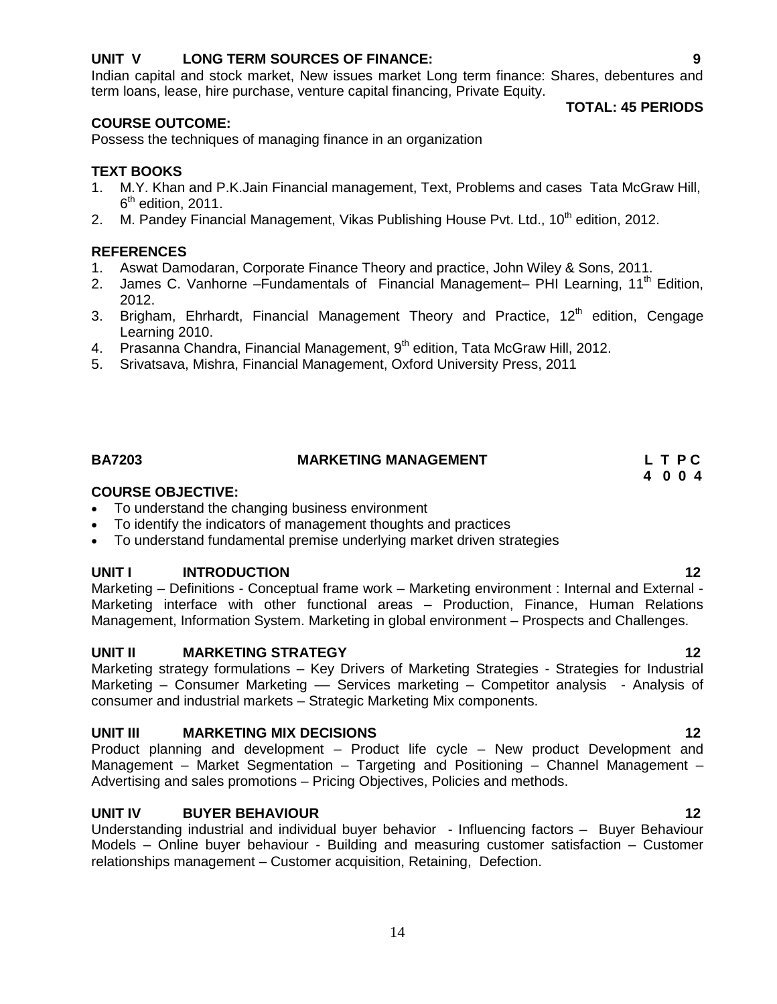#### **UNIT V LONG TERM SOURCES OF FINANCE: 9**

Indian capital and stock market, New issues market Long term finance: Shares, debentures and term loans, lease, hire purchase, venture capital financing, Private Equity.

#### **COURSE OUTCOME:**

Possess the techniques of managing finance in an organization

#### **TEXT BOOKS**

- 1. M.Y. Khan and P.K.Jain Financial management, Text, Problems and cases Tata McGraw Hill, 6<sup>th</sup> edition, 2011.
- 2. M. Pandey Financial Management, Vikas Publishing House Pvt. Ltd.,  $10<sup>th</sup>$  edition, 2012.

#### **REFERENCES**

- 1. Aswat Damodaran, Corporate Finance Theory and practice, John Wiley & Sons, 2011.
- 2. James C. Vanhorne Fundamentals of Financial Management– PHI Learning, 11<sup>th</sup> Edition, 2012.
- 3. Brigham, Ehrhardt, Financial Management Theory and Practice,  $12<sup>th</sup>$  edition, Cengage Learning 2010.
- 4. Prasanna Chandra, Financial Management, 9<sup>th</sup> edition, Tata McGraw Hill, 2012.
- 5. Srivatsava, Mishra, Financial Management, Oxford University Press, 2011

### **BA7203 MARKETING MANAGEMENT L T P C**

#### **COURSE OBJECTIVE:**

- To understand the changing business environment
- To identify the indicators of management thoughts and practices
- To understand fundamental premise underlying market driven strategies

#### **UNIT I INTRODUCTION 12**

Marketing – Definitions - Conceptual frame work – Marketing environment : Internal and External - Marketing interface with other functional areas – Production, Finance, Human Relations Management, Information System. Marketing in global environment – Prospects and Challenges.

#### **UNIT II MARKETING STRATEGY 12**

Marketing strategy formulations – Key Drivers of Marketing Strategies - Strategies for Industrial Marketing – Consumer Marketing –– Services marketing – Competitor analysis - Analysis of consumer and industrial markets – Strategic Marketing Mix components.

#### **UNIT III MARKETING MIX DECISIONS 12**

Product planning and development – Product life cycle – New product Development and Management – Market Segmentation – Targeting and Positioning – Channel Management – Advertising and sales promotions – Pricing Objectives, Policies and methods.

#### **UNIT IV BUYER BEHAVIOUR 12**

Understanding industrial and individual buyer behavior - Influencing factors – Buyer Behaviour Models – Online buyer behaviour - Building and measuring customer satisfaction – Customer relationships management – Customer acquisition, Retaining, Defection.

#### **TOTAL: 45 PERIODS**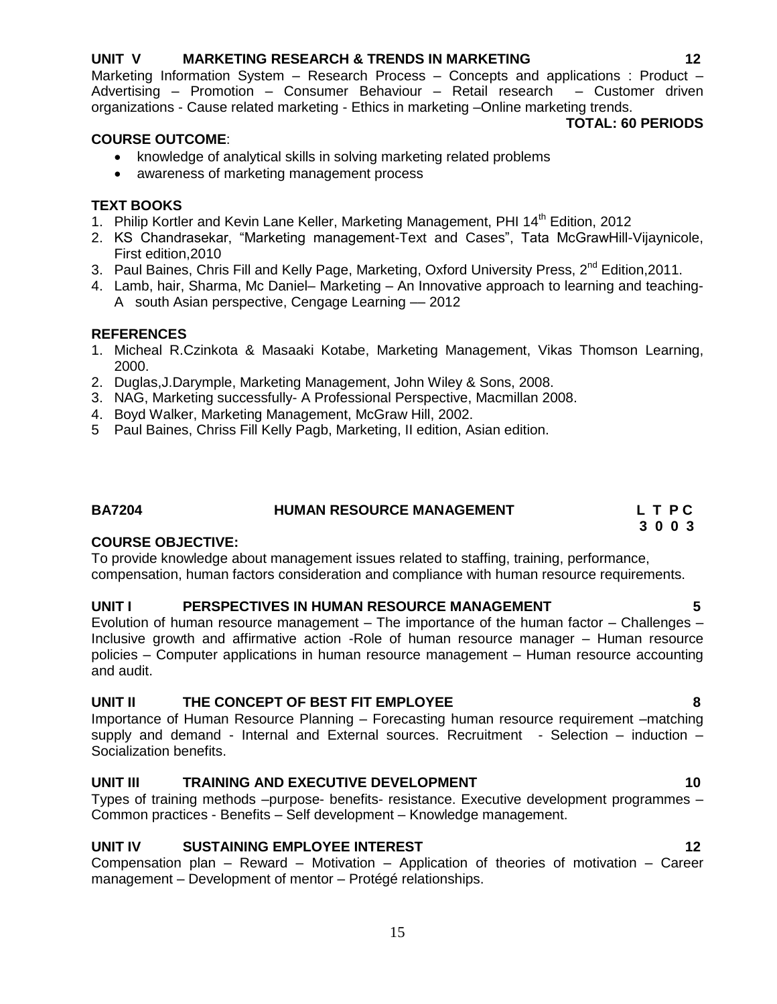#### **UNIT V MARKETING RESEARCH & TRENDS IN MARKETING 12**

Marketing Information System – Research Process – Concepts and applications : Product – Advertising – Promotion – Consumer Behaviour – Retail research – Customer driven organizations - Cause related marketing - Ethics in marketing –Online marketing trends. **TOTAL: 60 PERIODS**

### **COURSE OUTCOME**:

- knowledge of analytical skills in solving marketing related problems
- awareness of marketing management process

### **TEXT BOOKS**

- 1. Philip Kortler and Kevin Lane Keller, Marketing Management, PHI 14<sup>th</sup> Edition, 2012
- 2. KS Chandrasekar, "Marketing management-Text and Cases", Tata McGrawHill-Vijaynicole, First edition,2010
- 3. Paul Baines, Chris Fill and Kelly Page, Marketing, Oxford University Press, 2<sup>nd</sup> Edition, 2011.
- 4. Lamb, hair, Sharma, Mc Daniel– Marketing An Innovative approach to learning and teaching-A south Asian perspective, Cengage Learning –– 2012

### **REFERENCES**

- 1. Micheal R.Czinkota & Masaaki Kotabe, Marketing Management, Vikas Thomson Learning, 2000.
- 2. Duglas,J.Darymple, Marketing Management, John Wiley & Sons, 2008.
- 3. NAG, Marketing successfully- A Professional Perspective, Macmillan 2008.
- 4. Boyd Walker, Marketing Management, McGraw Hill, 2002.
- 5 Paul Baines, Chriss Fill Kelly Pagb, Marketing, II edition, Asian edition.

## **BA7204 HUMAN RESOURCE MANAGEMENT L T P C**

### **COURSE OBJECTIVE:**

To provide knowledge about management issues related to staffing, training, performance, compensation, human factors consideration and compliance with human resource requirements.

#### **UNIT I PERSPECTIVES IN HUMAN RESOURCE MANAGEMENT 5**

Evolution of human resource management – The importance of the human factor – Challenges – Inclusive growth and affirmative action -Role of human resource manager – Human resource policies – Computer applications in human resource management – Human resource accounting and audit.

#### **UNIT II THE CONCEPT OF BEST FIT EMPLOYEE 8**

Importance of Human Resource Planning – Forecasting human resource requirement –matching supply and demand - Internal and External sources. Recruitment - Selection  $-$  induction  $-$ Socialization benefits.

### **UNIT III** TRAINING AND EXECUTIVE DEVELOPMENT 10

Types of training methods –purpose- benefits- resistance. Executive development programmes – Common practices - Benefits – Self development – Knowledge management.

### **UNIT IV SUSTAINING EMPLOYEE INTEREST 42**

Compensation plan – Reward – Motivation – Application of theories of motivation – Career management – Development of mentor – Protégé relationships.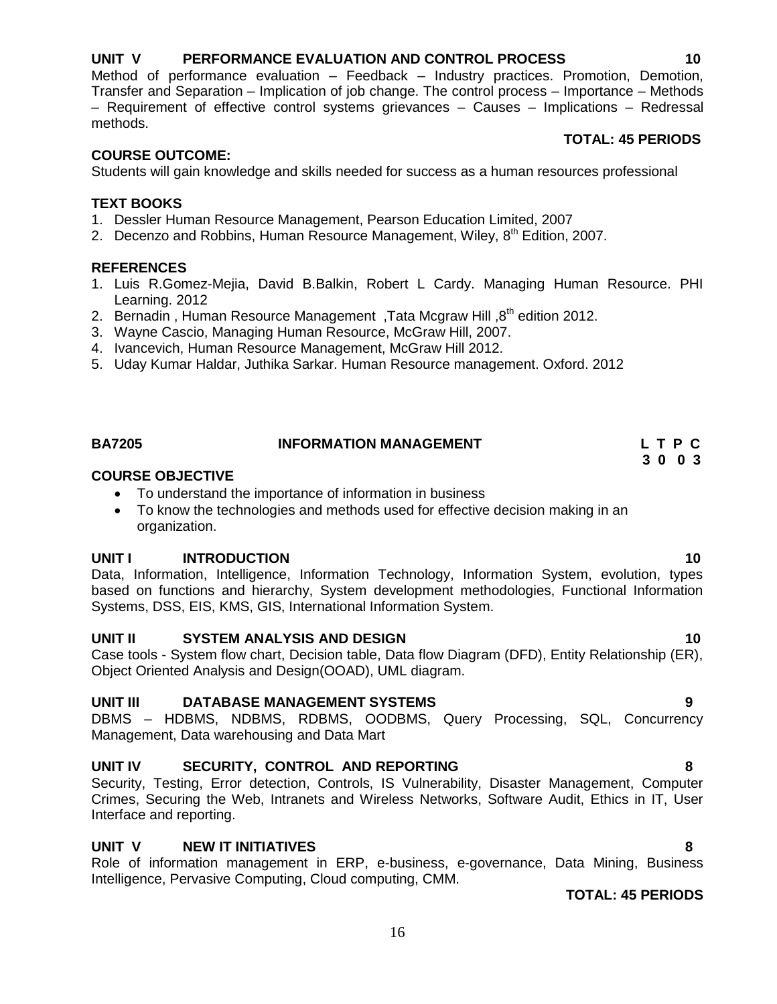#### **UNIT V PERFORMANCE EVALUATION AND CONTROL PROCESS 10**

Method of performance evaluation – Feedback – Industry practices. Promotion, Demotion, Transfer and Separation – Implication of job change. The control process – Importance – Methods – Requirement of effective control systems grievances – Causes – Implications – Redressal methods.

#### **TOTAL: 45 PERIODS**

#### **COURSE OUTCOME:**

Students will gain knowledge and skills needed for success as a human resources professional

#### **TEXT BOOKS**

- 1. Dessler Human Resource Management, Pearson Education Limited, 2007
- 2. Decenzo and Robbins, Human Resource Management, Wiley,  $8^{th}$  Edition, 2007.

#### **REFERENCES**

- 1. Luis R.Gomez-Mejia, David B.Balkin, Robert L Cardy. Managing Human Resource. PHI Learning. 2012
- 2. Bernadin, Human Resource Management, Tata Mcgraw Hill,  $8<sup>th</sup>$  edition 2012.
- 3. Wayne Cascio, Managing Human Resource, McGraw Hill, 2007.
- 4. Ivancevich, Human Resource Management, McGraw Hill 2012.
- 5. Uday Kumar Haldar, Juthika Sarkar. Human Resource management. Oxford. 2012

### **BA7205 INFORMATION MANAGEMENT L T P C**

#### **COURSE OBJECTIVE**

- To understand the importance of information in business
- To know the technologies and methods used for effective decision making in an organization.

#### **UNIT I INTRODUCTION 10**

Data, Information, Intelligence, Information Technology, Information System, evolution, types based on functions and hierarchy, System development methodologies, Functional Information Systems, DSS, EIS, KMS, GIS, International Information System.

#### **UNIT II SYSTEM ANALYSIS AND DESIGN 10**

Case tools - System flow chart, Decision table, Data flow Diagram (DFD), Entity Relationship (ER), Object Oriented Analysis and Design(OOAD), UML diagram.

#### **UNIT III DATABASE MANAGEMENT SYSTEMS 9**

DBMS – HDBMS, NDBMS, RDBMS, OODBMS, Query Processing, SQL, Concurrency Management, Data warehousing and Data Mart

#### **UNIT IV SECURITY, CONTROL AND REPORTING 8**

Security, Testing, Error detection, Controls, IS Vulnerability, Disaster Management, Computer Crimes, Securing the Web, Intranets and Wireless Networks, Software Audit, Ethics in IT, User Interface and reporting.

#### **UNIT V NEW IT INITIATIVES 8**

Role of information management in ERP, e-business, e-governance, Data Mining, Business Intelligence, Pervasive Computing, Cloud computing, CMM.

#### **TOTAL: 45 PERIODS**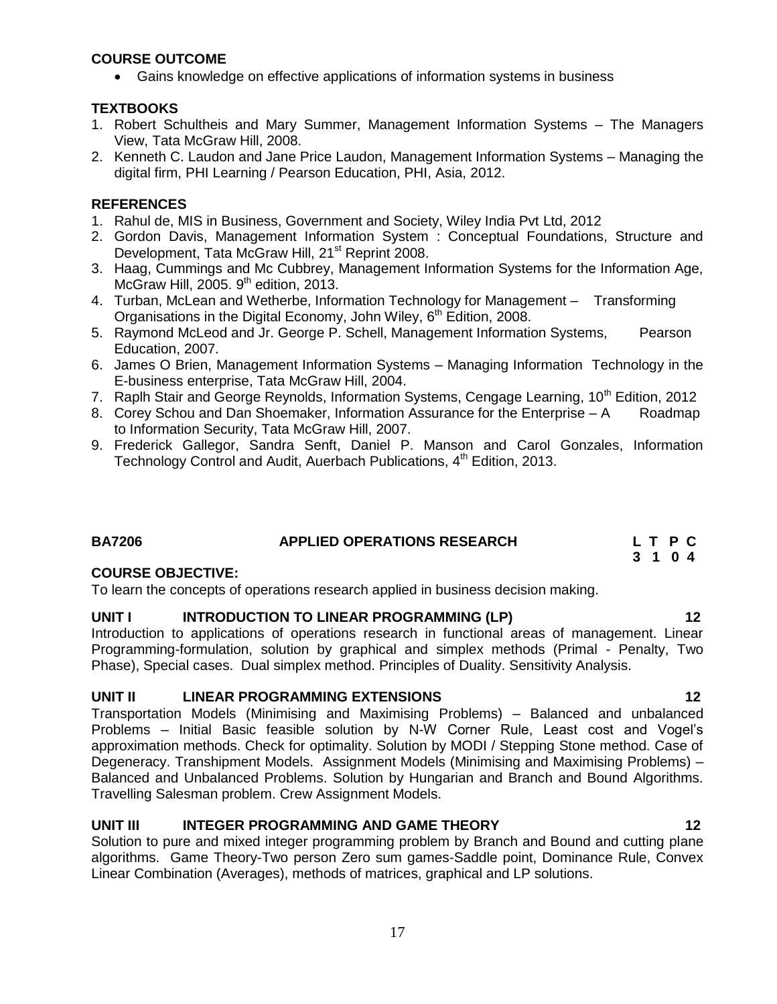### **COURSE OUTCOME**

Gains knowledge on effective applications of information systems in business

### **TEXTBOOKS**

- 1. Robert Schultheis and Mary Summer, Management Information Systems The Managers View, Tata McGraw Hill, 2008.
- 2. Kenneth C. Laudon and Jane Price Laudon, Management Information Systems Managing the digital firm, PHI Learning / Pearson Education, PHI, Asia, 2012.

### **REFERENCES**

- 1. Rahul de, MIS in Business, Government and Society, Wiley India Pvt Ltd, 2012
- 2. Gordon Davis, Management Information System : Conceptual Foundations, Structure and Development, Tata McGraw Hill, 21<sup>st</sup> Reprint 2008.
- 3. Haag, Cummings and Mc Cubbrey, Management Information Systems for the Information Age, McGraw Hill, 2005.  $9<sup>th</sup>$  edition, 2013.
- 4. Turban, McLean and Wetherbe, Information Technology for Management Transforming Organisations in the Digital Economy, John Wiley,  $6<sup>th</sup>$  Edition, 2008.
- 5. Raymond McLeod and Jr. George P. Schell, Management Information Systems, Pearson Education, 2007.
- 6. James O Brien, Management Information Systems Managing Information Technology in the E-business enterprise, Tata McGraw Hill, 2004.
- 7. Raplh Stair and George Reynolds, Information Systems, Cengage Learning, 10<sup>th</sup> Edition, 2012
- 8. Corey Schou and Dan Shoemaker, Information Assurance for the Enterprise A Roadmap to Information Security, Tata McGraw Hill, 2007.
- 9. Frederick Gallegor, Sandra Senft, Daniel P. Manson and Carol Gonzales, Information Technology Control and Audit, Auerbach Publications, 4<sup>th</sup> Edition, 2013.

### **BA7206 APPLIED OPERATIONS RESEARCH L T P C**

#### **COURSE OBJECTIVE:**

To learn the concepts of operations research applied in business decision making.

#### **UNIT I INTRODUCTION TO LINEAR PROGRAMMING (LP) 12**

Introduction to applications of operations research in functional areas of management. Linear Programming-formulation, solution by graphical and simplex methods (Primal - Penalty, Two Phase), Special cases. Dual simplex method. Principles of Duality. Sensitivity Analysis.

#### **UNIT II LINEAR PROGRAMMING EXTENSIONS 12**

Transportation Models (Minimising and Maximising Problems) – Balanced and unbalanced Problems – Initial Basic feasible solution by N-W Corner Rule, Least cost and Vogel"s approximation methods. Check for optimality. Solution by MODI / Stepping Stone method. Case of Degeneracy. Transhipment Models. Assignment Models (Minimising and Maximising Problems) – Balanced and Unbalanced Problems. Solution by Hungarian and Branch and Bound Algorithms. Travelling Salesman problem. Crew Assignment Models.

### **UNIT III INTEGER PROGRAMMING AND GAME THEORY 12**

Solution to pure and mixed integer programming problem by Branch and Bound and cutting plane algorithms. Game Theory-Two person Zero sum games-Saddle point, Dominance Rule, Convex Linear Combination (Averages), methods of matrices, graphical and LP solutions.

 **3 1 0 4**

#### 17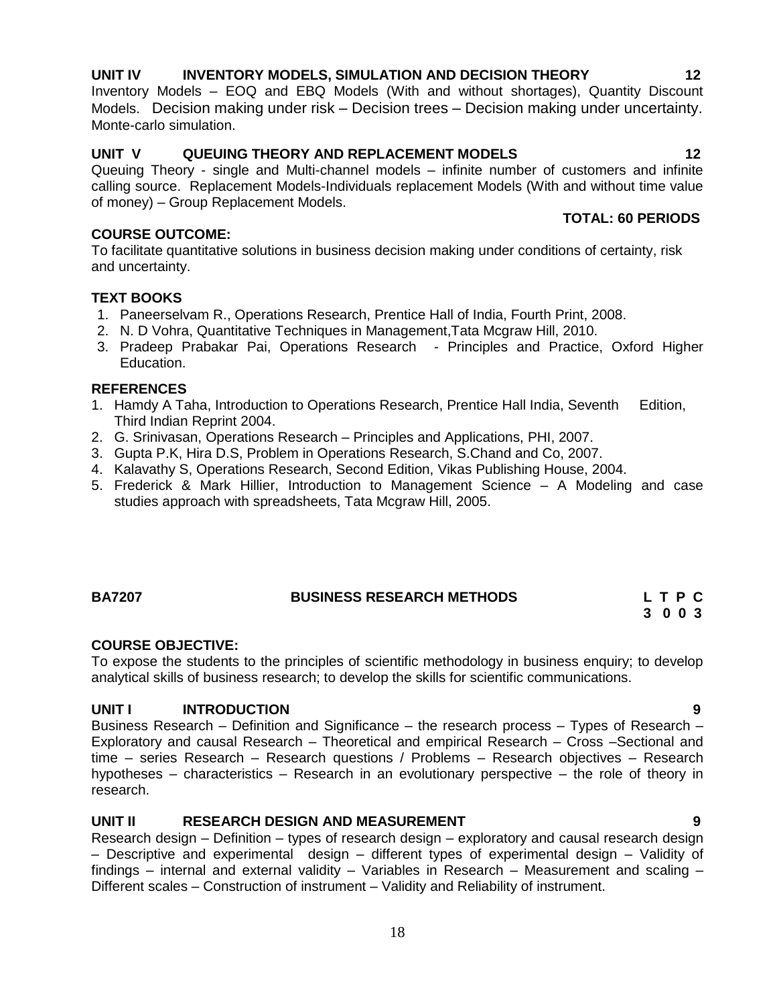#### 18

### **UNIT IV INVENTORY MODELS, SIMULATION AND DECISION THEORY 12**

Inventory Models – EOQ and EBQ Models (With and without shortages), Quantity Discount Models. Decision making under risk – Decision trees – Decision making under uncertainty. Monte-carlo simulation.

### **UNIT V QUEUING THEORY AND REPLACEMENT MODELS 12**

Queuing Theory - single and Multi-channel models – infinite number of customers and infinite calling source. Replacement Models-Individuals replacement Models (With and without time value of money) – Group Replacement Models.

### **COURSE OUTCOME:**

To facilitate quantitative solutions in business decision making under conditions of certainty, risk and uncertainty.

### **TEXT BOOKS**

- 1. Paneerselvam R., Operations Research, Prentice Hall of India, Fourth Print, 2008.
- 2. N. D Vohra, Quantitative Techniques in Management,Tata Mcgraw Hill, 2010.
- 3. Pradeep Prabakar Pai, Operations Research Principles and Practice, Oxford Higher Education.

#### **REFERENCES**

- 1. Hamdy A Taha, Introduction to Operations Research, Prentice Hall India, Seventh Edition, Third Indian Reprint 2004.
- 2. G. Srinivasan, Operations Research Principles and Applications, PHI, 2007.
- 3. Gupta P.K, Hira D.S, Problem in Operations Research, S.Chand and Co, 2007.
- 4. Kalavathy S, Operations Research, Second Edition, Vikas Publishing House, 2004.
- 5. Frederick & Mark Hillier, Introduction to Management Science A Modeling and case studies approach with spreadsheets, Tata Mcgraw Hill, 2005.

#### **BA7207 BUSINESS RESEARCH METHODS L T P C**

# **COURSE OBJECTIVE:**

To expose the students to the principles of scientific methodology in business enquiry; to develop analytical skills of business research; to develop the skills for scientific communications.

#### **UNIT I INTRODUCTION 9**

Business Research – Definition and Significance – the research process – Types of Research – Exploratory and causal Research – Theoretical and empirical Research – Cross –Sectional and time – series Research – Research questions / Problems – Research objectives – Research hypotheses – characteristics – Research in an evolutionary perspective – the role of theory in research.

### **UNIT II RESEARCH DESIGN AND MEASUREMENT 9**

Research design – Definition – types of research design – exploratory and causal research design – Descriptive and experimental design – different types of experimental design – Validity of findings – internal and external validity – Variables in Research – Measurement and scaling – Different scales – Construction of instrument – Validity and Reliability of instrument.

**3 0 0 3**

 **TOTAL: 60 PERIODS**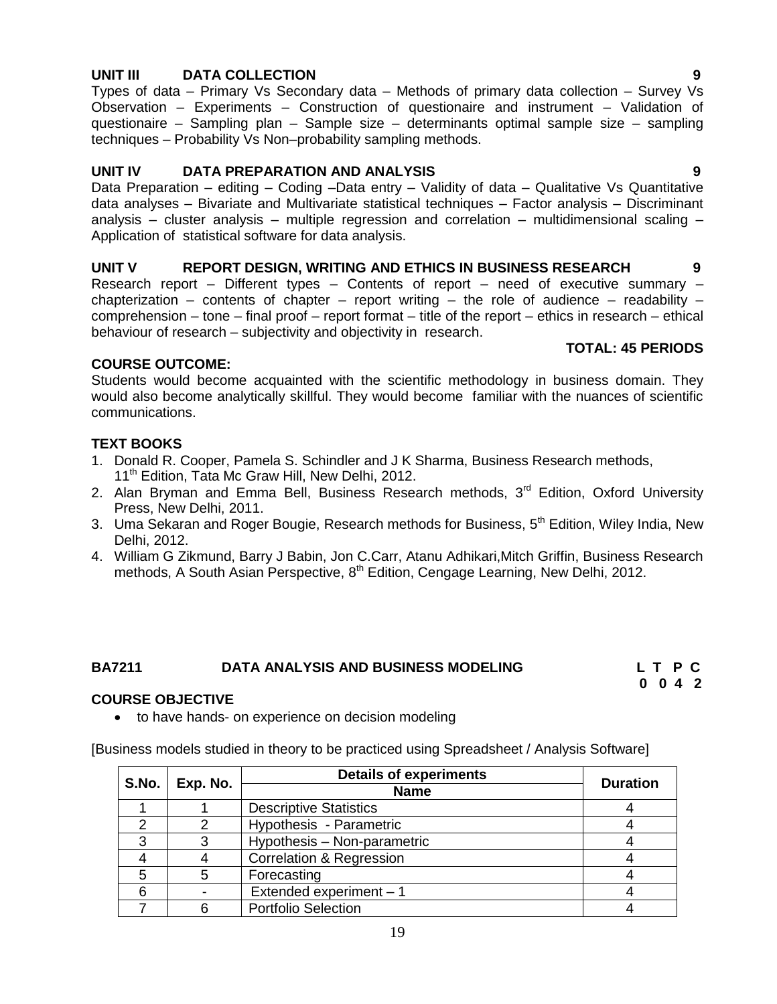#### **UNIT III DATA COLLECTION 9**

Types of data – Primary Vs Secondary data – Methods of primary data collection – Survey Vs Observation – Experiments – Construction of questionaire and instrument – Validation of questionaire – Sampling plan – Sample size – determinants optimal sample size – sampling techniques – Probability Vs Non–probability sampling methods.

#### **UNIT IV DATA PREPARATION AND ANALYSIS 9**

Data Preparation - editing - Coding -Data entry - Validity of data - Qualitative Vs Quantitative data analyses – Bivariate and Multivariate statistical techniques – Factor analysis – Discriminant analysis – cluster analysis – multiple regression and correlation – multidimensional scaling – Application of statistical software for data analysis.

#### **UNIT V REPORT DESIGN, WRITING AND ETHICS IN BUSINESS RESEARCH 9**

Research report – Different types – Contents of report – need of executive summary – chapterization – contents of chapter – report writing – the role of audience – readability – comprehension – tone – final proof – report format – title of the report – ethics in research – ethical behaviour of research – subjectivity and objectivity in research.

#### **TOTAL: 45 PERIODS**

#### **COURSE OUTCOME:**

Students would become acquainted with the scientific methodology in business domain. They would also become analytically skillful. They would become familiar with the nuances of scientific communications.

#### **TEXT BOOKS**

- 1. Donald R. Cooper, Pamela S. Schindler and J K Sharma, Business Research methods, 11<sup>th</sup> Edition, Tata Mc Graw Hill, New Delhi, 2012.
- 2. Alan Bryman and Emma Bell, Business Research methods, 3<sup>rd</sup> Edition, Oxford University Press, New Delhi, 2011.
- 3. Uma Sekaran and Roger Bougie, Research methods for Business, 5<sup>th</sup> Edition, Wiley India, New Delhi, 2012.
- 4. William G Zikmund, Barry J Babin, Jon C.Carr, Atanu Adhikari,Mitch Griffin, Business Research methods, A South Asian Perspective, 8<sup>th</sup> Edition, Cengage Learning, New Delhi, 2012.

#### **BA7211 DATA ANALYSIS AND BUSINESS MODELING L T P C**

### **0 0 4 2**

#### **COURSE OBJECTIVE**

• to have hands- on experience on decision modeling

[Business models studied in theory to be practiced using Spreadsheet / Analysis Software]

| S.No. | Exp. No. | <b>Details of experiments</b>       | <b>Duration</b> |
|-------|----------|-------------------------------------|-----------------|
|       |          | <b>Name</b>                         |                 |
|       |          | <b>Descriptive Statistics</b>       |                 |
|       |          | Hypothesis - Parametric             |                 |
|       |          | Hypothesis - Non-parametric         |                 |
|       |          | <b>Correlation &amp; Regression</b> |                 |
|       |          | Forecasting                         |                 |
|       |          | Extended experiment - 1             |                 |
|       |          | <b>Portfolio Selection</b>          |                 |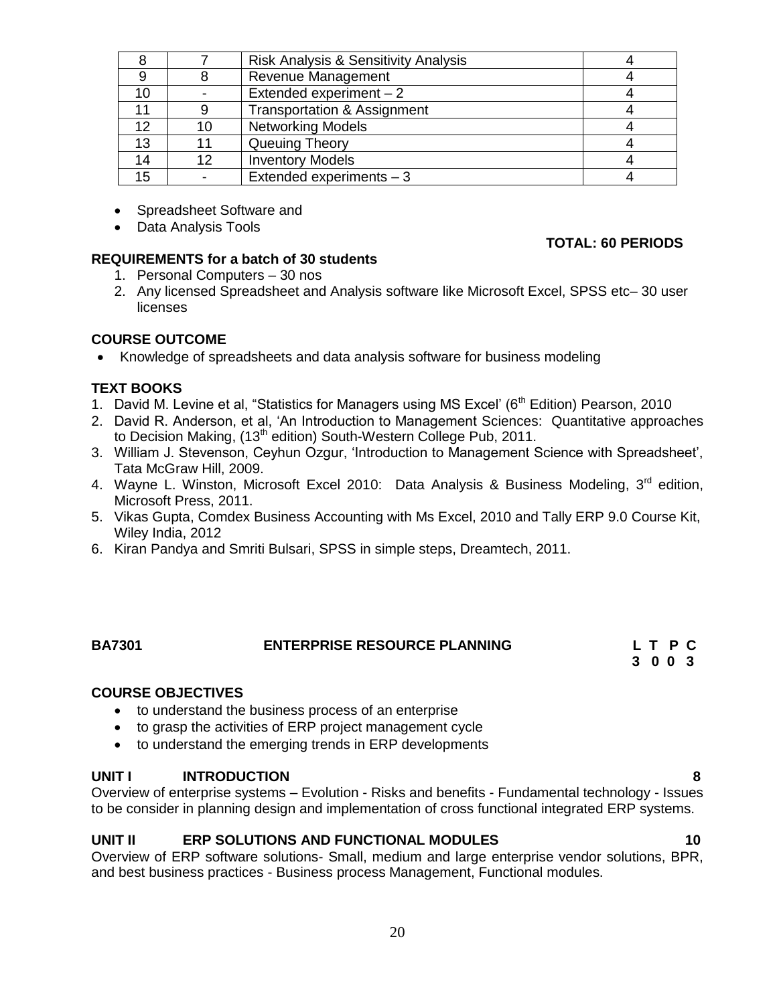|    |     | <b>Risk Analysis &amp; Sensitivity Analysis</b> |  |
|----|-----|-------------------------------------------------|--|
|    |     | Revenue Management                              |  |
| 10 |     | Extended experiment $-2$                        |  |
|    |     | <b>Transportation &amp; Assignment</b>          |  |
| 12 | 10  | <b>Networking Models</b>                        |  |
| 13 |     | Queuing Theory                                  |  |
| 14 | 12. | <b>Inventory Models</b>                         |  |
| 15 |     | Extended experiments - 3                        |  |

- Spreadsheet Software and
- Data Analysis Tools

### **REQUIREMENTS for a batch of 30 students**

- 1. Personal Computers 30 nos
- 2. Any licensed Spreadsheet and Analysis software like Microsoft Excel, SPSS etc– 30 user licenses

### **COURSE OUTCOME**

• Knowledge of spreadsheets and data analysis software for business modeling

### **TEXT BOOKS**

- 1. David M. Levine et al, "Statistics for Managers using MS Excel' (6<sup>th</sup> Edition) Pearson, 2010
- 2. David R. Anderson, et al, 'An Introduction to Management Sciences: Quantitative approaches to Decision Making,  $(13<sup>th</sup>$  edition) South-Western College Pub, 2011.
- 3. William J. Stevenson, Ceyhun Ozgur, "Introduction to Management Science with Spreadsheet", Tata McGraw Hill, 2009.
- 4. Wayne L. Winston, Microsoft Excel 2010: Data Analysis & Business Modeling, 3<sup>rd</sup> edition, Microsoft Press, 2011.
- 5. Vikas Gupta, Comdex Business Accounting with Ms Excel, 2010 and Tally ERP 9.0 Course Kit, Wiley India, 2012
- 6. Kiran Pandya and Smriti Bulsari, SPSS in simple steps, Dreamtech, 2011.

#### **BA7301 ENTERPRISE RESOURCE PLANNING L T P C 3 0 0 3**

### **COURSE OBJECTIVES**

- to understand the business process of an enterprise
- to grasp the activities of ERP project management cycle
- to understand the emerging trends in ERP developments

#### **UNIT I INTRODUCTION 8**

Overview of enterprise systems – Evolution - Risks and benefits - Fundamental technology - Issues to be consider in planning design and implementation of cross functional integrated ERP systems.

### **UNIT II ERP SOLUTIONS AND FUNCTIONAL MODULES 10**

Overview of ERP software solutions- Small, medium and large enterprise vendor solutions, BPR, and best business practices - Business process Management, Functional modules.

### **TOTAL: 60 PERIODS**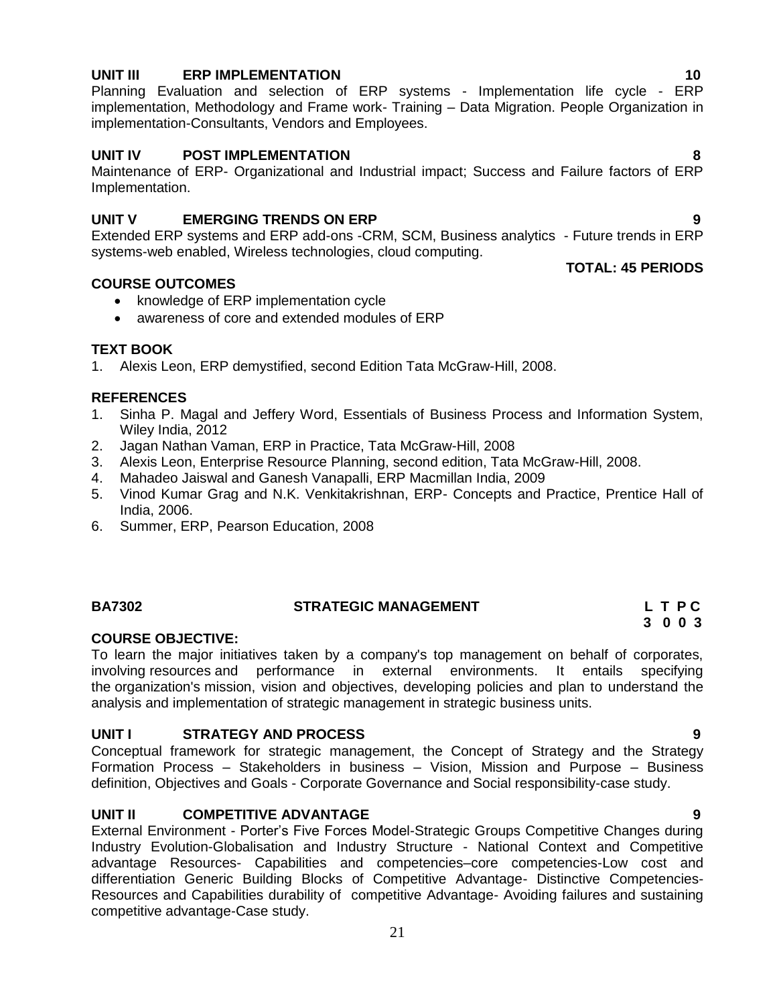#### **UNIT III ERP IMPLEMENTATION 10**

Planning Evaluation and selection of ERP systems - Implementation life cycle - ERP implementation, Methodology and Frame work- Training – Data Migration. People Organization in implementation-Consultants, Vendors and Employees.

#### **UNIT IV POST IMPLEMENTATION 8**

Maintenance of ERP- Organizational and Industrial impact; Success and Failure factors of ERP Implementation.

#### **UNIT V EMERGING TRENDS ON ERP 9**

Extended ERP systems and ERP add-ons -CRM, SCM, Business analytics - Future trends in ERP systems-web enabled, Wireless technologies, cloud computing.

#### **COURSE OUTCOMES**

- knowledge of ERP implementation cycle
- awareness of core and extended modules of ERP

#### **TEXT BOOK**

1. Alexis Leon, ERP demystified, second Edition Tata McGraw-Hill, 2008.

#### **REFERENCES**

- 1. Sinha P. Magal and Jeffery Word, Essentials of Business Process and Information System, Wiley India, 2012
- 2. Jagan Nathan Vaman, ERP in Practice, Tata McGraw-Hill, 2008
- 3. Alexis Leon, Enterprise Resource Planning, second edition, Tata McGraw-Hill, 2008.
- 4. Mahadeo Jaiswal and Ganesh Vanapalli, ERP Macmillan India, 2009
- 5. Vinod Kumar Grag and N.K. Venkitakrishnan, ERP- Concepts and Practice, Prentice Hall of India, 2006.
- 6. Summer, ERP, Pearson Education, 2008

#### **BA7302 STRATEGIC MANAGEMENT L T P C**

# **3 0 0 3**

#### **COURSE OBJECTIVE:**

To learn the major initiatives taken by a company's top management on behalf of corporates, involving [resources](http://en.wikipedia.org/wiki/Factors_of_production) and performance in external environments. It entails specifying the [organization's](http://en.wikipedia.org/wiki/Organization) [mission,](http://en.wikipedia.org/wiki/Mission_statement) vision and objectives, developing policies and plan to understand the analysis and implementation of strategic management in strategic business units.

#### **UNIT I STRATEGY AND PROCESS 9**

Conceptual framework for strategic management, the Concept of Strategy and the Strategy Formation Process – Stakeholders in business – Vision, Mission and Purpose – Business definition, Objectives and Goals - Corporate Governance and Social responsibility-case study.

#### **UNIT II COMPETITIVE ADVANTAGE 9**

External Environment - Porter"s Five Forces Model-Strategic Groups Competitive Changes during Industry Evolution-Globalisation and Industry Structure - National Context and Competitive advantage Resources- Capabilities and competencies–core competencies-Low cost and differentiation Generic Building Blocks of Competitive Advantage- Distinctive Competencies-Resources and Capabilities durability of competitive Advantage- Avoiding failures and sustaining competitive advantage-Case study.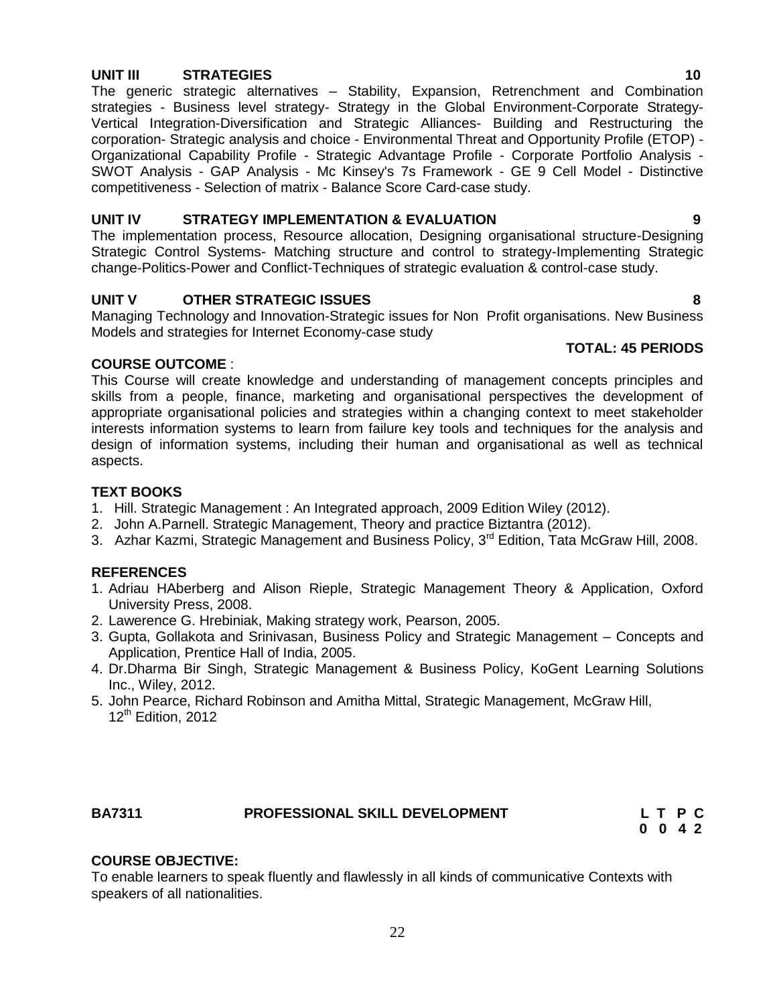#### **UNIT III STRATEGIES 10**

The generic strategic alternatives – Stability, Expansion, Retrenchment and Combination strategies - Business level strategy- Strategy in the Global Environment-Corporate Strategy-Vertical Integration-Diversification and Strategic Alliances- Building and Restructuring the corporation- Strategic analysis and choice - Environmental Threat and Opportunity Profile (ETOP) - Organizational Capability Profile - Strategic Advantage Profile - Corporate Portfolio Analysis - SWOT Analysis - GAP Analysis - Mc Kinsey's 7s Framework - GE 9 Cell Model - Distinctive competitiveness - Selection of matrix - Balance Score Card-case study.

#### **UNIT IV STRATEGY IMPLEMENTATION & EVALUATION 9**

The implementation process, Resource allocation, Designing organisational structure-Designing Strategic Control Systems- Matching structure and control to strategy-Implementing Strategic change-Politics-Power and Conflict-Techniques of strategic evaluation & control-case study.

#### **UNIT V OTHER STRATEGIC ISSUES 8**

Managing Technology and Innovation-Strategic issues for Non Profit organisations. New Business Models and strategies for Internet Economy-case study

#### **COURSE OUTCOME** :

This Course will create knowledge and understanding of management concepts principles and skills from a people, finance, marketing and organisational perspectives the development of appropriate organisational policies and strategies within a changing context to meet stakeholder interests information systems to learn from failure key tools and techniques for the analysis and design of information systems, including their human and organisational as well as technical aspects.

#### **TEXT BOOKS**

- 1. Hill. Strategic Management : An Integrated approach, 2009 Edition Wiley (2012).
- 2. John A.Parnell. Strategic Management, Theory and practice Biztantra (2012).
- 3. Azhar Kazmi, Strategic Management and Business Policy, 3<sup>rd</sup> Edition, Tata McGraw Hill, 2008.

#### **REFERENCES**

- 1. Adriau HAberberg and Alison Rieple, Strategic Management Theory & Application, Oxford University Press, 2008.
- 2. Lawerence G. Hrebiniak, Making strategy work, Pearson, 2005.
- 3. Gupta, Gollakota and Srinivasan, Business Policy and Strategic Management Concepts and Application, Prentice Hall of India, 2005.
- 4. Dr.Dharma Bir Singh, Strategic Management & Business Policy, KoGent Learning Solutions Inc., Wiley, 2012.
- 5. John Pearce, Richard Robinson and Amitha Mittal, Strategic Management, McGraw Hill,  $12<sup>th</sup>$  Edition, 2012

#### **BA7311 PROFESSIONAL SKILL DEVELOPMENT L T P C**

**0 0 4 2**

#### **COURSE OBJECTIVE:**

To enable learners to speak fluently and flawlessly in all kinds of communicative Contexts with speakers of all nationalities.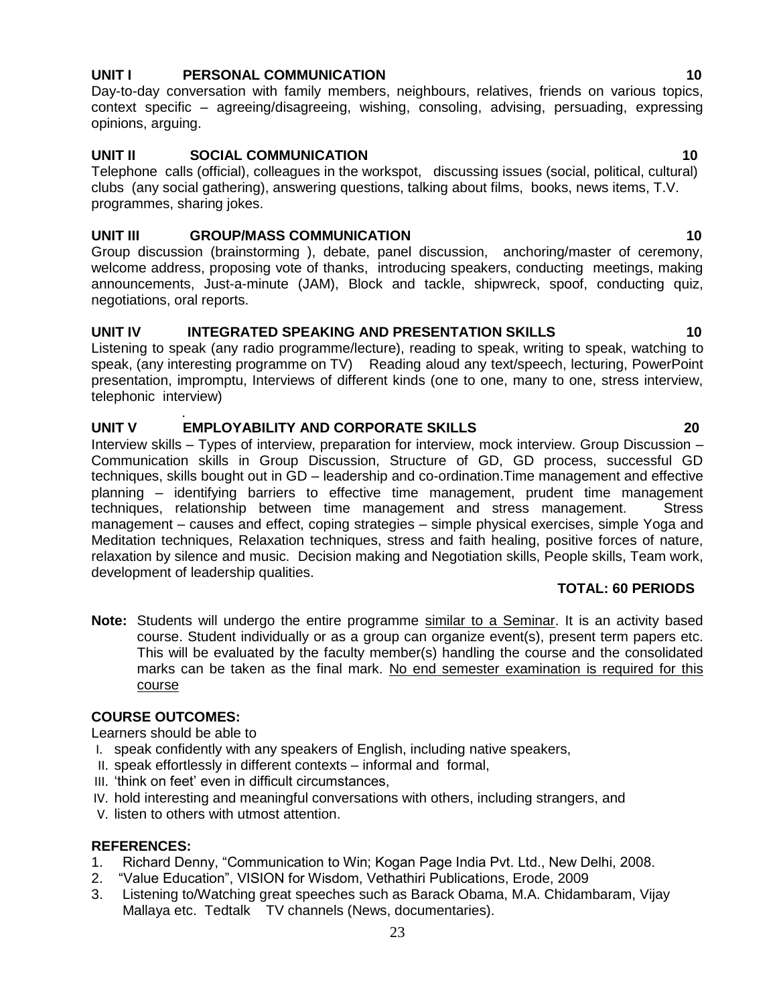#### **UNIT I** PERSONAL COMMUNICATION **10**

Day-to-day conversation with family members, neighbours, relatives, friends on various topics, context specific – agreeing/disagreeing, wishing, consoling, advising, persuading, expressing opinions, arguing.

### **UNIT II SOCIAL COMMUNICATION 10**

Telephone calls (official), colleagues in the workspot, discussing issues (social, political, cultural) clubs (any social gathering), answering questions, talking about films, books, news items, T.V. programmes, sharing jokes.

#### **UNIT III GROUP/MASS COMMUNICATION 10**

Group discussion (brainstorming ), debate, panel discussion, anchoring/master of ceremony, welcome address, proposing vote of thanks, introducing speakers, conducting meetings, making announcements, Just-a-minute (JAM), Block and tackle, shipwreck, spoof, conducting quiz, negotiations, oral reports.

#### **UNIT IV INTEGRATED SPEAKING AND PRESENTATION SKILLS 10**

Listening to speak (any radio programme/lecture), reading to speak, writing to speak, watching to speak, (any interesting programme on TV) Reading aloud any text/speech, lecturing, PowerPoint presentation, impromptu, Interviews of different kinds (one to one, many to one, stress interview, telephonic interview)

#### . **UNIT V EMPLOYABILITY AND CORPORATE SKILLS 20**

Interview skills – Types of interview, preparation for interview, mock interview. Group Discussion – Communication skills in Group Discussion, Structure of GD, GD process, successful GD techniques, skills bought out in GD – leadership and co-ordination.Time management and effective planning – identifying barriers to effective time management, prudent time management techniques, relationship between time management and stress management. Stress management – causes and effect, coping strategies – simple physical exercises, simple Yoga and Meditation techniques, Relaxation techniques, stress and faith healing, positive forces of nature, relaxation by silence and music. Decision making and Negotiation skills, People skills, Team work, development of leadership qualities.

#### **TOTAL: 60 PERIODS**

Note: Students will undergo the entire programme similar to a Seminar. It is an activity based course. Student individually or as a group can organize event(s), present term papers etc. This will be evaluated by the faculty member(s) handling the course and the consolidated marks can be taken as the final mark. No end semester examination is required for this course

#### **COURSE OUTCOMES:**

Learners should be able to

- I. speak confidently with any speakers of English, including native speakers,
- II. speak effortlessly in different contexts informal and formal,
- III. "think on feet" even in difficult circumstances,
- IV. hold interesting and meaningful conversations with others, including strangers, and
- V. listen to others with utmost attention.

#### **REFERENCES:**

- 1. Richard Denny, "Communication to Win; Kogan Page India Pvt. Ltd., New Delhi, 2008.
- 2. "Value Education", VISION for Wisdom, Vethathiri Publications, Erode, 2009
- 3. Listening to/Watching great speeches such as Barack Obama, M.A. Chidambaram, Vijay Mallaya etc. Tedtalk TV channels (News, documentaries).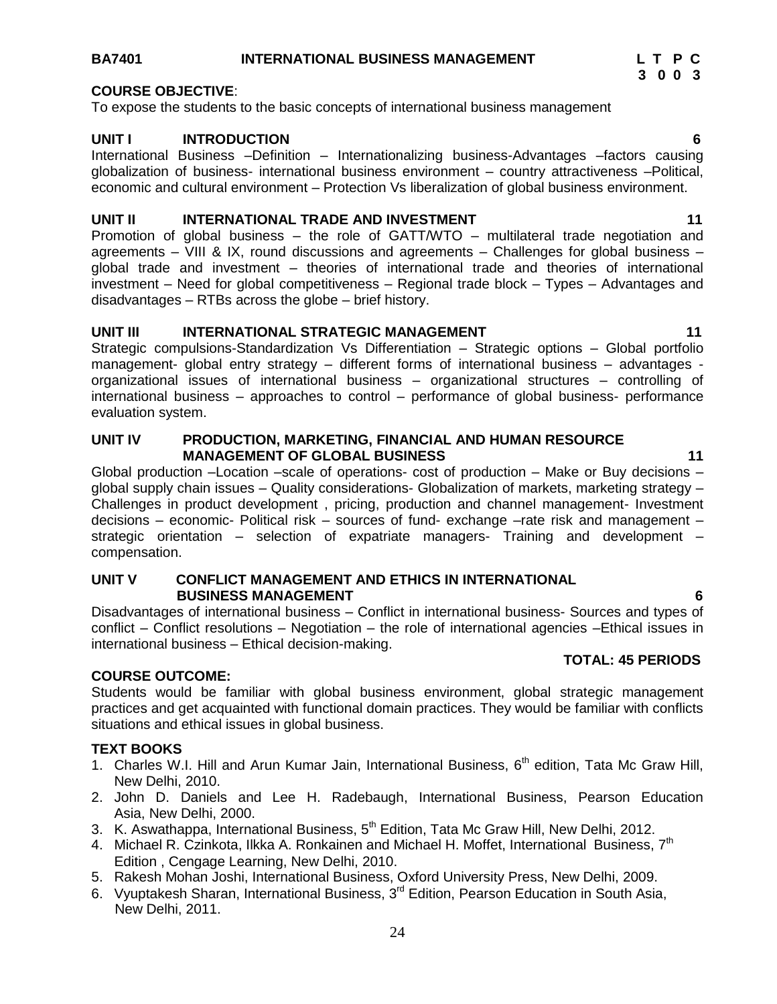### **BA7401 INTERNATIONAL BUSINESS MANAGEMENT L T P C**

### **COURSE OBJECTIVE**:

To expose the students to the basic concepts of international business management

### **UNIT I INTRODUCTION 6**

International Business –Definition – Internationalizing business-Advantages –factors causing globalization of business- international business environment – country attractiveness –Political, economic and cultural environment – Protection Vs liberalization of global business environment.

#### **UNIT II** INTERNATIONAL TRADE AND INVESTMENT 11 11

Promotion of global business – the role of GATT/WTO – multilateral trade negotiation and agreements – VIII & IX, round discussions and agreements – Challenges for global business – global trade and investment – theories of international trade and theories of international investment – Need for global competitiveness – Regional trade block – Types – Advantages and disadvantages – RTBs across the globe – brief history.

#### **UNIT III** INTERNATIONAL STRATEGIC MANAGEMENT 11 **11**

Strategic compulsions-Standardization Vs Differentiation – Strategic options – Global portfolio management- global entry strategy – different forms of international business – advantages organizational issues of international business – organizational structures – controlling of international business – approaches to control – performance of global business- performance evaluation system.

#### **UNIT IV PRODUCTION, MARKETING, FINANCIAL AND HUMAN RESOURCE MANAGEMENT OF GLOBAL BUSINESS 41**

Global production –Location –scale of operations- cost of production – Make or Buy decisions – global supply chain issues – Quality considerations- Globalization of markets, marketing strategy – Challenges in product development , pricing, production and channel management- Investment decisions – economic- Political risk – sources of fund- exchange –rate risk and management – strategic orientation – selection of expatriate managers- Training and development – compensation.

#### **UNIT V CONFLICT MANAGEMENT AND ETHICS IN INTERNATIONAL BUSINESS MANAGEMENT 6**

Disadvantages of international business – Conflict in international business- Sources and types of conflict – Conflict resolutions – Negotiation – the role of international agencies –Ethical issues in international business – Ethical decision-making.  **TOTAL: 45 PERIODS**

#### **COURSE OUTCOME:**

Students would be familiar with global business environment, global strategic management practices and get acquainted with functional domain practices. They would be familiar with conflicts situations and ethical issues in global business.

#### **TEXT BOOKS**

- 1. Charles W.I. Hill and Arun Kumar Jain, International Business, 6<sup>th</sup> edition, Tata Mc Graw Hill, New Delhi, 2010.
- 2. John D. Daniels and Lee H. Radebaugh, International Business, Pearson Education Asia, New Delhi, 2000.
- 3. K. Aswathappa, International Business, 5<sup>th</sup> Edition, Tata Mc Graw Hill, New Delhi, 2012.
- 4. Michael R. Czinkota, Ilkka A. Ronkainen and Michael H. Moffet, International Business, 7<sup>th</sup> Edition , Cengage Learning, New Delhi, 2010.
- 5. Rakesh Mohan Joshi, International Business, Oxford University Press, New Delhi, 2009.
- 6. Vyuptakesh Sharan, International Business, 3rd Edition, Pearson Education in South Asia, New Delhi, 2011.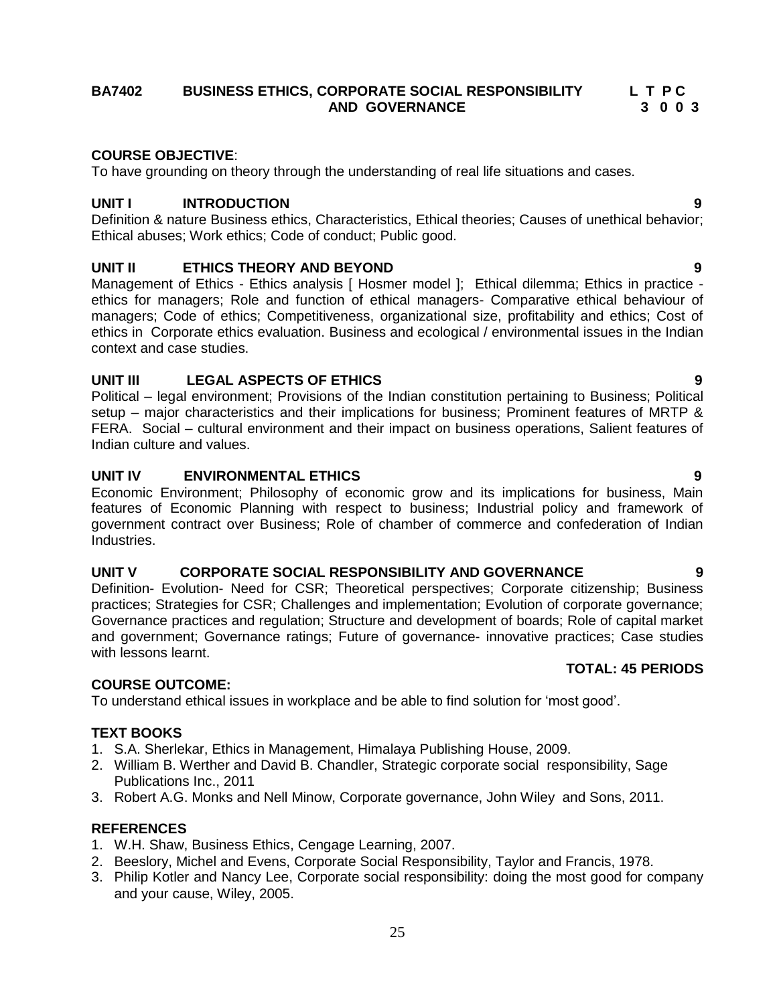#### **BA7402 BUSINESS ETHICS, CORPORATE SOCIAL RESPONSIBILITY L T P C AND GOVERNANCE 3 0 0 3**

### **COURSE OBJECTIVE**:

To have grounding on theory through the understanding of real life situations and cases.

#### **UNIT I INTRODUCTION 9**

Definition & nature Business ethics, Characteristics, Ethical theories; Causes of unethical behavior; Ethical abuses; Work ethics; Code of conduct; Public good.

#### **UNIT II ETHICS THEORY AND BEYOND 9**

Management of Ethics - Ethics analysis [ Hosmer model ]; Ethical dilemma; Ethics in practice ethics for managers; Role and function of ethical managers- Comparative ethical behaviour of managers; Code of ethics; Competitiveness, organizational size, profitability and ethics; Cost of ethics in Corporate ethics evaluation. Business and ecological / environmental issues in the Indian context and case studies.

#### **UNIT III LEGAL ASPECTS OF ETHICS 9**

Political – legal environment; Provisions of the Indian constitution pertaining to Business; Political setup – major characteristics and their implications for business; Prominent features of MRTP & FERA. Social – cultural environment and their impact on business operations, Salient features of Indian culture and values.

#### **UNIT IV ENVIRONMENTAL ETHICS 9**

Economic Environment; Philosophy of economic grow and its implications for business, Main features of Economic Planning with respect to business; Industrial policy and framework of government contract over Business; Role of chamber of commerce and confederation of Indian Industries.

### **UNIT V CORPORATE SOCIAL RESPONSIBILITY AND GOVERNANCE 9**

Definition- Evolution- Need for CSR; Theoretical perspectives; Corporate citizenship; Business practices; Strategies for CSR; Challenges and implementation; Evolution of corporate governance; Governance practices and regulation; Structure and development of boards; Role of capital market and government; Governance ratings; Future of governance- innovative practices; Case studies with lessons learnt.

#### **COURSE OUTCOME:**

To understand ethical issues in workplace and be able to find solution for "most good".

#### **TEXT BOOKS**

- 1. S.A. Sherlekar, Ethics in Management, Himalaya Publishing House, 2009.
- 2. William B. Werther and David B. Chandler, Strategic corporate social responsibility, Sage Publications Inc., 2011
- 3. Robert A.G. Monks and Nell Minow, Corporate governance, John Wiley and Sons, 2011.

#### **REFERENCES**

- 1. W.H. Shaw, Business Ethics, Cengage Learning, 2007.
- 2. Beeslory, Michel and Evens, Corporate Social Responsibility, Taylor and Francis, 1978.
- 3. Philip Kotler and Nancy Lee, Corporate social responsibility: doing the most good for company and your cause, Wiley, 2005.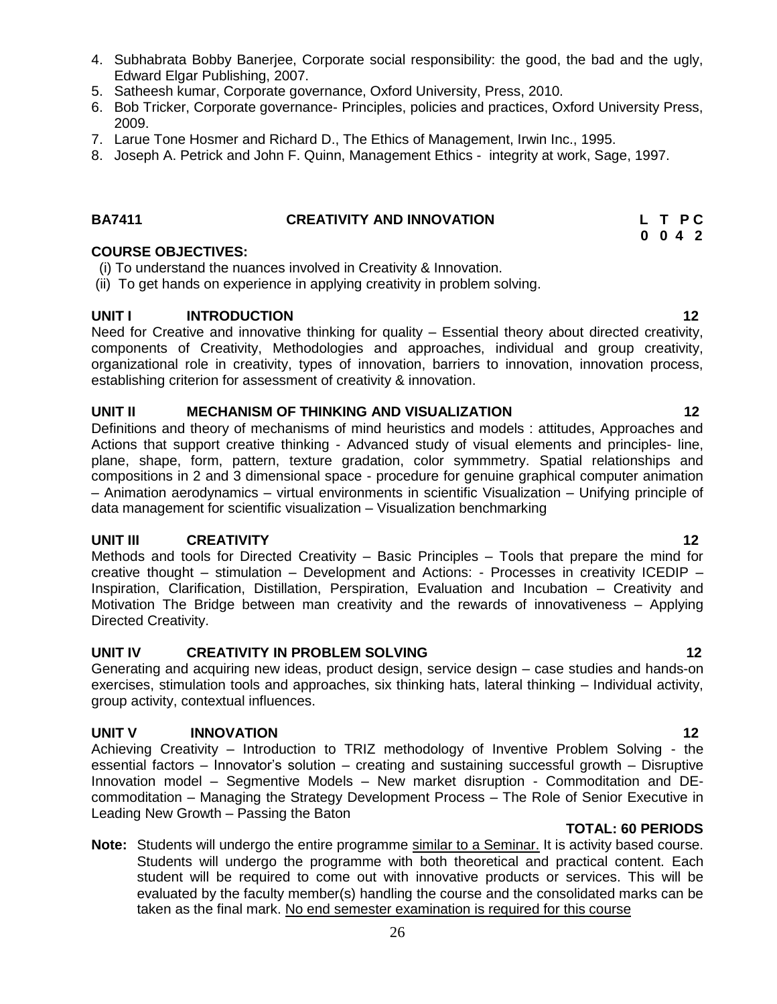- 4. Subhabrata Bobby Banerjee, Corporate social responsibility: the good, the bad and the ugly, Edward Elgar Publishing, 2007.
- 5. Satheesh kumar, Corporate governance, Oxford University, Press, 2010.
- 6. Bob Tricker, Corporate governance- Principles, policies and practices, Oxford University Press, 2009.
- 7. Larue Tone Hosmer and Richard D., The Ethics of Management, Irwin Inc., 1995.
- 8. Joseph A. Petrick and John F. Quinn, Management Ethics integrity at work, Sage, 1997.

### BA7411 **CREATIVITY AND INNOVATION** L T P C

#### **COURSE OBJECTIVES:**

- (i) To understand the nuances involved in Creativity & Innovation.
- (ii) To get hands on experience in applying creativity in problem solving.

#### **UNIT I INTRODUCTION 12**

Need for Creative and innovative thinking for quality – Essential theory about directed creativity, components of Creativity, Methodologies and approaches, individual and group creativity, organizational role in creativity, types of innovation, barriers to innovation, innovation process, establishing criterion for assessment of creativity & innovation.

#### **UNIT II MECHANISM OF THINKING AND VISUALIZATION 12**

Definitions and theory of mechanisms of mind heuristics and models : attitudes, Approaches and Actions that support creative thinking - Advanced study of visual elements and principles- line, plane, shape, form, pattern, texture gradation, color symmmetry. Spatial relationships and compositions in 2 and 3 dimensional space - procedure for genuine graphical computer animation – Animation aerodynamics – virtual environments in scientific Visualization – Unifying principle of data management for scientific visualization – Visualization benchmarking

#### **UNIT III CREATIVITY 12**

Methods and tools for Directed Creativity – Basic Principles – Tools that prepare the mind for creative thought – stimulation – Development and Actions: - Processes in creativity ICEDIP – Inspiration, Clarification, Distillation, Perspiration, Evaluation and Incubation – Creativity and Motivation The Bridge between man creativity and the rewards of innovativeness – Applying Directed Creativity.

#### **UNIT IV CREATIVITY IN PROBLEM SOLVING 12**

Generating and acquiring new ideas, product design, service design – case studies and hands-on exercises, stimulation tools and approaches, six thinking hats, lateral thinking – Individual activity, group activity, contextual influences.

#### **UNIT V INNOVATION 12**

Achieving Creativity – Introduction to TRIZ methodology of Inventive Problem Solving - the essential factors – Innovator"s solution – creating and sustaining successful growth – Disruptive Innovation model – Segmentive Models – New market disruption - Commoditation and DEcommoditation – Managing the Strategy Development Process – The Role of Senior Executive in Leading New Growth – Passing the Baton

- **TOTAL: 60 PERIODS**
- **Note:** Students will undergo the entire programme similar to a Seminar. It is activity based course. Students will undergo the programme with both theoretical and practical content. Each student will be required to come out with innovative products or services. This will be evaluated by the faculty member(s) handling the course and the consolidated marks can be taken as the final mark. No end semester examination is required for this course

 **0 0 4 2**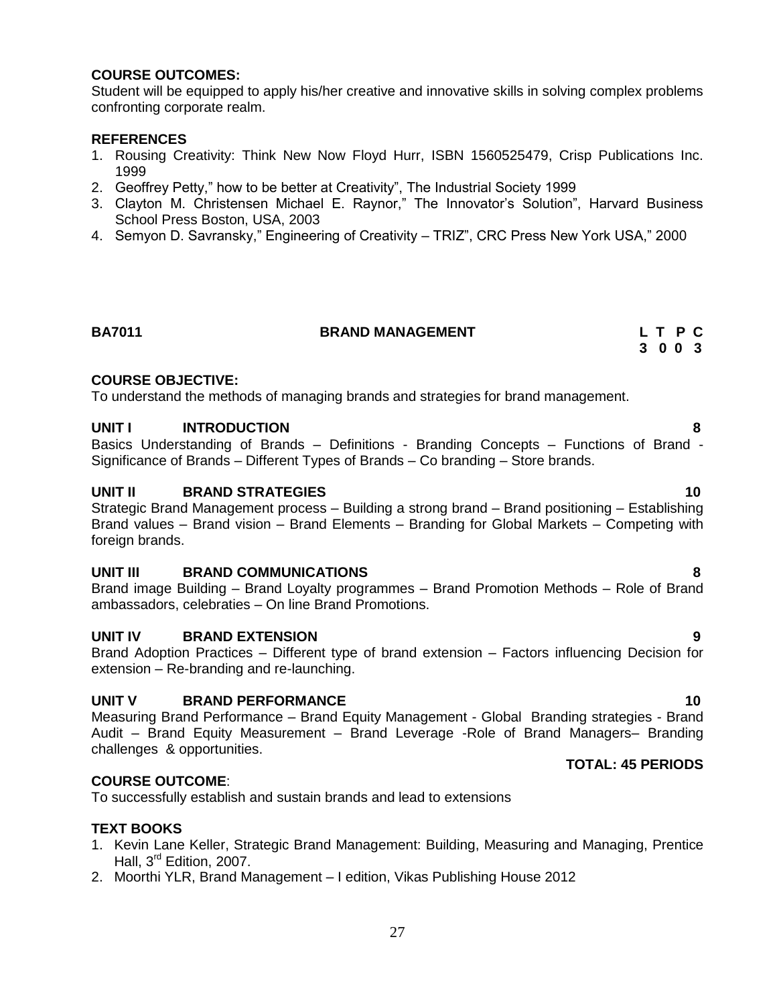#### **COURSE OUTCOMES:**

Student will be equipped to apply his/her creative and innovative skills in solving complex problems confronting corporate realm.

#### **REFERENCES**

- 1. Rousing Creativity: Think New Now Floyd Hurr, ISBN 1560525479, Crisp Publications Inc. 1999
- 2. Geoffrey Petty," how to be better at Creativity", The Industrial Society 1999
- 3. Clayton M. Christensen Michael E. Raynor," The Innovator"s Solution", Harvard Business School Press Boston, USA, 2003
- 4. Semyon D. Savransky," Engineering of Creativity TRIZ", CRC Press New York USA," 2000

#### **BA7011 BRAND MANAGEMENT L T P C**

#### **COURSE OBJECTIVE:**

To understand the methods of managing brands and strategies for brand management.

#### **UNIT I INTRODUCTION 8**

Basics Understanding of Brands – Definitions - Branding Concepts – Functions of Brand - Significance of Brands – Different Types of Brands – Co branding – Store brands.

#### **UNIT II BRAND STRATEGIES 10**

Strategic Brand Management process – Building a strong brand – Brand positioning – Establishing Brand values – Brand vision – Brand Elements – Branding for Global Markets – Competing with foreign brands.

#### **UNIT III BRAND COMMUNICATIONS 8**

Brand image Building – Brand Loyalty programmes – Brand Promotion Methods – Role of Brand ambassadors, celebraties – On line Brand Promotions.

#### **UNIT IV BRAND EXTENSION 9**

Brand Adoption Practices – Different type of brand extension – Factors influencing Decision for extension – Re-branding and re-launching.

#### **UNIT V BRAND PERFORMANCE 10**

Measuring Brand Performance – Brand Equity Management - Global Branding strategies - Brand Audit – Brand Equity Measurement – Brand Leverage -Role of Brand Managers– Branding challenges & opportunities.

#### **COURSE OUTCOME**:

To successfully establish and sustain brands and lead to extensions

#### **TEXT BOOKS**

- 1. Kevin Lane Keller, Strategic Brand Management: Building, Measuring and Managing, Prentice Hall, 3<sup>rd</sup> Edition, 2007.
- 2. Moorthi YLR, Brand Management I edition, Vikas Publishing House 2012

# **TOTAL: 45 PERIODS**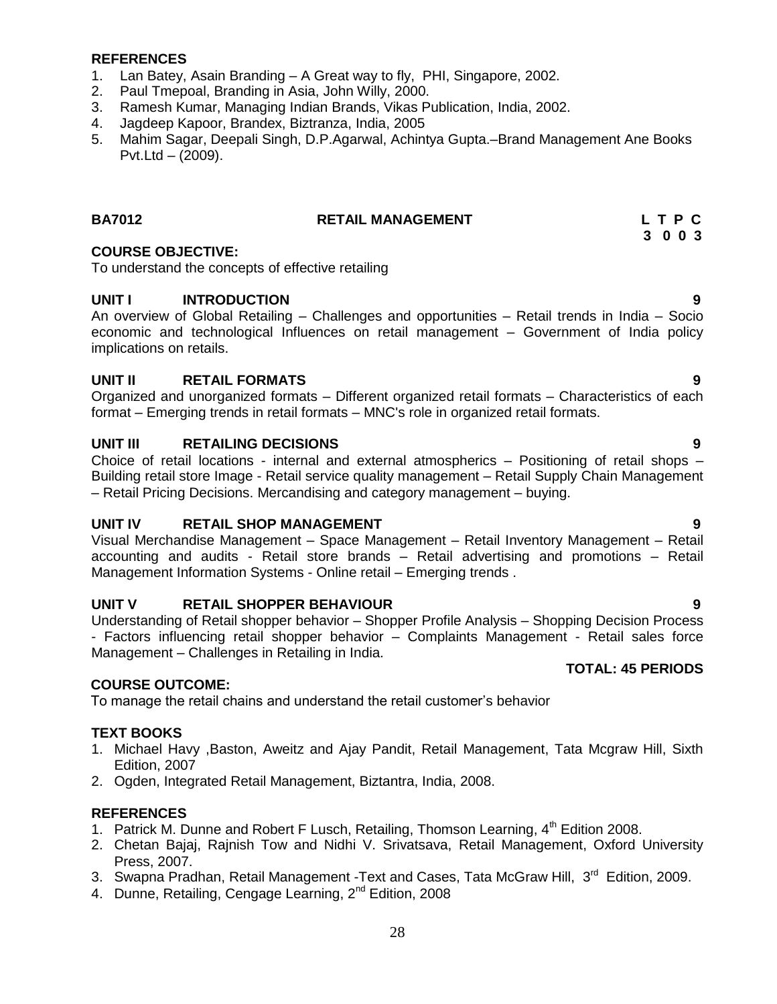#### **REFERENCES**

- 1. Lan Batey, Asain Branding A Great way to fly, PHI, Singapore, 2002.
- 2. Paul Tmepoal, Branding in Asia, John Willy, 2000.
- 3. Ramesh Kumar, Managing Indian Brands, Vikas Publication, India, 2002.
- 4. Jagdeep Kapoor, Brandex, Biztranza, India, 2005
- 5. Mahim Sagar, Deepali Singh, D.P.Agarwal, Achintya Gupta.–Brand Management Ane Books Pvt.Ltd – (2009).

### **BA7012 RETAIL MANAGEMENT L T P C**

#### **COURSE OBJECTIVE:**

To understand the concepts of effective retailing

#### **UNIT I INTRODUCTION 9**

An overview of Global Retailing – Challenges and opportunities – Retail trends in India – Socio economic and technological Influences on retail management – Government of India policy implications on retails.

#### **UNIT II RETAIL FORMATS 9**

Organized and unorganized formats – Different organized retail formats – Characteristics of each format – Emerging trends in retail formats – MNC's role in organized retail formats.

#### **UNIT III RETAILING DECISIONS 9**

Choice of retail locations - internal and external atmospherics – Positioning of retail shops – Building retail store Image - Retail service quality management – Retail Supply Chain Management – Retail Pricing Decisions. Mercandising and category management – buying.

#### **UNIT IV RETAIL SHOP MANAGEMENT 9**

Visual Merchandise Management – Space Management – Retail Inventory Management – Retail accounting and audits - Retail store brands – Retail advertising and promotions – Retail Management Information Systems - Online retail – Emerging trends .

#### **UNIT V RETAIL SHOPPER BEHAVIOUR 9**

Understanding of Retail shopper behavior – Shopper Profile Analysis – Shopping Decision Process - Factors influencing retail shopper behavior – Complaints Management - Retail sales force Management – Challenges in Retailing in India.

#### **COURSE OUTCOME:**

To manage the retail chains and understand the retail customer"s behavior

#### **TEXT BOOKS**

- 1. Michael Havy ,Baston, Aweitz and Ajay Pandit, Retail Management, Tata Mcgraw Hill, Sixth Edition, 2007
- 2. Ogden, Integrated Retail Management, Biztantra, India, 2008.

#### **REFERENCES**

- 1. Patrick M. Dunne and Robert F Lusch, Retailing, Thomson Learning,  $4<sup>th</sup>$  Edition 2008.
- 2. Chetan Bajaj, Rajnish Tow and Nidhi V. Srivatsava, Retail Management, Oxford University Press, 2007.
- 3. Swapna Pradhan, Retail Management -Text and Cases, Tata McGraw Hill, 3<sup>rd</sup> Edition, 2009.
- 4. Dunne, Retailing, Cengage Learning, 2<sup>nd</sup> Edition, 2008

#### **TOTAL: 45 PERIODS**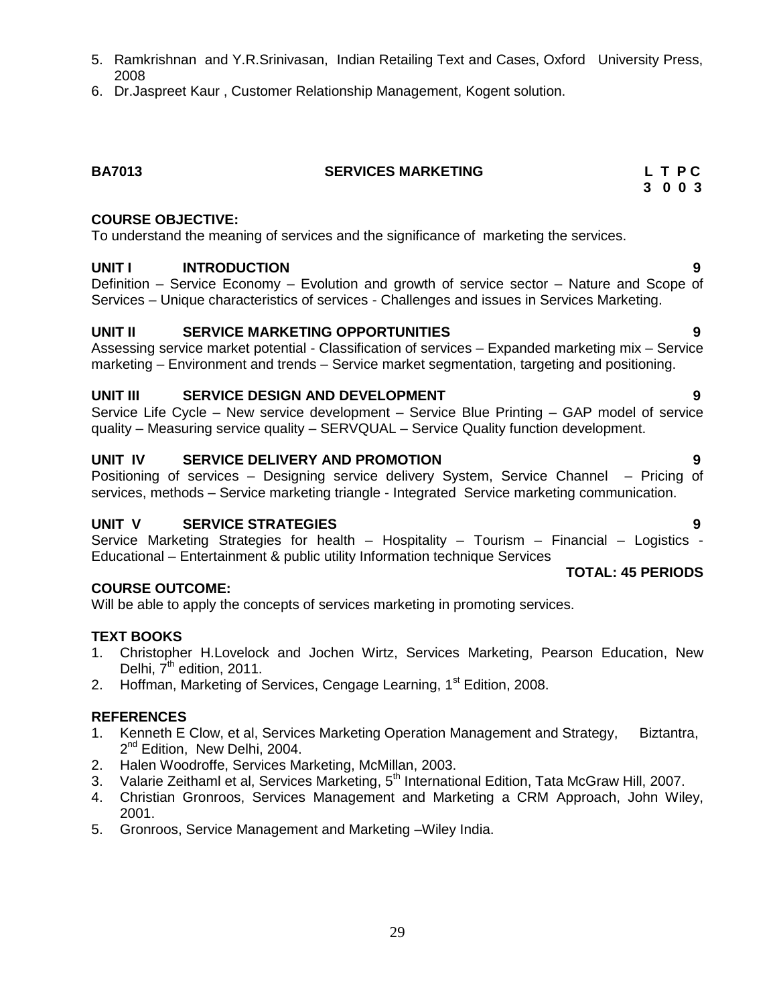- 5. Ramkrishnan and Y.R.Srinivasan, Indian Retailing Text and Cases, Oxford University Press, 2008
- 6. Dr.Jaspreet Kaur , Customer Relationship Management, Kogent solution.

# **BA7013 SERVICES MARKETING L T P C**

#### **COURSE OBJECTIVE:**

To understand the meaning of services and the significance of marketing the services.

#### **UNIT I INTRODUCTION 9**

Definition – Service Economy – Evolution and growth of service sector – Nature and Scope of Services – Unique characteristics of services - Challenges and issues in Services Marketing.

#### **UNIT II SERVICE MARKETING OPPORTUNITIES 9**

Assessing service market potential - Classification of services – Expanded marketing mix – Service marketing – Environment and trends – Service market segmentation, targeting and positioning.

#### **UNIT III SERVICE DESIGN AND DEVELOPMENT 9**

Service Life Cycle – New service development – Service Blue Printing – GAP model of service quality – Measuring service quality – SERVQUAL – Service Quality function development.

#### **UNIT IV SERVICE DELIVERY AND PROMOTION 9**

Positioning of services – Designing service delivery System, Service Channel – Pricing of services, methods – Service marketing triangle - Integrated Service marketing communication.

#### **UNIT V SERVICE STRATEGIES 9**

Service Marketing Strategies for health – Hospitality – Tourism – Financial – Logistics - Educational – Entertainment & public utility Information technique Services

#### **COURSE OUTCOME:**

Will be able to apply the concepts of services marketing in promoting services.

#### **TEXT BOOKS**

- 1. Christopher H.Lovelock and Jochen Wirtz, Services Marketing, Pearson Education, New Delhi, 7<sup>th</sup> edition, 2011.
- 2. Hoffman, Marketing of Services, Cengage Learning, 1<sup>st</sup> Edition, 2008.

#### **REFERENCES**

- 1. Kenneth E Clow, et al, Services Marketing Operation Management and Strategy, Biztantra, 2<sup>nd</sup> Edition, New Delhi, 2004.
- 2. Halen Woodroffe, Services Marketing, McMillan, 2003.
- 3. Valarie Zeithaml et al, Services Marketing, 5<sup>th</sup> International Edition, Tata McGraw Hill, 2007.
- 4. Christian Gronroos, Services Management and Marketing a CRM Approach, John Wiley, 2001.
- 5. Gronroos, Service Management and Marketing –Wiley India.

**3 0 0 3**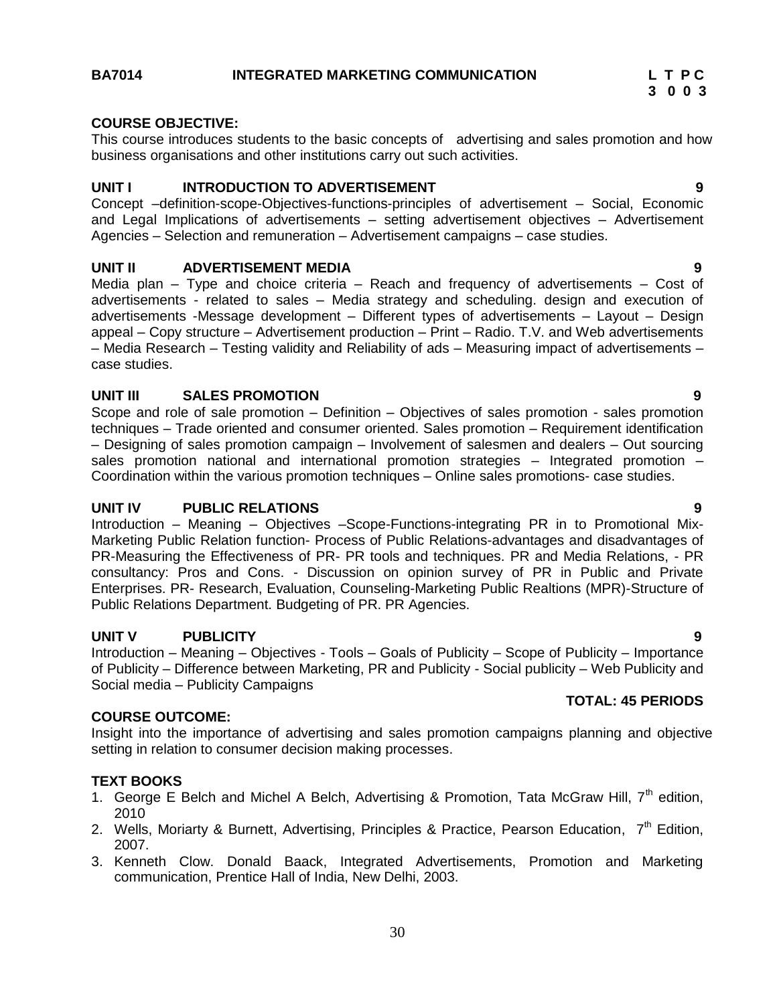#### **COURSE OBJECTIVE:**

This course introduces students to the basic concepts of advertising and sales promotion and how business organisations and other institutions carry out such activities.

#### **UNIT I INTRODUCTION TO ADVERTISEMENT 9**

Concept –definition-scope-Objectives-functions-principles of advertisement – Social, Economic and Legal Implications of advertisements – setting advertisement objectives – Advertisement Agencies – Selection and remuneration – Advertisement campaigns – case studies.

#### **UNIT II ADVERTISEMENT MEDIA 9**

Media plan – Type and choice criteria – Reach and frequency of advertisements – Cost of advertisements - related to sales – Media strategy and scheduling. design and execution of advertisements -Message development – Different types of advertisements – Layout – Design appeal – Copy structure – Advertisement production – Print – Radio. T.V. and Web advertisements – Media Research – Testing validity and Reliability of ads – Measuring impact of advertisements – case studies.

#### **UNIT III SALES PROMOTION 9**

Scope and role of sale promotion – Definition – Objectives of sales promotion - sales promotion techniques – Trade oriented and consumer oriented. Sales promotion – Requirement identification – Designing of sales promotion campaign – Involvement of salesmen and dealers – Out sourcing sales promotion national and international promotion strategies – Integrated promotion – Coordination within the various promotion techniques – Online sales promotions- case studies.

#### **UNIT IV PUBLIC RELATIONS 9**

Introduction – Meaning – Objectives –Scope-Functions-integrating PR in to Promotional Mix-Marketing Public Relation function- Process of Public Relations-advantages and disadvantages of PR-Measuring the Effectiveness of PR- PR tools and techniques. PR and Media Relations, - PR consultancy: Pros and Cons. - Discussion on opinion survey of PR in Public and Private Enterprises. PR- Research, Evaluation, Counseling-Marketing Public Realtions (MPR)-Structure of Public Relations Department. Budgeting of PR. PR Agencies.

#### **UNIT V PUBLICITY 9**

Introduction – Meaning – Objectives - Tools – Goals of Publicity – Scope of Publicity – Importance of Publicity – Difference between Marketing, PR and Publicity - Social publicity – Web Publicity and Social media – Publicity Campaigns

#### **COURSE OUTCOME:**

Insight into the importance of advertising and sales promotion campaigns planning and objective setting in relation to consumer decision making processes.

#### **TEXT BOOKS**

- 1. George E Belch and Michel A Belch, Advertising & Promotion, Tata McGraw Hill,  $7<sup>th</sup>$  edition, 2010
- 2. Wells, Moriarty & Burnett, Advertising, Principles & Practice, Pearson Education, 7<sup>th</sup> Edition, 2007.
- 3. Kenneth Clow. Donald Baack, Integrated Advertisements, Promotion and Marketing communication, Prentice Hall of India, New Delhi, 2003.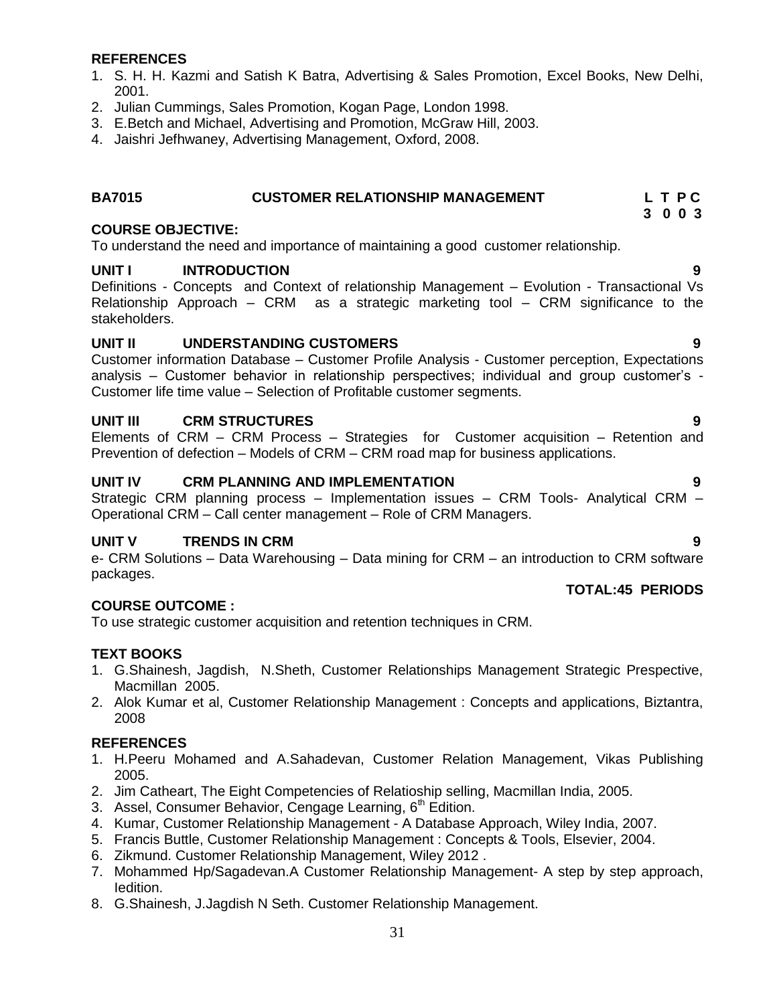#### **REFERENCES**

- 1. S. H. H. Kazmi and Satish K Batra, Advertising & Sales Promotion, Excel Books, New Delhi, 2001.
- 2. Julian Cummings, Sales Promotion, Kogan Page, London 1998.
- 3. E.Betch and Michael, Advertising and Promotion, McGraw Hill, 2003.
- 4. Jaishri Jefhwaney, Advertising Management, Oxford, 2008.

#### **BA7015 CUSTOMER RELATIONSHIP MANAGEMENT L T P C**

#### **COURSE OBJECTIVE:**

To understand the need and importance of maintaining a good customer relationship.

#### **UNIT I INTRODUCTION 9**

Definitions - Concepts and Context of relationship Management – Evolution - Transactional Vs Relationship Approach – CRM as a strategic marketing tool – CRM significance to the stakeholders.

#### **UNIT II UNDERSTANDING CUSTOMERS 9**

Customer information Database – Customer Profile Analysis - Customer perception, Expectations analysis – Customer behavior in relationship perspectives; individual and group customer"s - Customer life time value – Selection of Profitable customer segments.

#### **UNIT III CRM STRUCTURES 9**

Elements of CRM – CRM Process – Strategies for Customer acquisition – Retention and Prevention of defection – Models of CRM – CRM road map for business applications.

#### **UNIT IV CRM PLANNING AND IMPLEMENTATION 9**

Strategic CRM planning process – Implementation issues – CRM Tools- Analytical CRM – Operational CRM – Call center management – Role of CRM Managers.

#### **UNIT V TRENDS IN CRM 9**

e- CRM Solutions – Data Warehousing – Data mining for CRM – an introduction to CRM software packages.

#### **COURSE OUTCOME :**

To use strategic customer acquisition and retention techniques in CRM.

#### **TEXT BOOKS**

- 1. G.Shainesh, Jagdish, N.Sheth, Customer Relationships Management Strategic Prespective, Macmillan 2005.
- 2. Alok Kumar et al, Customer Relationship Management : Concepts and applications, Biztantra, 2008

#### **REFERENCES**

- 1. H.Peeru Mohamed and A.Sahadevan, Customer Relation Management, Vikas Publishing 2005.
- 2. Jim Catheart, The Eight Competencies of Relatioship selling, Macmillan India, 2005.
- 3. Assel, Consumer Behavior, Cengage Learning, 6<sup>th</sup> Edition.
- 4. Kumar, Customer Relationship Management A Database Approach, Wiley India, 2007.
- 5. Francis Buttle, Customer Relationship Management : Concepts & Tools, Elsevier, 2004.
- 6. Zikmund. Customer Relationship Management, Wiley 2012 .
- 7. Mohammed Hp/Sagadevan.A Customer Relationship Management- A step by step approach, Iedition.
- 8. G.Shainesh, J.Jagdish N Seth. Customer Relationship Management.

- 
- **TOTAL:45 PERIODS**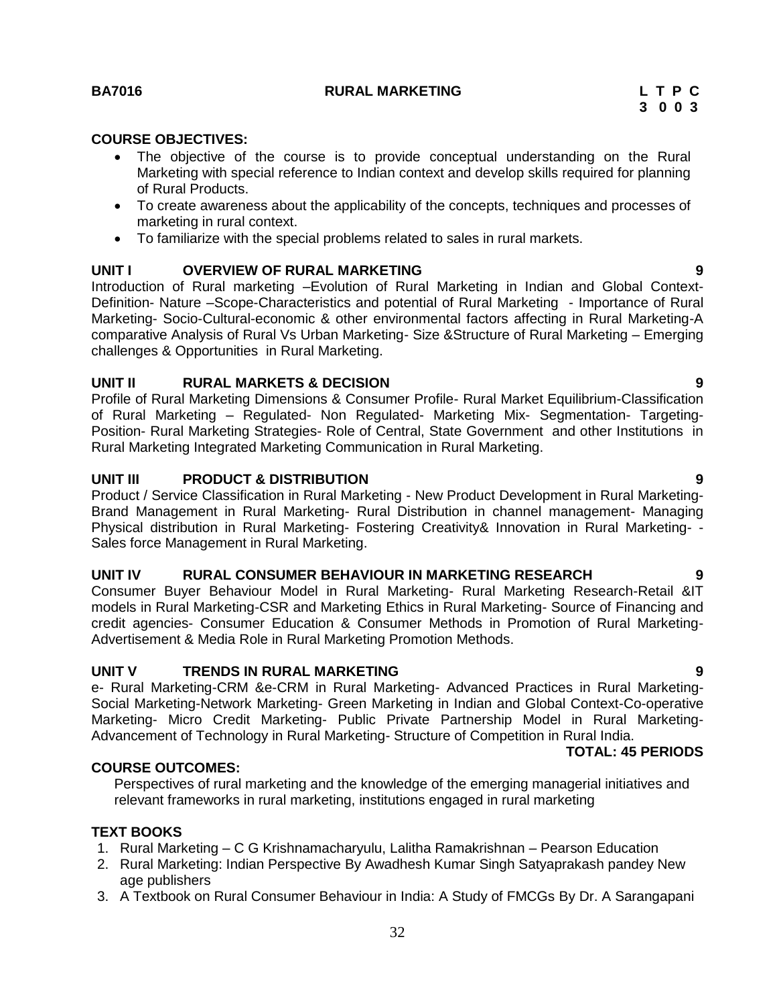#### **BA7016 RURAL MARKETING L T P C**

#### **COURSE OBJECTIVES:**

- The objective of the course is to provide conceptual understanding on the Rural Marketing with special reference to Indian context and develop skills required for planning of Rural Products.
- To create awareness about the applicability of the concepts, techniques and processes of marketing in rural context.
- To familiarize with the special problems related to sales in rural markets.

#### **UNIT I OVERVIEW OF RURAL MARKETING 9**

Introduction of Rural marketing –Evolution of Rural Marketing in Indian and Global Context-Definition- Nature –Scope-Characteristics and potential of Rural Marketing - Importance of Rural Marketing- Socio-Cultural-economic & other environmental factors affecting in Rural Marketing-A comparative Analysis of Rural Vs Urban Marketing- Size &Structure of Rural Marketing – Emerging challenges & Opportunities in Rural Marketing.

#### **UNIT II RURAL MARKETS & DECISION 9**

Profile of Rural Marketing Dimensions & Consumer Profile- Rural Market Equilibrium-Classification of Rural Marketing – Regulated- Non Regulated- Marketing Mix- Segmentation- Targeting-Position- Rural Marketing Strategies- Role of Central, State Government and other Institutions in Rural Marketing Integrated Marketing Communication in Rural Marketing.

#### **UNIT III PRODUCT & DISTRIBUTION 9**

Product / Service Classification in Rural Marketing - New Product Development in Rural Marketing-Brand Management in Rural Marketing- Rural Distribution in channel management- Managing Physical distribution in Rural Marketing- Fostering Creativity& Innovation in Rural Marketing- - Sales force Management in Rural Marketing.

### **UNIT IV RURAL CONSUMER BEHAVIOUR IN MARKETING RESEARCH 9**

Consumer Buyer Behaviour Model in Rural Marketing- Rural Marketing Research-Retail &IT models in Rural Marketing-CSR and Marketing Ethics in Rural Marketing- Source of Financing and credit agencies- Consumer Education & Consumer Methods in Promotion of Rural Marketing-Advertisement & Media Role in Rural Marketing Promotion Methods.

#### **UNIT V TRENDS IN RURAL MARKETING 9**

e- Rural Marketing-CRM &e-CRM in Rural Marketing- Advanced Practices in Rural Marketing-Social Marketing-Network Marketing- Green Marketing in Indian and Global Context-Co-operative Marketing- Micro Credit Marketing- Public Private Partnership Model in Rural Marketing-Advancement of Technology in Rural Marketing- Structure of Competition in Rural India.

#### **TOTAL: 45 PERIODS**

#### **COURSE OUTCOMES:**

Perspectives of rural marketing and the knowledge of the emerging managerial initiatives and relevant frameworks in rural marketing, institutions engaged in rural marketing

#### **TEXT BOOKS**

- 1. Rural Marketing C G Krishnamacharyulu, Lalitha Ramakrishnan Pearson Education
- 2. Rural Marketing: Indian Perspective By Awadhesh Kumar Singh Satyaprakash pandey New age publishers
- 3. A Textbook on Rural Consumer Behaviour in India: A Study of FMCGs By Dr. A Sarangapani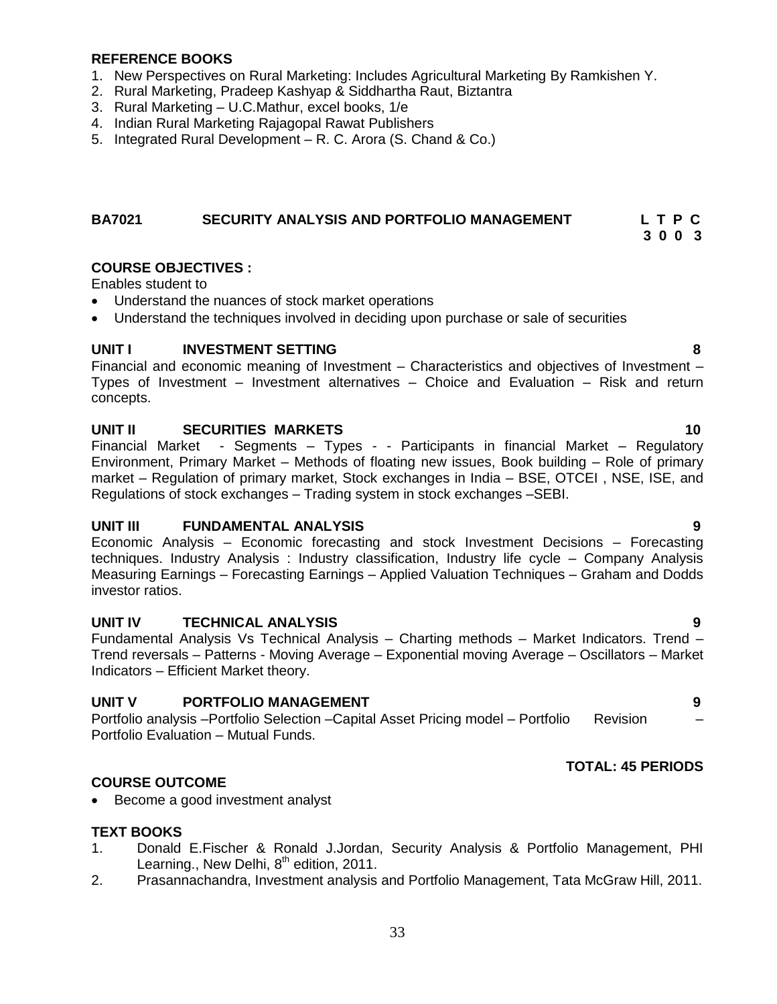#### **REFERENCE BOOKS**

- 1. New Perspectives on Rural Marketing: Includes Agricultural Marketing By Ramkishen Y.
- 2. Rural Marketing, Pradeep Kashyap & Siddhartha Raut, Biztantra
- 3. Rural Marketing U.C.Mathur, excel books, 1/e
- 4. Indian Rural Marketing Rajagopal Rawat Publishers
- 5. Integrated Rural Development R. C. Arora (S. Chand & Co.)

#### **BA7021 SECURITY ANALYSIS AND PORTFOLIO MANAGEMENT L T P C**

**3 0 0 3**

#### **COURSE OBJECTIVES :**

Enables student to

- Understand the nuances of stock market operations
- Understand the techniques involved in deciding upon purchase or sale of securities

#### **UNIT I INVESTMENT SETTING 8**

Financial and economic meaning of Investment – Characteristics and objectives of Investment – Types of Investment – Investment alternatives – Choice and Evaluation – Risk and return concepts.

#### **UNIT II SECURITIES MARKETS 10**

Financial Market - Segments – Types - - Participants in financial Market – Regulatory Environment, Primary Market – Methods of floating new issues, Book building – Role of primary market – Regulation of primary market, Stock exchanges in India – BSE, OTCEI , NSE, ISE, and Regulations of stock exchanges – Trading system in stock exchanges –SEBI.

#### **UNIT III FUNDAMENTAL ANALYSIS 9**

Economic Analysis – Economic forecasting and stock Investment Decisions – Forecasting techniques. Industry Analysis : Industry classification, Industry life cycle – Company Analysis Measuring Earnings – Forecasting Earnings – Applied Valuation Techniques – Graham and Dodds investor ratios.

#### **UNIT IV TECHNICAL ANALYSIS 9**

Fundamental Analysis Vs Technical Analysis – Charting methods – Market Indicators. Trend – Trend reversals – Patterns - Moving Average – Exponential moving Average – Oscillators – Market Indicators – Efficient Market theory.

#### **UNIT V PORTFOLIO MANAGEMENT 9**

Portfolio analysis –Portfolio Selection –Capital Asset Pricing model – Portfolio Revision – Portfolio Evaluation – Mutual Funds.

#### **TOTAL: 45 PERIODS**

#### **COURSE OUTCOME**

• Become a good investment analyst

#### **TEXT BOOKS**

- 1. Donald E.Fischer & Ronald J.Jordan, Security Analysis & Portfolio Management, PHI Learning., New Delhi,  $8<sup>th</sup>$  edition, 2011.
- 2. Prasannachandra, Investment analysis and Portfolio Management, Tata McGraw Hill, 2011.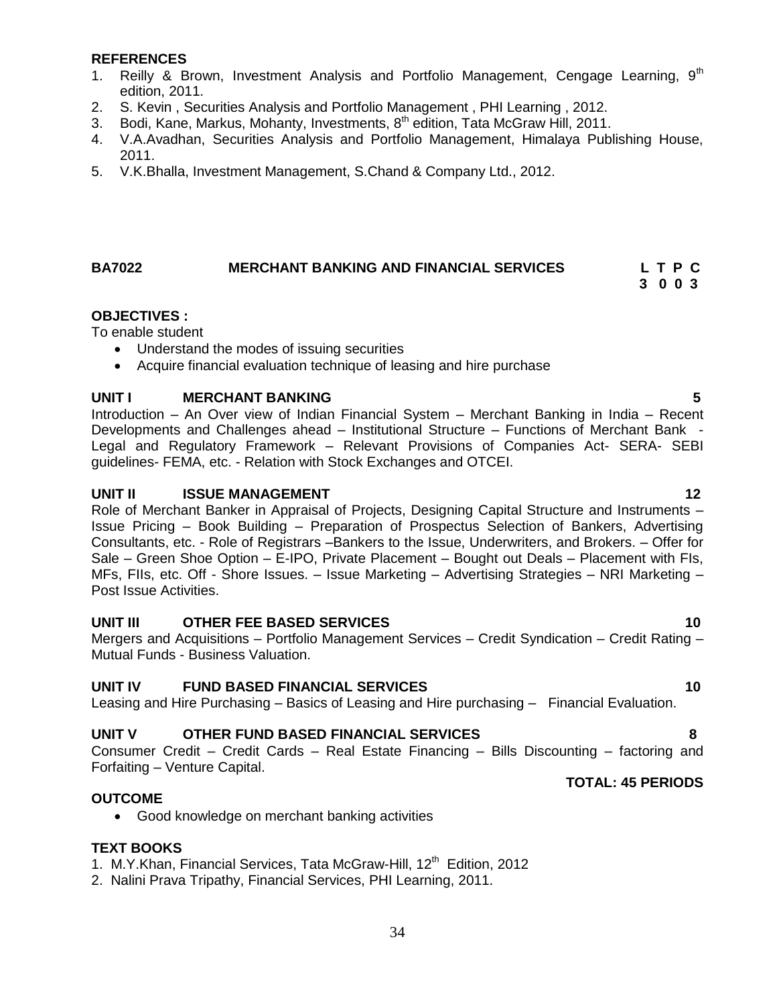#### **REFERENCES**

- 1. Reilly & Brown, Investment Analysis and Portfolio Management, Cengage Learning,  $9<sup>th</sup>$ edition, 2011.
- 2. S. Kevin , Securities Analysis and Portfolio Management , PHI Learning , 2012.
- 3. Bodi, Kane, Markus, Mohanty, Investments,  $8<sup>th</sup>$  edition, Tata McGraw Hill, 2011.
- 4. V.A.Avadhan, Securities Analysis and Portfolio Management, Himalaya Publishing House, 2011.
- 5. V.K.Bhalla, Investment Management, S.Chand & Company Ltd., 2012.

#### <span id="page-33-0"></span>**BA7022 MERCHANT BANKING AND FINANCIAL SERVICES L T P C 3 0 0 3**

#### **OBJECTIVES :**

To enable student

- Understand the modes of issuing securities
- Acquire financial evaluation technique of leasing and hire purchase

#### **UNIT I MERCHANT BANKING 5**

Introduction – An Over view of Indian Financial System – Merchant Banking in India – Recent Developments and Challenges ahead – Institutional Structure – Functions of Merchant Bank - Legal and Regulatory Framework – Relevant Provisions of Companies Act- SERA- SEBI guidelines- FEMA, etc. - Relation with Stock Exchanges and OTCEI.

#### **UNIT II ISSUE MANAGEMENT 12**

Role of Merchant Banker in Appraisal of Projects, Designing Capital Structure and Instruments – Issue Pricing – Book Building – Preparation of Prospectus Selection of Bankers, Advertising Consultants, etc. - Role of Registrars –Bankers to the Issue, Underwriters, and Brokers. – Offer for Sale – Green Shoe Option – E-IPO, Private Placement – Bought out Deals – Placement with FIs, MFs, FIIs, etc. Off - Shore Issues. – Issue Marketing – Advertising Strategies – NRI Marketing – Post Issue Activities.

#### **UNIT III OTHER FEE BASED SERVICES 10**

Mergers and Acquisitions – Portfolio Management Services – Credit Syndication – Credit Rating – Mutual Funds - Business Valuation.

#### **UNIT IV FUND BASED FINANCIAL SERVICES 10**

Leasing and Hire Purchasing – Basics of Leasing and Hire purchasing – Financial Evaluation.

#### **UNIT V OTHER FUND BASED FINANCIAL SERVICES 8**

Consumer Credit – Credit Cards – Real Estate Financing – Bills Discounting – factoring and Forfaiting – Venture Capital.

#### **OUTCOME**

Good knowledge on merchant banking activities

#### **TEXT BOOKS**

1. M.Y.Khan, Financial Services, Tata McGraw-Hill, 12<sup>th</sup> Edition, 2012

2. Nalini Prava Tripathy, Financial Services, PHI Learning, 2011.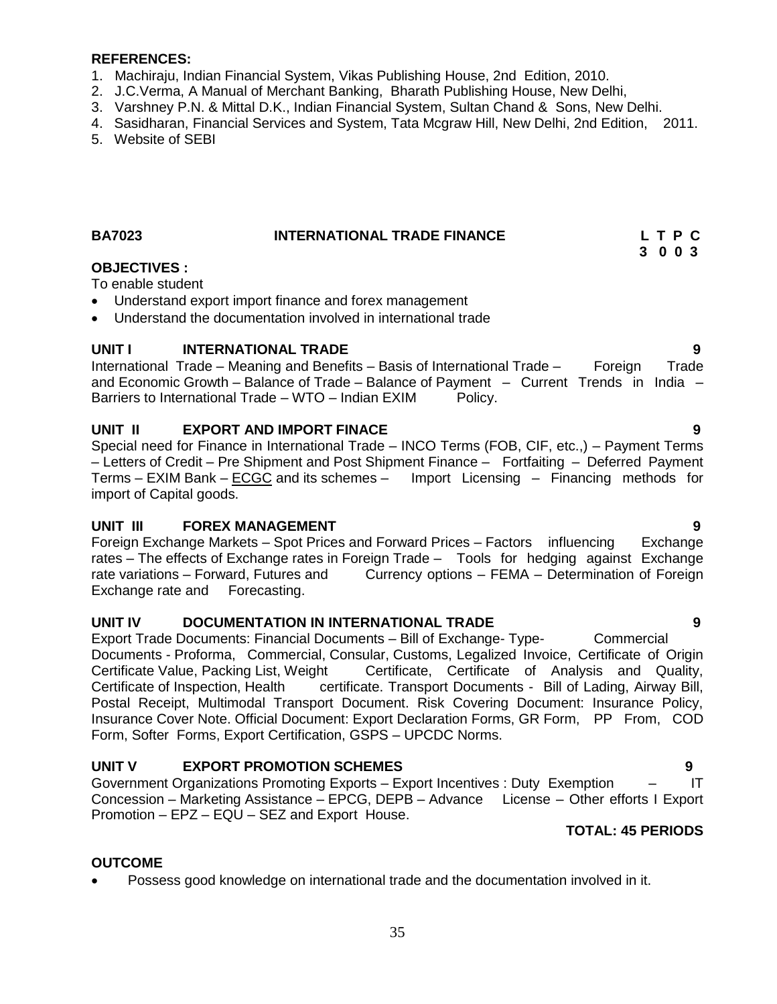#### **REFERENCES:**

- 1. Machiraju, Indian Financial System, Vikas Publishing House, 2nd Edition, 2010.
- 2. J.C.Verma, A Manual of Merchant Banking, Bharath Publishing House, New Delhi,
- 3. Varshney P.N. & Mittal D.K., Indian Financial System, Sultan Chand & Sons, New Delhi.
- 4. Sasidharan, Financial Services and System, Tata Mcgraw Hill, New Delhi, 2nd Edition, 2011.
- <span id="page-34-0"></span>5. Website of SEBI

#### **BA7023 INTERNATIONAL TRADE FINANCE L T P C 3 0 0 3**

#### **OBJECTIVES :**

To enable student

- Understand export import finance and forex management
- Understand the documentation involved in international trade

#### **UNIT I INTERNATIONAL TRADE 9**

International Trade – Meaning and Benefits – Basis of International Trade – Foreign Trade and Economic Growth – Balance of Trade – Balance of Payment – Current Trends in India – Barriers to International Trade – WTO – Indian EXIM Policy.

#### **UNIT II EXPORT AND IMPORT FINACE 9**

Special need for Finance in International Trade – INCO Terms (FOB, CIF, etc.,) – Payment Terms – Letters of Credit – Pre Shipment and Post Shipment Finance – Fortfaiting – Deferred Payment Terms – EXIM Bank – ECGC and its schemes – Import Licensing – Financing methods for import of Capital goods.

#### **UNIT III FOREX MANAGEMENT 9**

Foreign Exchange Markets – Spot Prices and Forward Prices – Factors influencing Exchange rates – The effects of Exchange rates in Foreign Trade – Tools for hedging against Exchange rate variations – Forward, Futures and Currency options – FEMA – Determination of Foreign Exchange rate and Forecasting.

#### **UNIT IV DOCUMENTATION IN INTERNATIONAL TRADE 9**

Export Trade Documents: Financial Documents – Bill of Exchange- Type- Commercial Documents - Proforma, Commercial, Consular, Customs, Legalized Invoice, Certificate of Origin Certificate Value, Packing List, Weight Certificate, Certificate of Analysis and Quality, Certificate of Inspection, Health certificate. Transport Documents - Bill of Lading, Airway Bill, Postal Receipt, Multimodal Transport Document. Risk Covering Document: Insurance Policy, Insurance Cover Note. Official Document: Export Declaration Forms, GR Form, PP From, COD Form, Softer Forms, Export Certification, GSPS – UPCDC Norms.

#### **UNIT V EXPORT PROMOTION SCHEMES 9**

Government Organizations Promoting Exports – Export Incentives : Duty Exemption – IT Concession – Marketing Assistance – EPCG, DEPB – Advance License – Other efforts I Export Promotion – EPZ – EQU – SEZ and Export House.

#### **TOTAL: 45 PERIODS**

#### **OUTCOME**

Possess good knowledge on international trade and the documentation involved in it.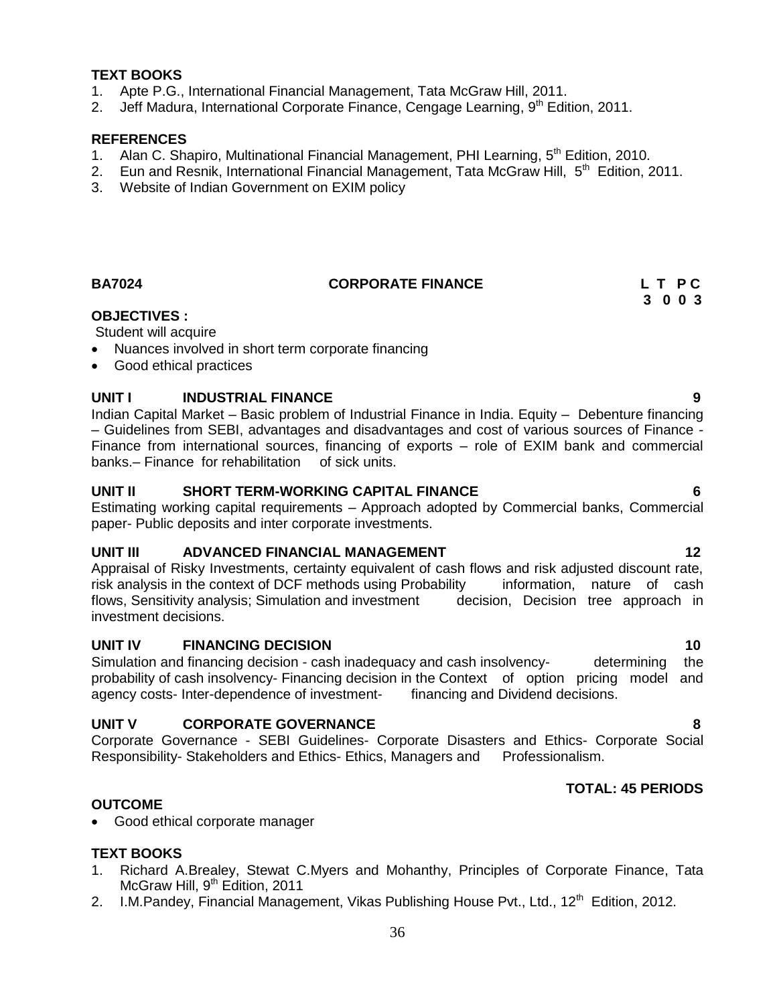#### **TEXT BOOKS**

- 1. Apte P.G., International Financial Management, Tata McGraw Hill, 2011.
- 2. Jeff Madura, International Corporate Finance, Cengage Learning,  $9<sup>th</sup>$  Edition, 2011.

#### **REFERENCES**

- 1. Alan C. Shapiro, Multinational Financial Management, PHI Learning, 5<sup>th</sup> Edition, 2010.
- 2. Eun and Resnik, International Financial Management, Tata McGraw Hill, 5<sup>th</sup> Edition, 2011.
- <span id="page-35-0"></span>3. Website of Indian Government on EXIM policy

### **BA7024** CORPORATE FINANCE L T P C

# **3 0 0 3**

#### **OBJECTIVES :**

#### Student will acquire

- Nuances involved in short term corporate financing
- Good ethical practices

### **UNIT I INDUSTRIAL FINANCE 9**

Indian Capital Market – Basic problem of Industrial Finance in India. Equity – Debenture financing – Guidelines from SEBI, advantages and disadvantages and cost of various sources of Finance - Finance from international sources, financing of exports – role of EXIM bank and commercial banks.– Finance for rehabilitation of sick units.

#### **UNIT II SHORT TERM-WORKING CAPITAL FINANCE 6**

Estimating working capital requirements – Approach adopted by Commercial banks, Commercial paper- Public deposits and inter corporate investments.

#### **UNIT III ADVANCED FINANCIAL MANAGEMENT 12**

Appraisal of Risky Investments, certainty equivalent of cash flows and risk adjusted discount rate, risk analysis in the context of DCF methods using Probability information, nature of cash flows, Sensitivity analysis; Simulation and investment decision, Decision tree approach in investment decisions.

#### **UNIT IV FINANCING DECISION 10**

Simulation and financing decision - cash inadequacy and cash insolvency- determining the probability of cash insolvency- Financing decision in the Context of option pricing model and agency costs- Inter-dependence of investment- financing and Dividend decisions.

#### **UNIT V CORPORATE GOVERNANCE 8**

Corporate Governance - SEBI Guidelines- Corporate Disasters and Ethics- Corporate Social Responsibility- Stakeholders and Ethics- Ethics, Managers and Professionalism.

### **TOTAL: 45 PERIODS**

#### **OUTCOME**

• Good ethical corporate manager

#### **TEXT BOOKS**

- 1. Richard A.Brealey, Stewat C.Myers and Mohanthy, Principles of Corporate Finance, Tata McGraw Hill, 9<sup>th</sup> Edition, 2011
- 2. I.M.Pandey, Financial Management, Vikas Publishing House Pvt., Ltd., 12<sup>th</sup> Edition, 2012.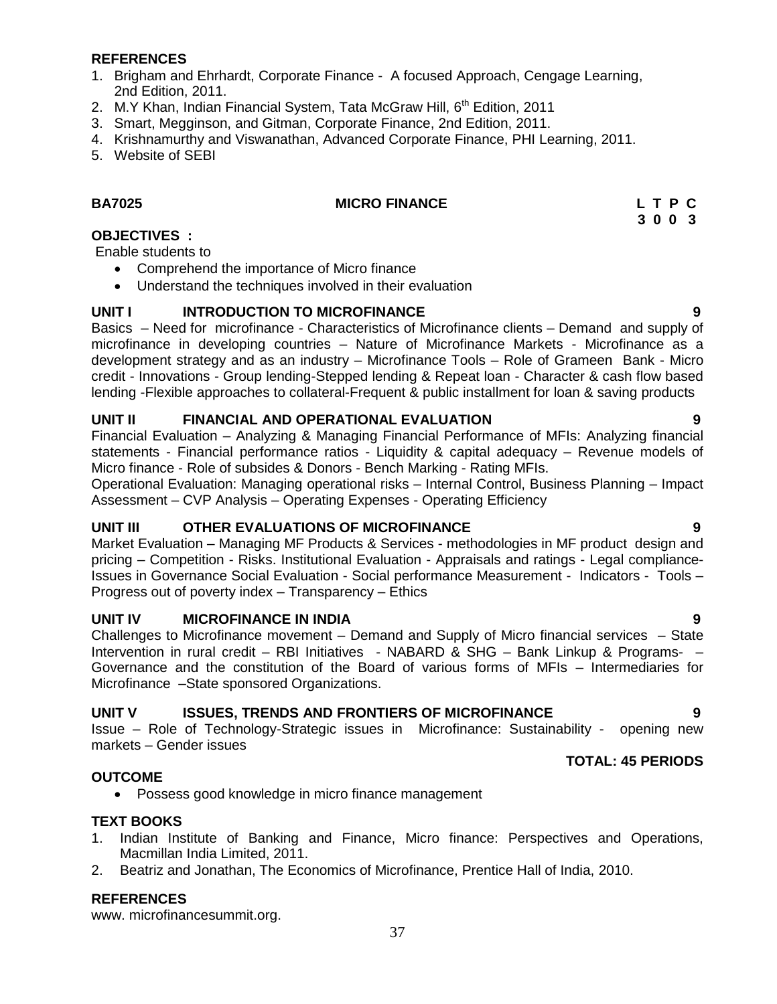#### **REFERENCES**

- 1. Brigham and Ehrhardt, Corporate Finance A focused Approach, Cengage Learning, 2nd Edition, 2011.
- 2. M.Y Khan, Indian Financial System, Tata McGraw Hill, 6<sup>th</sup> Edition, 2011
- 3. Smart, Megginson, and Gitman, Corporate Finance, 2nd Edition, 2011.
- 4. Krishnamurthy and Viswanathan, Advanced Corporate Finance, PHI Learning, 2011.
- 5. Website of SEBI

#### **BA7025 MICRO FINANCE L T P C**

# **3 0 0 3**

#### **OBJECTIVES :**

Enable students to

- Comprehend the importance of Micro finance
- Understand the techniques involved in their evaluation

#### **UNIT I INTRODUCTION TO MICROFINANCE 9**

Basics – Need for microfinance - Characteristics of Microfinance clients – Demand and supply of microfinance in developing countries – Nature of Microfinance Markets - Microfinance as a development strategy and as an industry – Microfinance Tools – Role of Grameen Bank - Micro credit - Innovations - Group lending-Stepped lending & Repeat loan - Character & cash flow based lending -Flexible approaches to collateral-Frequent & public installment for loan & saving products

### **UNIT II FINANCIAL AND OPERATIONAL EVALUATION 9**

Financial Evaluation – Analyzing & Managing Financial Performance of MFIs: Analyzing financial statements - Financial performance ratios - Liquidity & capital adequacy – Revenue models of Micro finance - Role of subsides & Donors - Bench Marking - Rating MFIs.

Operational Evaluation: Managing operational risks – Internal Control, Business Planning – Impact Assessment – CVP Analysis – Operating Expenses - Operating Efficiency

#### **UNIT III OTHER EVALUATIONS OF MICROFINANCE 9**

Market Evaluation – Managing MF Products & Services - methodologies in MF product design and pricing – Competition - Risks. Institutional Evaluation - Appraisals and ratings - Legal compliance-Issues in Governance Social Evaluation - Social performance Measurement - Indicators - Tools – Progress out of poverty index – Transparency – Ethics

#### **UNIT IV MICROFINANCE IN INDIA 9**

Challenges to Microfinance movement – Demand and Supply of Micro financial services – State Intervention in rural credit – RBI Initiatives - NABARD & SHG – Bank Linkup & Programs- – Governance and the constitution of the Board of various forms of MFIs – Intermediaries for Microfinance –State sponsored Organizations.

#### **UNIT V ISSUES, TRENDS AND FRONTIERS OF MICROFINANCE 9**

Issue – Role of Technology-Strategic issues in Microfinance: Sustainability - opening new markets – Gender issues

**TOTAL: 45 PERIODS**

#### **OUTCOME**

Possess good knowledge in micro finance management

#### **TEXT BOOKS**

- 1. Indian Institute of Banking and Finance, Micro finance: Perspectives and Operations, Macmillan India Limited, 2011.
- 2. Beatriz and Jonathan, The Economics of Microfinance, Prentice Hall of India, 2010.

#### **REFERENCES**

www. microfinancesummit.org.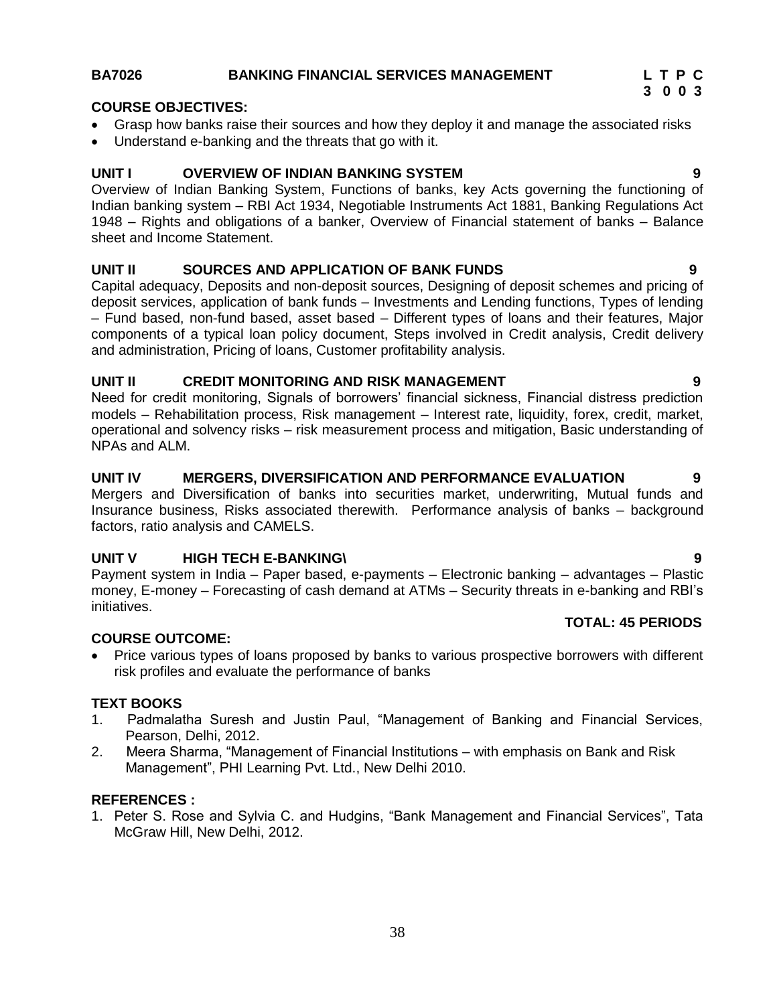#### **BA7026 BANKING FINANCIAL SERVICES MANAGEMENT L T P C**

### **COURSE OBJECTIVES:**

- Grasp how banks raise their sources and how they deploy it and manage the associated risks
- Understand e-banking and the threats that go with it.

#### **UNIT I OVERVIEW OF INDIAN BANKING SYSTEM 9**

Overview of Indian Banking System, Functions of banks, key Acts governing the functioning of Indian banking system – RBI Act 1934, Negotiable Instruments Act 1881, Banking Regulations Act 1948 – Rights and obligations of a banker, Overview of Financial statement of banks – Balance sheet and Income Statement.

#### **UNIT II SOURCES AND APPLICATION OF BANK FUNDS 9**

Capital adequacy, Deposits and non-deposit sources, Designing of deposit schemes and pricing of deposit services, application of bank funds – Investments and Lending functions, Types of lending – Fund based, non-fund based, asset based – Different types of loans and their features, Major components of a typical loan policy document, Steps involved in Credit analysis, Credit delivery and administration, Pricing of loans, Customer profitability analysis.

#### **UNIT II CREDIT MONITORING AND RISK MANAGEMENT 9**

Need for credit monitoring, Signals of borrowers' financial sickness, Financial distress prediction models – Rehabilitation process, Risk management – Interest rate, liquidity, forex, credit, market, operational and solvency risks – risk measurement process and mitigation, Basic understanding of NPAs and ALM.

#### **UNIT IV MERGERS, DIVERSIFICATION AND PERFORMANCE EVALUATION 9**

Mergers and Diversification of banks into securities market, underwriting, Mutual funds and Insurance business, Risks associated therewith. Performance analysis of banks – background factors, ratio analysis and CAMELS.

#### **UNIT V HIGH TECH E-BANKING\ 9**

Payment system in India – Paper based, e-payments – Electronic banking – advantages – Plastic money, E-money – Forecasting of cash demand at ATMs – Security threats in e-banking and RBI"s initiatives.

#### **COURSE OUTCOME:**

• Price various types of loans proposed by banks to various prospective borrowers with different risk profiles and evaluate the performance of banks

#### **TEXT BOOKS**

- 1. Padmalatha Suresh and Justin Paul, "Management of Banking and Financial Services, Pearson, Delhi, 2012.
- 2. Meera Sharma, "Management of Financial Institutions with emphasis on Bank and Risk Management", PHI Learning Pvt. Ltd., New Delhi 2010.

#### **REFERENCES :**

1. Peter S. Rose and Sylvia C. and Hudgins, "Bank Management and Financial Services", Tata McGraw Hill, New Delhi, 2012.

- 
-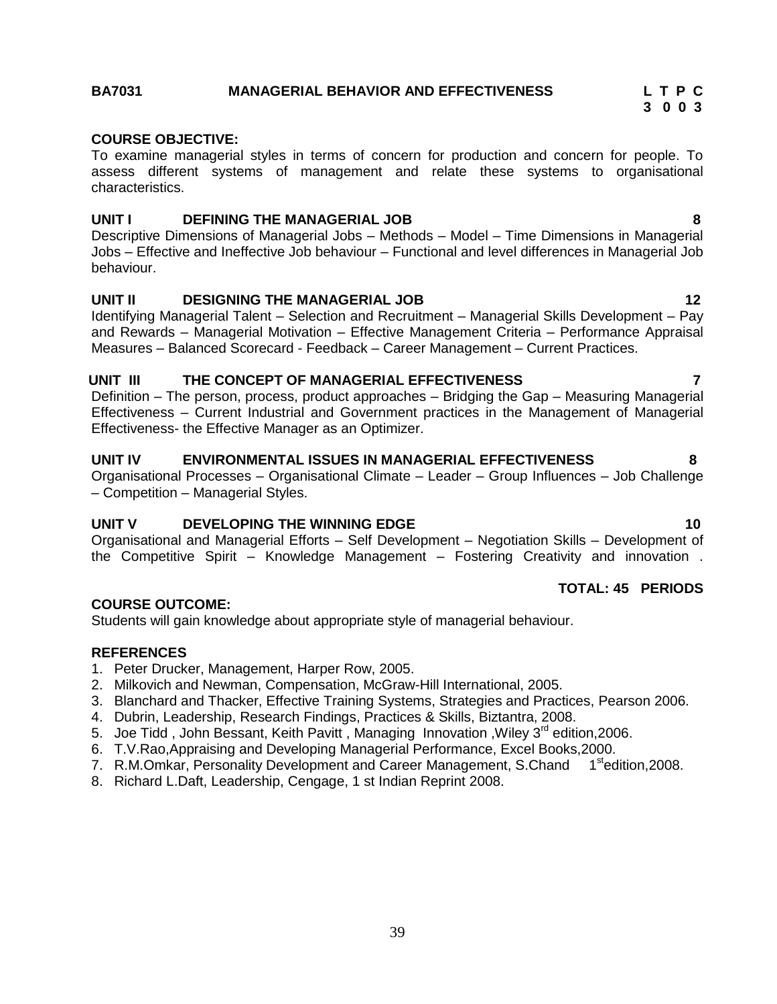#### **BA7031 MANAGERIAL BEHAVIOR AND EFFECTIVENESS L T P C**

#### **COURSE OBJECTIVE:**

To examine managerial styles in terms of concern for production and concern for people. To assess different systems of management and relate these systems to organisational characteristics.

#### **UNIT I DEFINING THE MANAGERIAL JOB 8**

Descriptive Dimensions of Managerial Jobs – Methods – Model – Time Dimensions in Managerial Jobs – Effective and Ineffective Job behaviour – Functional and level differences in Managerial Job behaviour.

#### **UNIT II DESIGNING THE MANAGERIAL JOB 12**

Identifying Managerial Talent – Selection and Recruitment – Managerial Skills Development – Pay and Rewards – Managerial Motivation – Effective Management Criteria – Performance Appraisal Measures – Balanced Scorecard - Feedback – Career Management – Current Practices.

#### **UNIT III THE CONCEPT OF MANAGERIAL EFFECTIVENESS 7**

Definition – The person, process, product approaches – Bridging the Gap – Measuring Managerial Effectiveness – Current Industrial and Government practices in the Management of Managerial Effectiveness- the Effective Manager as an Optimizer.

#### **UNIT IV ENVIRONMENTAL ISSUES IN MANAGERIAL EFFECTIVENESS 8**

Organisational Processes – Organisational Climate – Leader – Group Influences – Job Challenge – Competition – Managerial Styles.

#### **UNIT V DEVELOPING THE WINNING EDGE 10**

Organisational and Managerial Efforts – Self Development – Negotiation Skills – Development of the Competitive Spirit – Knowledge Management – Fostering Creativity and innovation .

#### **COURSE OUTCOME:**

Students will gain knowledge about appropriate style of managerial behaviour.

#### **REFERENCES**

- 1. Peter Drucker, Management, Harper Row, 2005.
- 2. Milkovich and Newman, Compensation, McGraw-Hill International, 2005.
- 3. Blanchard and Thacker, Effective Training Systems, Strategies and Practices, Pearson 2006.
- 4. Dubrin, Leadership, Research Findings, Practices & Skills, Biztantra, 2008.
- 5. Joe Tidd, John Bessant, Keith Pavitt, Managing Innovation, Wiley 3<sup>rd</sup> edition, 2006.
- 6. T.V.Rao,Appraising and Developing Managerial Performance, Excel Books,2000.
- 7. R.M.Omkar, Personality Development and Career Management, S.Chand 1<sup>st</sup>edition, 2008.
- <span id="page-38-0"></span>8. Richard L.Daft, Leadership, Cengage, 1 st Indian Reprint 2008.

**3 0 0 3**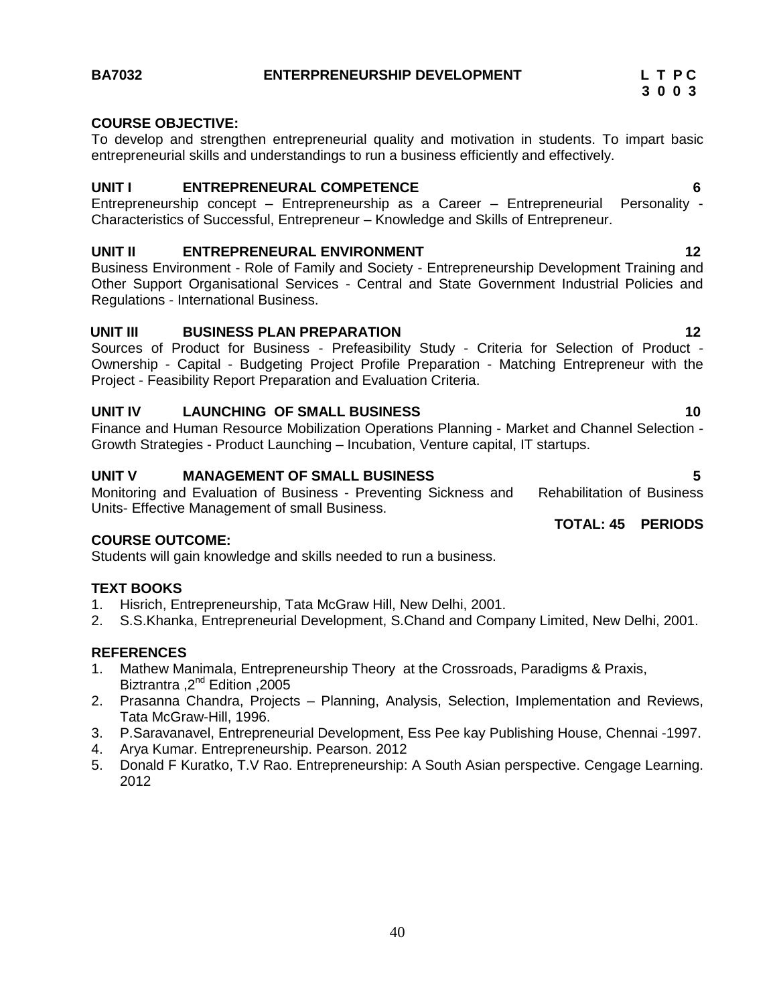#### **COURSE OBJECTIVE:**

To develop and strengthen entrepreneurial quality and motivation in students. To impart basic entrepreneurial skills and understandings to run a business efficiently and effectively.

#### **UNIT I ENTREPRENEURAL COMPETENCE 6**

Entrepreneurship concept – Entrepreneurship as a Career – Entrepreneurial Personality - Characteristics of Successful, Entrepreneur – Knowledge and Skills of Entrepreneur.

#### **UNIT II ENTREPRENEURAL ENVIRONMENT 12**

Business Environment - Role of Family and Society - Entrepreneurship Development Training and Other Support Organisational Services - Central and State Government Industrial Policies and Regulations - International Business.

#### **UNIT III BUSINESS PLAN PREPARATION 12**

Sources of Product for Business - Prefeasibility Study - Criteria for Selection of Product - Ownership - Capital - Budgeting Project Profile Preparation - Matching Entrepreneur with the Project - Feasibility Report Preparation and Evaluation Criteria.

#### **UNIT IV LAUNCHING OF SMALL BUSINESS 10**

Finance and Human Resource Mobilization Operations Planning - Market and Channel Selection - Growth Strategies - Product Launching – Incubation, Venture capital, IT startups.

#### **UNIT V MANAGEMENT OF SMALL BUSINESS 5**

Monitoring and Evaluation of Business - Preventing Sickness and Rehabilitation of Business Units- Effective Management of small Business.

#### **COURSE OUTCOME:**

Students will gain knowledge and skills needed to run a business.

#### **TEXT BOOKS**

- 1. Hisrich, Entrepreneurship, Tata McGraw Hill, New Delhi, 2001.
- 2. S.S.Khanka, Entrepreneurial Development, S.Chand and Company Limited, New Delhi, 2001.

#### **REFERENCES**

- 1. Mathew Manimala, Entrepreneurship Theory at the Crossroads, Paradigms & Praxis, Biztrantra ,2<sup>nd</sup> Edition ,2005
- 2. Prasanna Chandra, Projects Planning, Analysis, Selection, Implementation and Reviews, Tata McGraw-Hill, 1996.
- 3. P.Saravanavel, Entrepreneurial Development, Ess Pee kay Publishing House, Chennai -1997.
- 4. Arya Kumar. Entrepreneurship. Pearson. 2012
- <span id="page-39-0"></span>5. Donald F Kuratko, T.V Rao. Entrepreneurship: A South Asian perspective. Cengage Learning. 2012

### **TOTAL: 45 PERIODS**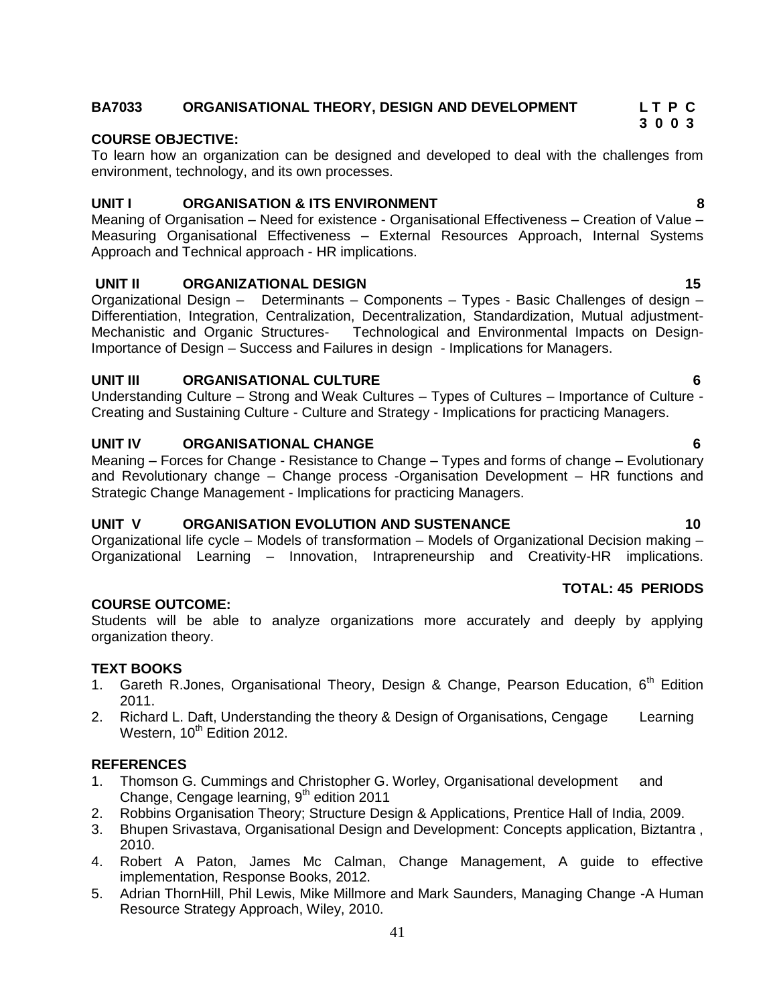#### 41

### **BA7033 ORGANISATIONAL THEORY, DESIGN AND DEVELOPMENT L T P C**

#### **COURSE OBJECTIVE:**

To learn how an organization can be designed and developed to deal with the challenges from environment, technology, and its own processes.

#### **UNIT I ORGANISATION & ITS ENVIRONMENT 8**

Meaning of Organisation – Need for existence - Organisational Effectiveness – Creation of Value – Measuring Organisational Effectiveness – External Resources Approach, Internal Systems Approach and Technical approach - HR implications.

#### **UNIT II ORGANIZATIONAL DESIGN 15**

Organizational Design – Determinants – Components – Types - Basic Challenges of design – Differentiation, Integration, Centralization, Decentralization, Standardization, Mutual adjustment-Mechanistic and Organic Structures- Technological and Environmental Impacts on Design-Importance of Design – Success and Failures in design - Implications for Managers.

#### **UNIT III ORGANISATIONAL CULTURE 6**

Understanding Culture – Strong and Weak Cultures – Types of Cultures – Importance of Culture - Creating and Sustaining Culture - Culture and Strategy - Implications for practicing Managers.

#### **UNIT IV ORGANISATIONAL CHANGE 6**

Meaning – Forces for Change - Resistance to Change – Types and forms of change – Evolutionary and Revolutionary change – Change process -Organisation Development – HR functions and Strategic Change Management - Implications for practicing Managers.

#### **UNIT V ORGANISATION EVOLUTION AND SUSTENANCE 10**

Organizational life cycle – Models of transformation – Models of Organizational Decision making – Organizational Learning – Innovation, Intrapreneurship and Creativity-HR implications.

#### **COURSE OUTCOME:**

Students will be able to analyze organizations more accurately and deeply by applying organization theory.

#### **TEXT BOOKS**

- 1. Gareth R.Jones, Organisational Theory, Design & Change, Pearson Education, 6<sup>th</sup> Edition 2011.
- 2. Richard L. Daft, Understanding the theory & Design of Organisations, Cengage Learning Western, 10<sup>th</sup> Edition 2012.

#### **REFERENCES**

- 1. Thomson G. Cummings and Christopher G. Worley, Organisational development and Change, Cengage learning, 9<sup>th</sup> edition 2011
- 2. Robbins Organisation Theory; Structure Design & Applications, Prentice Hall of India, 2009.
- 3. Bhupen Srivastava, Organisational Design and Development: Concepts application, Biztantra , 2010.
- 4. Robert A Paton, James Mc Calman, Change Management, A guide to effective implementation, Response Books, 2012.
- <span id="page-40-0"></span>5. Adrian ThornHill, Phil Lewis, Mike Millmore and Mark Saunders, Managing Change -A Human Resource Strategy Approach, Wiley, 2010.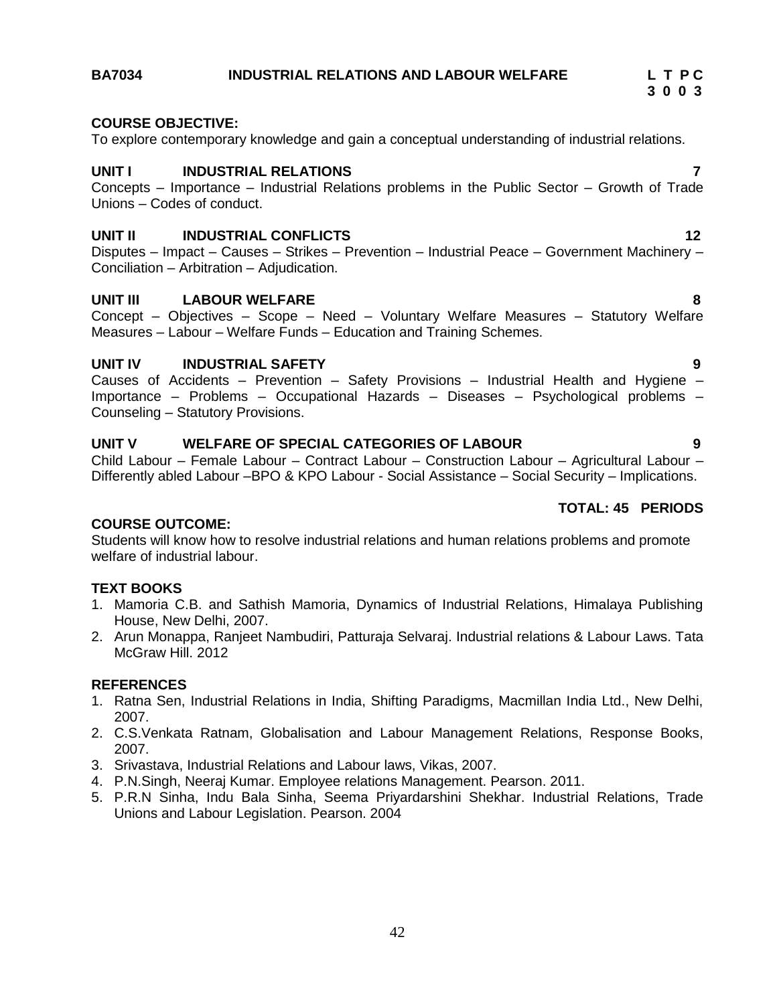#### **BA7034 INDUSTRIAL RELATIONS AND LABOUR WELFARE L T P C**

#### **COURSE OBJECTIVE:**

To explore contemporary knowledge and gain a conceptual understanding of industrial relations.

#### **UNIT I INDUSTRIAL RELATIONS 7**

Concepts – Importance – Industrial Relations problems in the Public Sector – Growth of Trade Unions – Codes of conduct.

#### **UNIT II INDUSTRIAL CONFLICTS 12**

Disputes – Impact – Causes – Strikes – Prevention – Industrial Peace – Government Machinery – Conciliation – Arbitration – Adjudication.

#### **UNIT III LABOUR WELFARE 8**

Concept – Objectives – Scope – Need – Voluntary Welfare Measures – Statutory Welfare Measures – Labour – Welfare Funds – Education and Training Schemes.

#### **UNIT IV INDUSTRIAL SAFETY 9**

Causes of Accidents – Prevention – Safety Provisions – Industrial Health and Hygiene – Importance – Problems – Occupational Hazards – Diseases – Psychological problems – Counseling – Statutory Provisions.

#### **UNIT V WELFARE OF SPECIAL CATEGORIES OF LABOUR 9**

Child Labour – Female Labour – Contract Labour – Construction Labour – Agricultural Labour – Differently abled Labour –BPO & KPO Labour - Social Assistance – Social Security – Implications.

#### **TOTAL: 45 PERIODS**

#### **COURSE OUTCOME:**

Students will know how to resolve industrial relations and human relations problems and promote welfare of industrial labour.

#### **TEXT BOOKS**

- 1. Mamoria C.B. and Sathish Mamoria, Dynamics of Industrial Relations, Himalaya Publishing House, New Delhi, 2007.
- 2. Arun Monappa, Ranjeet Nambudiri, Patturaja Selvaraj. Industrial relations & Labour Laws. Tata McGraw Hill. 2012

#### **REFERENCES**

- 1. Ratna Sen, Industrial Relations in India, Shifting Paradigms, Macmillan India Ltd., New Delhi, 2007.
- 2. C.S.Venkata Ratnam, Globalisation and Labour Management Relations, Response Books, 2007.
- 3. Srivastava, Industrial Relations and Labour laws, Vikas, 2007.
- 4. P.N.Singh, Neeraj Kumar. Employee relations Management. Pearson. 2011.
- 5. P.R.N Sinha, Indu Bala Sinha, Seema Priyardarshini Shekhar. Industrial Relations, Trade Unions and Labour Legislation. Pearson. 2004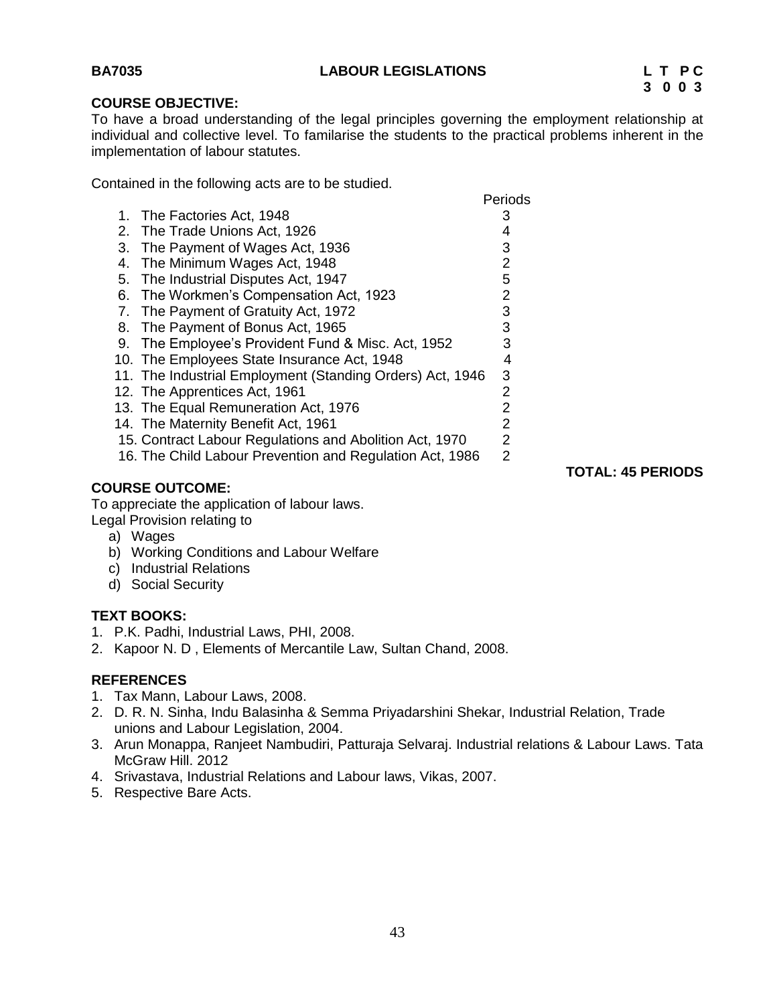**TOTAL: 45 PERIODS**

#### <span id="page-42-0"></span>**COURSE OBJECTIVE:**

To have a broad understanding of the legal principles governing the employment relationship at individual and collective level. To familarise the students to the practical problems inherent in the implementation of labour statutes.

Contained in the following acts are to be studied.

|    |                                                           | Periods        |
|----|-----------------------------------------------------------|----------------|
|    | 1. The Factories Act, 1948                                | 3              |
|    | 2. The Trade Unions Act, 1926                             | 4              |
| 3. | The Payment of Wages Act, 1936                            | 3              |
| 4. | The Minimum Wages Act, 1948                               | 2              |
| 5. | The Industrial Disputes Act, 1947                         | 5              |
|    | 6. The Workmen's Compensation Act, 1923                   | 2              |
|    | 7. The Payment of Gratuity Act, 1972                      | 3              |
| 8. | The Payment of Bonus Act, 1965                            | 3              |
| 9. | The Employee's Provident Fund & Misc. Act, 1952           | 3              |
|    | 10. The Employees State Insurance Act, 1948               | 4              |
|    | 11. The Industrial Employment (Standing Orders) Act, 1946 | 3              |
|    | 12. The Apprentices Act, 1961                             | 2              |
|    | 13. The Equal Remuneration Act, 1976                      | 2              |
|    | 14. The Maternity Benefit Act, 1961                       | $\overline{2}$ |
|    | 15. Contract Labour Regulations and Abolition Act, 1970   | 2              |
|    | 16. The Child Labour Prevention and Regulation Act, 1986  | 2              |
|    |                                                           |                |

#### **COURSE OUTCOME:**

To appreciate the application of labour laws.

Legal Provision relating to

- a) Wages
- b) Working Conditions and Labour Welfare
- c) Industrial Relations
- d) Social Security

#### **TEXT BOOKS:**

- 1. P.K. Padhi, Industrial Laws, PHI, 2008.
- 2. Kapoor N. D , Elements of Mercantile Law, Sultan Chand, 2008.

#### **REFERENCES**

- 1. Tax Mann, Labour Laws, 2008.
- 2. D. R. N. Sinha, Indu Balasinha & Semma Priyadarshini Shekar, Industrial Relation, Trade unions and Labour Legislation, 2004.
- 3. Arun Monappa, Ranjeet Nambudiri, Patturaja Selvaraj. Industrial relations & Labour Laws. Tata McGraw Hill. 2012
- 4. Srivastava, Industrial Relations and Labour laws, Vikas, 2007.
- 5. Respective Bare Acts.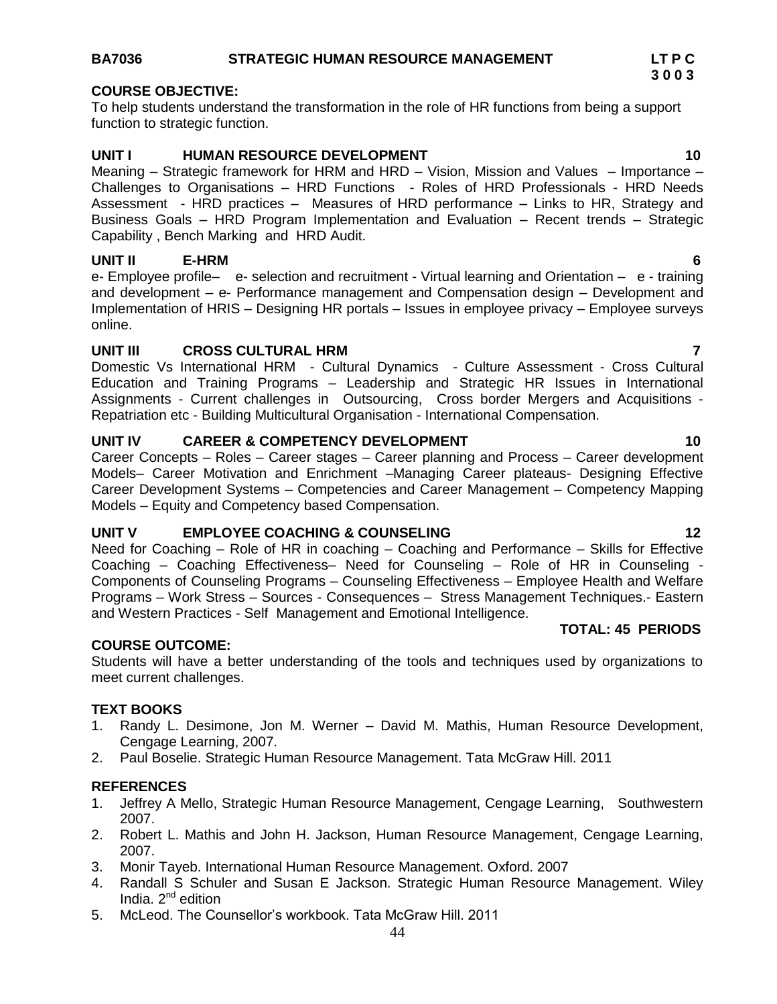#### **UNIT IV CAREER & COMPETENCY DEVELOPMENT 10**

Career Concepts – Roles – Career stages – Career planning and Process – Career development Models– Career Motivation and Enrichment –Managing Career plateaus- Designing Effective Career Development Systems – Competencies and Career Management – Competency Mapping Models – Equity and Competency based Compensation.

#### **UNIT V EMPLOYEE COACHING & COUNSELING 12**

Need for Coaching – Role of HR in coaching – Coaching and Performance – Skills for Effective Coaching – Coaching Effectiveness– Need for Counseling – Role of HR in Counseling - Components of Counseling Programs – Counseling Effectiveness – Employee Health and Welfare Programs – Work Stress – Sources - Consequences – Stress Management Techniques.- Eastern and Western Practices - Self Management and Emotional Intelligence.

#### **COURSE OUTCOME:**

Students will have a better understanding of the tools and techniques used by organizations to meet current challenges.

#### **TEXT BOOKS**

- 1. Randy L. Desimone, Jon M. Werner David M. Mathis, Human Resource Development, Cengage Learning, 2007.
- 2. Paul Boselie. Strategic Human Resource Management. Tata McGraw Hill. 2011

#### **REFERENCES**

- 1. Jeffrey A Mello, Strategic Human Resource Management, Cengage Learning, Southwestern 2007.
- 2. Robert L. Mathis and John H. Jackson, Human Resource Management, Cengage Learning, 2007.
- 3. Monir Tayeb. International Human Resource Management. Oxford. 2007
- 4. Randall S Schuler and Susan E Jackson. Strategic Human Resource Management. Wiley India.  $2^{nd}$  edition
- 5. McLeod. The Counsellor"s workbook. Tata McGraw Hill. 2011

#### **BA7036 STRATEGIC HUMAN RESOURCE MANAGEMENT LT P C**

#### **COURSE OBJECTIVE:**

To help students understand the transformation in the role of HR functions from being a support function to strategic function.

#### **UNIT I HUMAN RESOURCE DEVELOPMENT 10**

Meaning – Strategic framework for HRM and HRD – Vision, Mission and Values – Importance – Challenges to Organisations – HRD Functions - Roles of HRD Professionals - HRD Needs Assessment - HRD practices – Measures of HRD performance – Links to HR, Strategy and Business Goals – HRD Program Implementation and Evaluation – Recent trends – Strategic Capability , Bench Marking and HRD Audit.

#### **UNIT II E-HRM 6**

e- Employee profile– e- selection and recruitment - Virtual learning and Orientation – e - training and development – e- Performance management and Compensation design – Development and Implementation of HRIS – Designing HR portals – Issues in employee privacy – Employee surveys online.

#### **UNIT III CROSS CULTURAL HRM 7**

Domestic Vs International HRM - Cultural Dynamics - Culture Assessment - Cross Cultural Education and Training Programs – Leadership and Strategic HR Issues in International Assignments - Current challenges in Outsourcing, Cross border Mergers and Acquisitions - Repatriation etc - Building Multicultural Organisation - International Compensation.

 **3 0 0 3**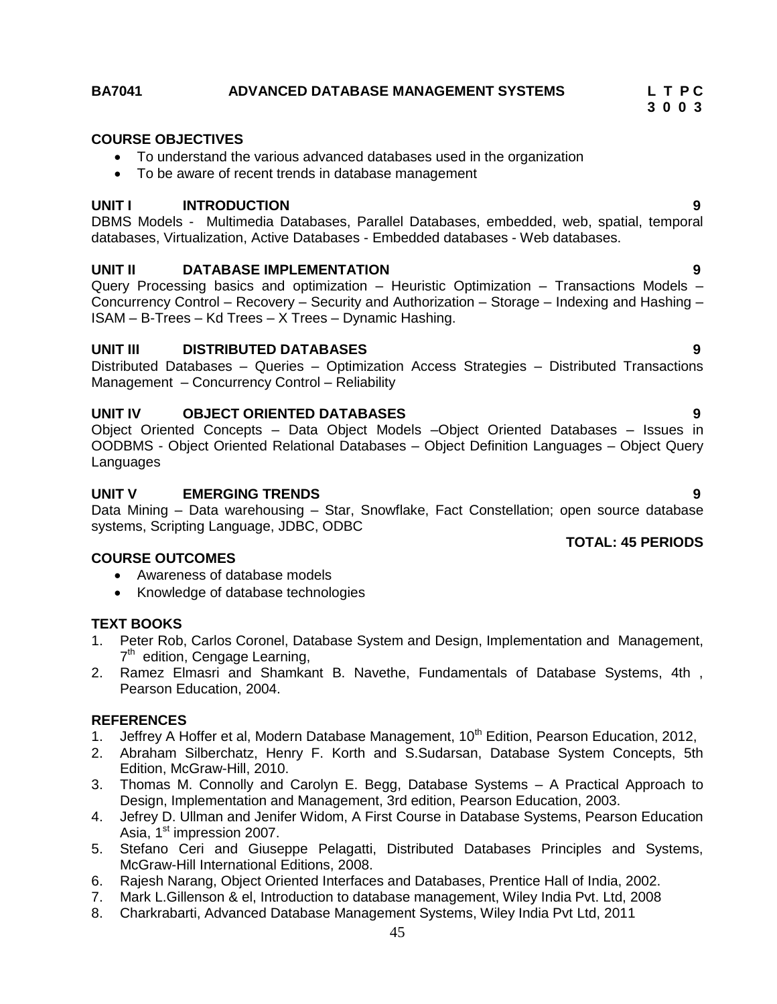### **BA7041 ADVANCED DATABASE MANAGEMENT SYSTEMS L T P C**

#### **COURSE OBJECTIVES**

- To understand the various advanced databases used in the organization
- To be aware of recent trends in database management

#### **UNIT I INTRODUCTION 9**

DBMS Models - Multimedia Databases, Parallel Databases, embedded, web, spatial, temporal databases, Virtualization, Active Databases - Embedded databases - Web databases.

#### **UNIT II DATABASE IMPLEMENTATION 9**

Query Processing basics and optimization – Heuristic Optimization – Transactions Models – Concurrency Control – Recovery – Security and Authorization – Storage – Indexing and Hashing – ISAM – B-Trees – Kd Trees – X Trees – Dynamic Hashing.

#### **UNIT III DISTRIBUTED DATABASES 9**

Distributed Databases – Queries – Optimization Access Strategies – Distributed Transactions Management – Concurrency Control – Reliability

#### **UNIT IV OBJECT ORIENTED DATABASES 9**

Object Oriented Concepts – Data Object Models –Object Oriented Databases – Issues in OODBMS - Object Oriented Relational Databases – Object Definition Languages – Object Query Languages

#### **UNIT V EMERGING TRENDS 9**

Data Mining – Data warehousing – Star, Snowflake, Fact Constellation; open source database systems, Scripting Language, JDBC, ODBC

#### **COURSE OUTCOMES**

- Awareness of database models
- Knowledge of database technologies

#### **TEXT BOOKS**

- 1. Peter Rob, Carlos Coronel, Database System and Design, Implementation and Management, 7<sup>th</sup> edition, Cengage Learning,
- 2. Ramez Elmasri and Shamkant B. Navethe, Fundamentals of Database Systems, 4th , Pearson Education, 2004.

#### **REFERENCES**

- 1. Jeffrey A Hoffer et al, Modern Database Management, 10<sup>th</sup> Edition, Pearson Education, 2012,
- 2. Abraham Silberchatz, Henry F. Korth and S.Sudarsan, Database System Concepts, 5th Edition, McGraw-Hill, 2010.
- 3. Thomas M. Connolly and Carolyn E. Begg, Database Systems A Practical Approach to Design, Implementation and Management, 3rd edition, Pearson Education, 2003.
- 4. Jefrey D. Ullman and Jenifer Widom, A First Course in Database Systems, Pearson Education Asia. 1<sup>st</sup> impression 2007.
- 5. Stefano Ceri and Giuseppe Pelagatti, Distributed Databases Principles and Systems, McGraw-Hill International Editions, 2008.
- 6. Rajesh Narang, Object Oriented Interfaces and Databases, Prentice Hall of India, 2002.
- 7. Mark L.Gillenson & el, Introduction to database management, Wiley India Pvt. Ltd, 2008
- 8. Charkrabarti, Advanced Database Management Systems, Wiley India Pvt Ltd, 2011

 **3 0 0 3**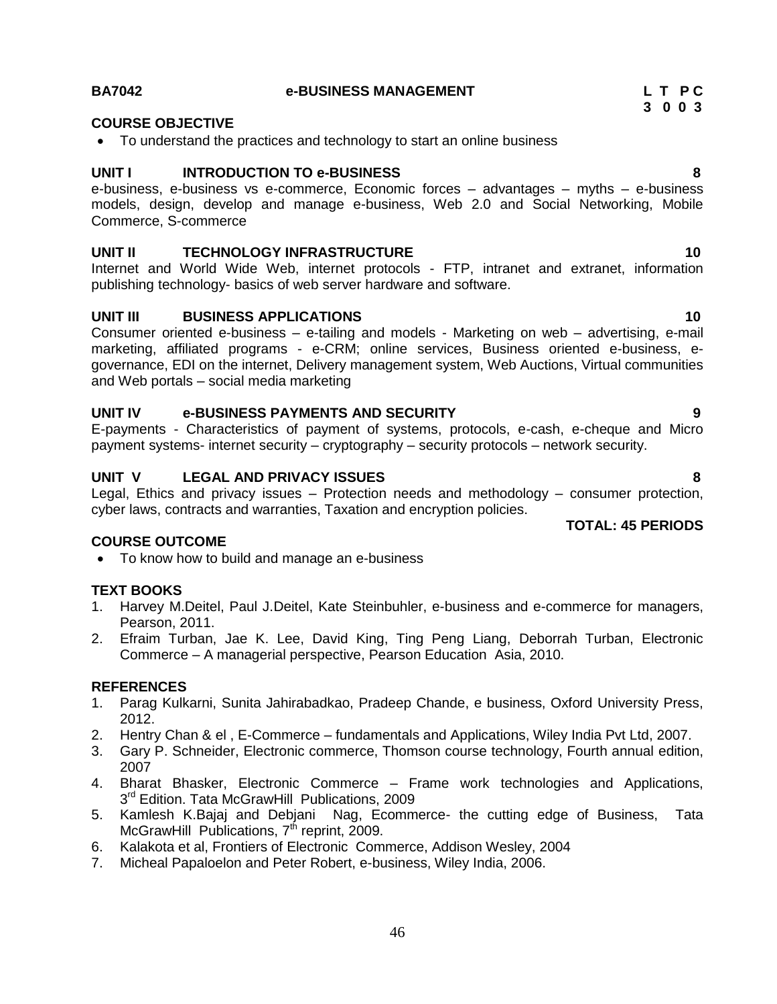#### **BA7042 e-BUSINESS MANAGEMENT L T P C**

#### **COURSE OBJECTIVE**

• To understand the practices and technology to start an online business

#### **UNIT I INTRODUCTION TO e-BUSINESS 8**

e-business, e-business vs e-commerce, Economic forces – advantages – myths – e-business models, design, develop and manage e-business, Web 2.0 and Social Networking, Mobile Commerce, S-commerce

#### **UNIT II TECHNOLOGY INFRASTRUCTURE 10**

Internet and World Wide Web, internet protocols - FTP, intranet and extranet, information publishing technology- basics of web server hardware and software.

#### **UNIT III BUSINESS APPLICATIONS 10**

Consumer oriented e-business – e-tailing and models - Marketing on web – advertising, e-mail marketing, affiliated programs - e-CRM; online services, Business oriented e-business, egovernance, EDI on the internet, Delivery management system, Web Auctions, Virtual communities and Web portals – social media marketing

#### **UNIT IV e-BUSINESS PAYMENTS AND SECURITY 9**

E-payments - Characteristics of payment of systems, protocols, e-cash, e-cheque and Micro payment systems- internet security – cryptography – security protocols – network security.

#### **UNIT V LEGAL AND PRIVACY ISSUES 8**

Legal, Ethics and privacy issues – Protection needs and methodology – consumer protection, cyber laws, contracts and warranties, Taxation and encryption policies.

#### **COURSE OUTCOME**

• To know how to build and manage an e-business

#### **TEXT BOOKS**

- 1. Harvey M.Deitel, Paul J.Deitel, Kate Steinbuhler, e-business and e-commerce for managers, Pearson, 2011.
- 2. Efraim Turban, Jae K. Lee, David King, Ting Peng Liang, Deborrah Turban, Electronic Commerce – A managerial perspective, Pearson Education Asia, 2010.

#### **REFERENCES**

- 1. Parag Kulkarni, Sunita Jahirabadkao, Pradeep Chande, e business, Oxford University Press, 2012.
- 2. Hentry Chan & el , E-Commerce fundamentals and Applications, Wiley India Pvt Ltd, 2007.
- 3. Gary P. Schneider, Electronic commerce, Thomson course technology, Fourth annual edition, 2007
- 4. Bharat Bhasker, Electronic Commerce Frame work technologies and Applications, 3<sup>rd</sup> Edition. Tata McGrawHill Publications, 2009
- 5. Kamlesh K.Bajaj and Debjani Nag, Ecommerce- the cutting edge of Business, Tata McGrawHill Publications, 7<sup>th</sup> reprint, 2009.
- 6. Kalakota et al, Frontiers of Electronic Commerce, Addison Wesley, 2004
- 7. Micheal Papaloelon and Peter Robert, e-business, Wiley India, 2006.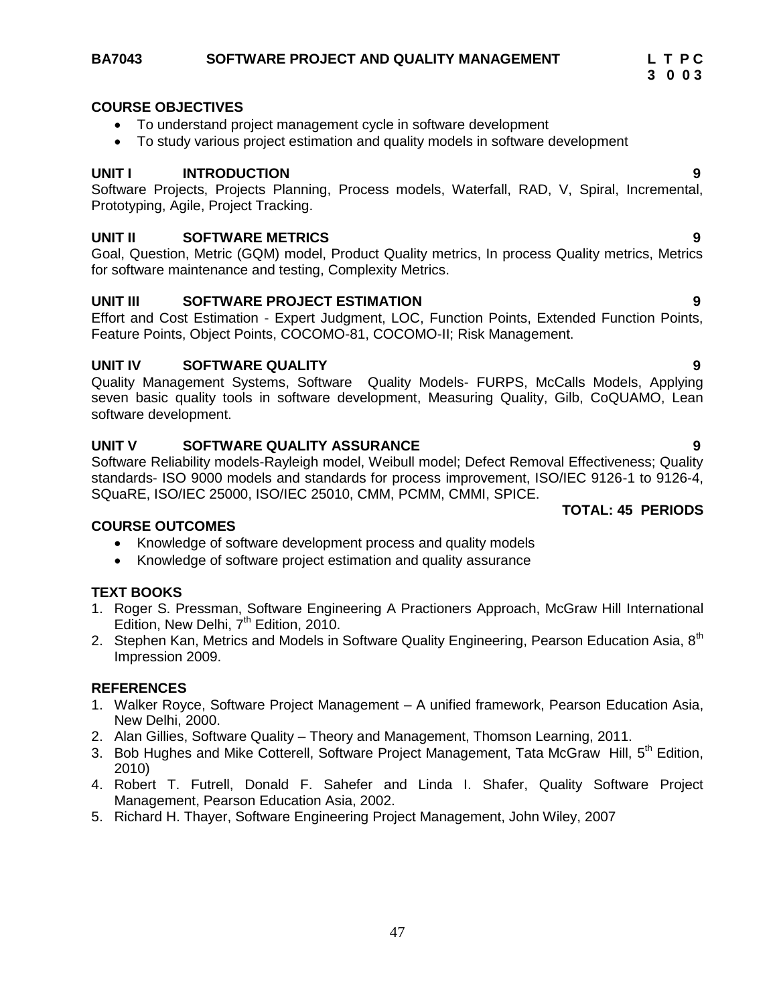Quality Management Systems, Software Quality Models- FURPS, McCalls Models, Applying seven basic quality tools in software development, Measuring Quality, Gilb, CoQUAMO, Lean software development.

#### **UNIT V SOFTWARE QUALITY ASSURANCE 9**

Software Reliability models-Rayleigh model, Weibull model; Defect Removal Effectiveness; Quality standards- ISO 9000 models and standards for process improvement, ISO/IEC 9126-1 to 9126-4, SQuaRE, ISO/IEC 25000, ISO/IEC 25010, CMM, PCMM, CMMI, SPICE.

#### **COURSE OUTCOMES**

- Knowledge of software development process and quality models
- Knowledge of software project estimation and quality assurance

#### **TEXT BOOKS**

- 1. Roger S. Pressman, Software Engineering A Practioners Approach, McGraw Hill International Edition, New Delhi,  $7<sup>th</sup>$  Edition, 2010.
- 2. Stephen Kan, Metrics and Models in Software Quality Engineering, Pearson Education Asia, 8<sup>th</sup> Impression 2009.

#### **REFERENCES**

- 1. Walker Royce, Software Project Management A unified framework, Pearson Education Asia, New Delhi, 2000.
- 2. Alan Gillies, Software Quality Theory and Management, Thomson Learning, 2011.
- 3. Bob Hughes and Mike Cotterell, Software Project Management, Tata McGraw Hill, 5<sup>th</sup> Edition, 2010)
- 4. Robert T. Futrell, Donald F. Sahefer and Linda I. Shafer, Quality Software Project Management, Pearson Education Asia, 2002.
- 5. Richard H. Thayer, Software Engineering Project Management, John Wiley, 2007

#### **COURSE OBJECTIVES**

- To understand project management cycle in software development
- To study various project estimation and quality models in software development

#### **UNIT I INTRODUCTION 9**

Software Projects, Projects Planning, Process models, Waterfall, RAD, V, Spiral, Incremental, Prototyping, Agile, Project Tracking.

#### **UNIT II SOFTWARE METRICS 9**

Goal, Question, Metric (GQM) model, Product Quality metrics, In process Quality metrics, Metrics for software maintenance and testing, Complexity Metrics.

#### **UNIT III SOFTWARE PROJECT ESTIMATION 9**

Effort and Cost Estimation - Expert Judgment, LOC, Function Points, Extended Function Points, Feature Points, Object Points, COCOMO-81, COCOMO-II; Risk Management.

# **UNIT IV SOFTWARE QUALITY 9**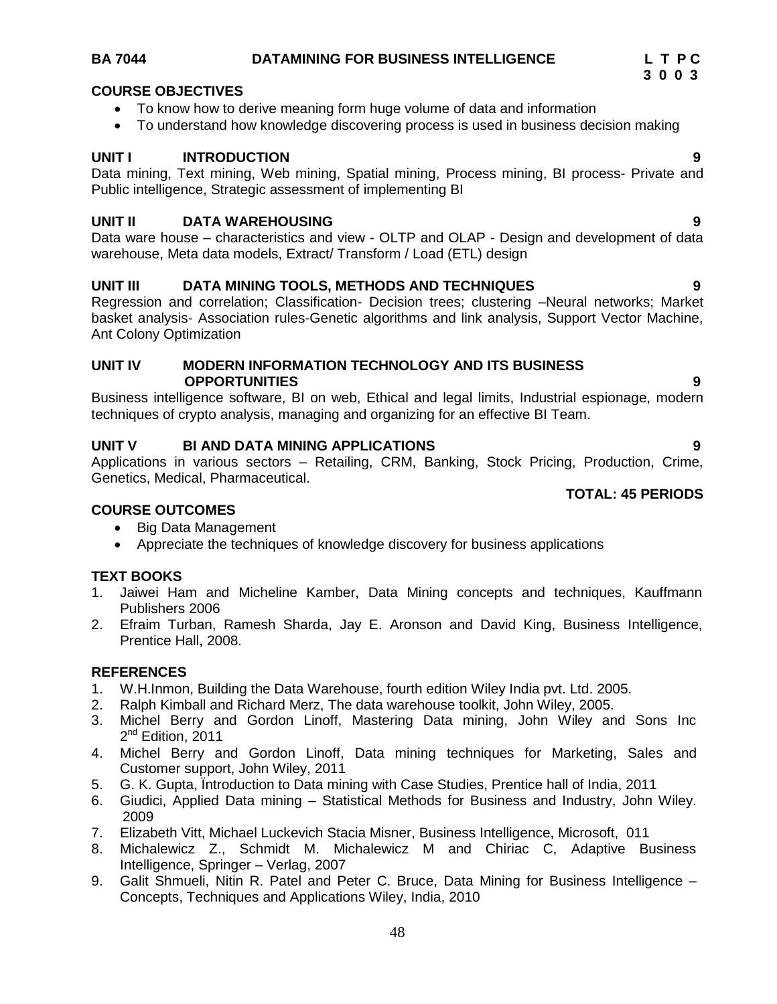### **UNIT III DATA MINING TOOLS, METHODS AND TECHNIQUES 9**

Regression and correlation; Classification- Decision trees; clustering –Neural networks; Market basket analysis- Association rules-Genetic algorithms and link analysis, Support Vector Machine, Ant Colony Optimization

#### **UNIT IV MODERN INFORMATION TECHNOLOGY AND ITS BUSINESS OPPORTUNITIES 9**

Business intelligence software, BI on web, Ethical and legal limits, Industrial espionage, modern techniques of crypto analysis, managing and organizing for an effective BI Team.

#### **UNIT V BI AND DATA MINING APPLICATIONS 9**

Applications in various sectors – Retailing, CRM, Banking, Stock Pricing, Production, Crime, Genetics, Medical, Pharmaceutical.

#### **COURSE OUTCOMES**

- Big Data Management
- Appreciate the techniques of knowledge discovery for business applications

#### **TEXT BOOKS**

- 1. Jaiwei Ham and Micheline Kamber, Data Mining concepts and techniques, Kauffmann Publishers 2006
- 2. Efraim Turban, Ramesh Sharda, Jay E. Aronson and David King, Business Intelligence, Prentice Hall, 2008.

#### **REFERENCES**

- 1. W.H.Inmon, Building the Data Warehouse, fourth edition Wiley India pvt. Ltd. 2005.
- 2. Ralph Kimball and Richard Merz, The data warehouse toolkit, John Wiley, 2005.
- 3. Michel Berry and Gordon Linoff, Mastering Data mining, John Wiley and Sons Inc 2<sup>nd</sup> Edition, 2011
- 4. Michel Berry and Gordon Linoff, Data mining techniques for Marketing, Sales and Customer support, John Wiley, 2011
- 5. G. K. Gupta, Ïntroduction to Data mining with Case Studies, Prentice hall of India, 2011
- 6. Giudici, Applied Data mining Statistical Methods for Business and Industry, John Wiley. 2009
- 7. Elizabeth Vitt, Michael Luckevich Stacia Misner, Business Intelligence, Microsoft, 011
- 8. Michalewicz Z., Schmidt M. Michalewicz M and Chiriac C, Adaptive Business Intelligence, Springer – Verlag, 2007
- 9. Galit Shmueli, Nitin R. Patel and Peter C. Bruce, Data Mining for Business Intelligence Concepts, Techniques and Applications Wiley, India, 2010

### **COURSE OBJECTIVES**

- To know how to derive meaning form huge volume of data and information
- To understand how knowledge discovering process is used in business decision making

### **UNIT I INTRODUCTION 9**

Data mining, Text mining, Web mining, Spatial mining, Process mining, BI process- Private and Public intelligence, Strategic assessment of implementing BI

#### **UNIT II DATA WAREHOUSING 9**

Data ware house – characteristics and view - OLTP and OLAP - Design and development of data warehouse, Meta data models, Extract/ Transform / Load (ETL) design

**TOTAL: 45 PERIODS**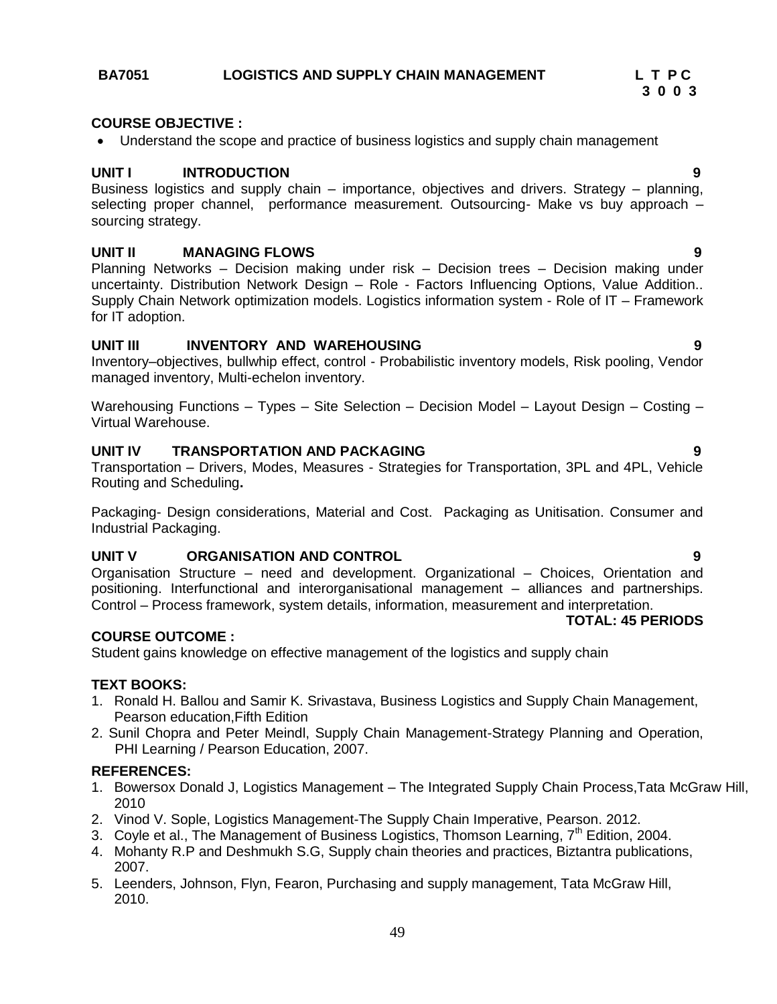### 49

### **BA7051 LOGISTICS AND SUPPLY CHAIN MANAGEMENT L T P C**

#### **COURSE OBJECTIVE :**

Understand the scope and practice of business logistics and supply chain management

#### **UNIT I INTRODUCTION 9**

Business logistics and supply chain – importance, objectives and drivers. Strategy – planning, selecting proper channel, performance measurement. Outsourcing- Make vs buy approach – sourcing strategy.

 **3 0 0 3**

#### **UNIT II MANAGING FLOWS 9**

Planning Networks – Decision making under risk – Decision trees – Decision making under uncertainty. Distribution Network Design – Role - Factors Influencing Options, Value Addition.. Supply Chain Network optimization models. Logistics information system - Role of IT – Framework for IT adoption.

#### **UNIT III INVENTORY AND WAREHOUSING 9**

Inventory–objectives, bullwhip effect, control - Probabilistic inventory models, Risk pooling, Vendor managed inventory, Multi-echelon inventory.

Warehousing Functions – Types – Site Selection – Decision Model – Layout Design – Costing – Virtual Warehouse.

#### **UNIT IV TRANSPORTATION AND PACKAGING 9**

Transportation – Drivers, Modes, Measures - Strategies for Transportation, 3PL and 4PL, Vehicle Routing and Scheduling**.** 

Packaging- Design considerations, Material and Cost. Packaging as Unitisation. Consumer and Industrial Packaging.

#### **UNIT V ORGANISATION AND CONTROL 9**

Organisation Structure – need and development. Organizational – Choices, Orientation and positioning. Interfunctional and interorganisational management – alliances and partnerships. Control – Process framework, system details, information, measurement and interpretation.

#### **COURSE OUTCOME :**

Student gains knowledge on effective management of the logistics and supply chain

#### **TEXT BOOKS:**

- 1. Ronald H. Ballou and Samir K. Srivastava, Business Logistics and Supply Chain Management, Pearson education,Fifth Edition
- 2. Sunil Chopra and Peter Meindl, Supply Chain Management-Strategy Planning and Operation, PHI Learning / Pearson Education, 2007.

#### **REFERENCES:**

- 1. Bowersox Donald J, Logistics Management The Integrated Supply Chain Process,Tata McGraw Hill, 2010
- 2. Vinod V. Sople, Logistics Management-The Supply Chain Imperative, Pearson. 2012.
- 3. Coyle et al., The Management of Business Logistics, Thomson Learning,  $7<sup>th</sup>$  Edition, 2004.
- 4. Mohanty R.P and Deshmukh S.G, Supply chain theories and practices, Biztantra publications, 2007.
- 5. Leenders, Johnson, Flyn, Fearon, Purchasing and supply management, Tata McGraw Hill, 2010.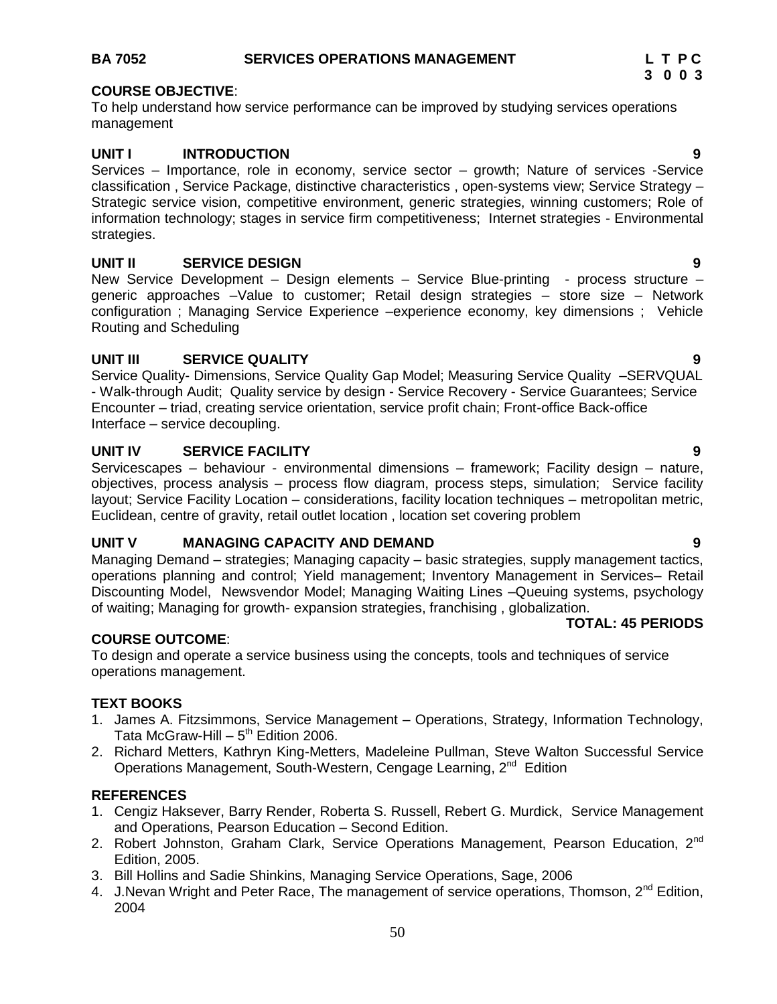### **BA 7052 SERVICES OPERATIONS MANAGEMENT LET PC**

#### **COURSE OBJECTIVE**:

To help understand how service performance can be improved by studying services operations management

#### **UNIT I INTRODUCTION 9**

Services – Importance, role in economy, service sector – growth; Nature of services -Service classification , Service Package, distinctive characteristics , open-systems view; Service Strategy – Strategic service vision, competitive environment, generic strategies, winning customers; Role of information technology; stages in service firm competitiveness; Internet strategies - Environmental strategies.

#### **UNIT II SERVICE DESIGN 9**

New Service Development – Design elements – Service Blue-printing - process structure – generic approaches –Value to customer; Retail design strategies – store size – Network configuration ; Managing Service Experience –experience economy, key dimensions ; Vehicle Routing and Scheduling

#### **UNIT III SERVICE QUALITY 9**

Service Quality- Dimensions, Service Quality Gap Model; Measuring Service Quality –SERVQUAL - Walk-through Audit; Quality service by design - Service Recovery - Service Guarantees; Service Encounter – triad, creating service orientation, service profit chain; Front-office Back-office Interface – service decoupling.

#### **UNIT IV SERVICE FACILITY 9**

Servicescapes – behaviour - environmental dimensions – framework; Facility design – nature, objectives, process analysis – process flow diagram, process steps, simulation; Service facility layout; Service Facility Location – considerations, facility location techniques – metropolitan metric, Euclidean, centre of gravity, retail outlet location , location set covering problem

#### **UNIT V MANAGING CAPACITY AND DEMAND 9**

Managing Demand – strategies; Managing capacity – basic strategies, supply management tactics, operations planning and control; Yield management; Inventory Management in Services– Retail Discounting Model, Newsvendor Model; Managing Waiting Lines –Queuing systems, psychology of waiting; Managing for growth- expansion strategies, franchising , globalization.

#### **COURSE OUTCOME**:

To design and operate a service business using the concepts, tools and techniques of service operations management.

#### **TEXT BOOKS**

- 1. James A. Fitzsimmons, Service Management Operations, Strategy, Information Technology, Tata McGraw-Hill – 5<sup>th</sup> Edition 2006.
- 2. Richard Metters, Kathryn King-Metters, Madeleine Pullman, Steve Walton Successful Service Operations Management, South-Western, Cengage Learning, 2<sup>nd</sup> Edition

#### **REFERENCES**

- 1. Cengiz Haksever, Barry Render, Roberta S. Russell, Rebert G. Murdick, Service Management and Operations, Pearson Education – Second Edition.
- 2. Robert Johnston, Graham Clark, Service Operations Management, Pearson Education, 2<sup>nd</sup> Edition, 2005.
- 3. Bill Hollins and Sadie Shinkins, Managing Service Operations, Sage, 2006
- 4. J. Nevan Wright and Peter Race, The management of service operations, Thomson, 2<sup>nd</sup> Edition, 2004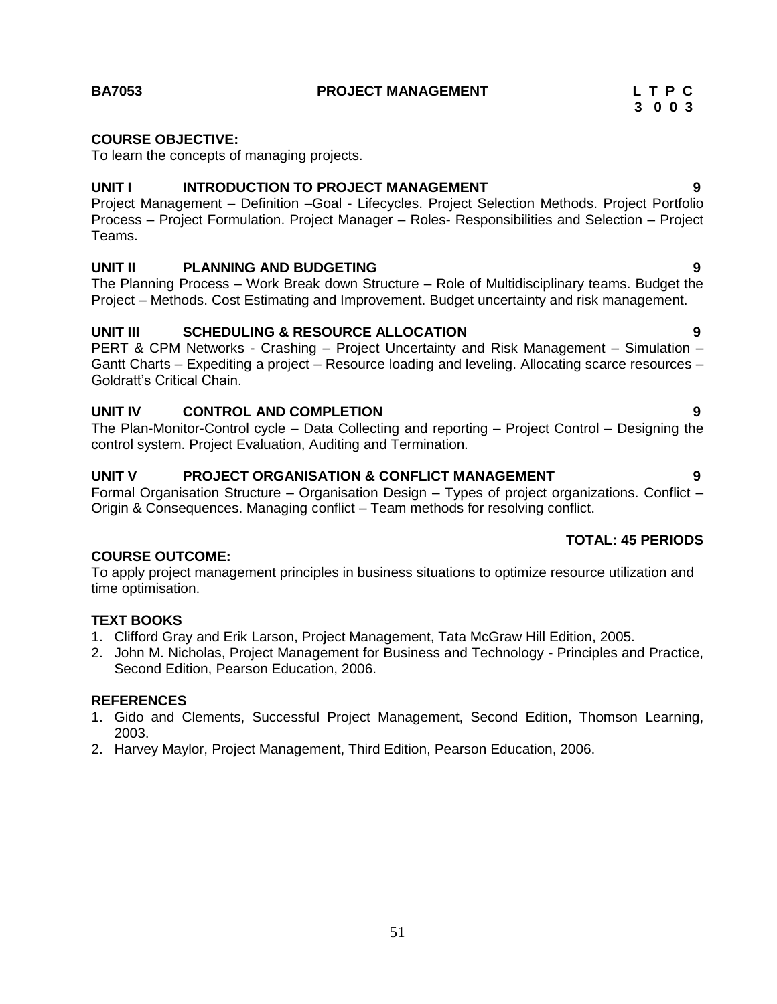**BA7053 PROJECT MANAGEMENT L T P C** 

### **COURSE OBJECTIVE:**

To learn the concepts of managing projects.

#### **UNIT I INTRODUCTION TO PROJECT MANAGEMENT 9**

Project Management – Definition –Goal - Lifecycles. Project Selection Methods. Project Portfolio Process – Project Formulation. Project Manager – Roles- Responsibilities and Selection – Project Teams.

### **UNIT II PLANNING AND BUDGETING 9**

The Planning Process – Work Break down Structure – Role of Multidisciplinary teams. Budget the Project – Methods. Cost Estimating and Improvement. Budget uncertainty and risk management.

### **UNIT III SCHEDULING & RESOURCE ALLOCATION 9**

PERT & CPM Networks - Crashing – Project Uncertainty and Risk Management – Simulation – Gantt Charts – Expediting a project – Resource loading and leveling. Allocating scarce resources – Goldratt"s Critical Chain.

### **UNIT IV CONTROL AND COMPLETION 9**

The Plan-Monitor-Control cycle – Data Collecting and reporting – Project Control – Designing the control system. Project Evaluation, Auditing and Termination.

#### **UNIT V PROJECT ORGANISATION & CONFLICT MANAGEMENT 9**

Formal Organisation Structure – Organisation Design – Types of project organizations. Conflict – Origin & Consequences. Managing conflict – Team methods for resolving conflict.

### **TOTAL: 45 PERIODS**

### **COURSE OUTCOME:**

To apply project management principles in business situations to optimize resource utilization and time optimisation.

### **TEXT BOOKS**

- 1. Clifford Gray and Erik Larson, Project Management, Tata McGraw Hill Edition, 2005.
- 2. John M. Nicholas, Project Management for Business and Technology Principles and Practice, Second Edition, Pearson Education, 2006.

#### **REFERENCES**

- 1. Gido and Clements, Successful Project Management, Second Edition, Thomson Learning, 2003.
- 2. Harvey Maylor, Project Management, Third Edition, Pearson Education, 2006.

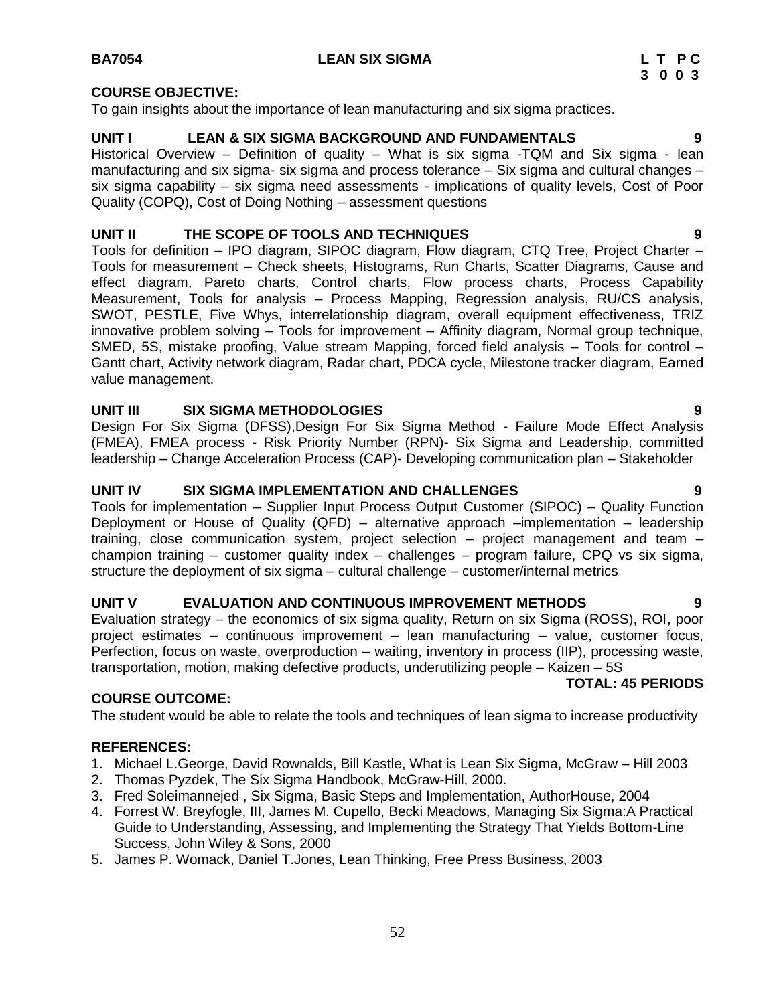#### **COURSE OBJECTIVE:**

To gain insights about the importance of lean manufacturing and six sigma practices.

#### **UNIT I LEAN & SIX SIGMA BACKGROUND AND FUNDAMENTALS 9**

Historical Overview – Definition of quality – What is six sigma -TQM and Six sigma - lean manufacturing and six sigma- six sigma and process tolerance – Six sigma and cultural changes – six sigma capability – six sigma need assessments - implications of quality levels, Cost of Poor Quality (COPQ), Cost of Doing Nothing – assessment questions

### **UNIT II THE SCOPE OF TOOLS AND TECHNIQUES 9**

Tools for definition – IPO diagram, SIPOC diagram, Flow diagram, CTQ Tree, Project Charter – Tools for measurement – Check sheets, Histograms, Run Charts, Scatter Diagrams, Cause and effect diagram, Pareto charts, Control charts, Flow process charts, Process Capability Measurement, Tools for analysis – Process Mapping, Regression analysis, RU/CS analysis, SWOT, PESTLE, Five Whys, interrelationship diagram, overall equipment effectiveness, TRIZ innovative problem solving – Tools for improvement – Affinity diagram, Normal group technique, SMED, 5S, mistake proofing, Value stream Mapping, forced field analysis – Tools for control – Gantt chart, Activity network diagram, Radar chart, PDCA cycle, Milestone tracker diagram, Earned value management.

### **UNIT III SIX SIGMA METHODOLOGIES 9**

Design For Six Sigma (DFSS),Design For Six Sigma Method - Failure Mode Effect Analysis (FMEA), FMEA process - Risk Priority Number (RPN)- Six Sigma and Leadership, committed leadership – Change Acceleration Process (CAP)- Developing communication plan – Stakeholder

### **UNIT IV SIX SIGMA IMPLEMENTATION AND CHALLENGES 9**

Tools for implementation – Supplier Input Process Output Customer (SIPOC) – Quality Function Deployment or House of Quality (QFD) – alternative approach –implementation – leadership training, close communication system, project selection – project management and team – champion training – customer quality index – challenges – program failure, CPQ vs six sigma, structure the deployment of six sigma – cultural challenge – customer/internal metrics

#### **UNIT V EVALUATION AND CONTINUOUS IMPROVEMENT METHODS 9**

Evaluation strategy – the economics of six sigma quality, Return on six Sigma (ROSS), ROI, poor project estimates – continuous improvement – lean manufacturing – value, customer focus, Perfection, focus on waste, overproduction – waiting, inventory in process (IIP), processing waste, transportation, motion, making defective products, underutilizing people – Kaizen – 5S

### **TOTAL: 45 PERIODS**

### **COURSE OUTCOME:**

The student would be able to relate the tools and techniques of lean sigma to increase productivity

#### **REFERENCES:**

- 1. Michael L.George, David Rownalds, Bill Kastle, What is Lean Six Sigma, McGraw Hill 2003
- 2. Thomas Pyzdek, The Six Sigma Handbook, McGraw-Hill, 2000.
- 3. Fred Soleimannejed , Six Sigma, Basic Steps and Implementation, AuthorHouse, 2004
- 4. Forrest W. Breyfogle, III, James M. Cupello, Becki Meadows, Managing Six Sigma:A Practical Guide to Understanding, Assessing, and Implementing the Strategy That Yields Bottom-Line Success, John Wiley & Sons, 2000
- 5. James P. Womack, Daniel T.Jones, Lean Thinking, Free Press Business, 2003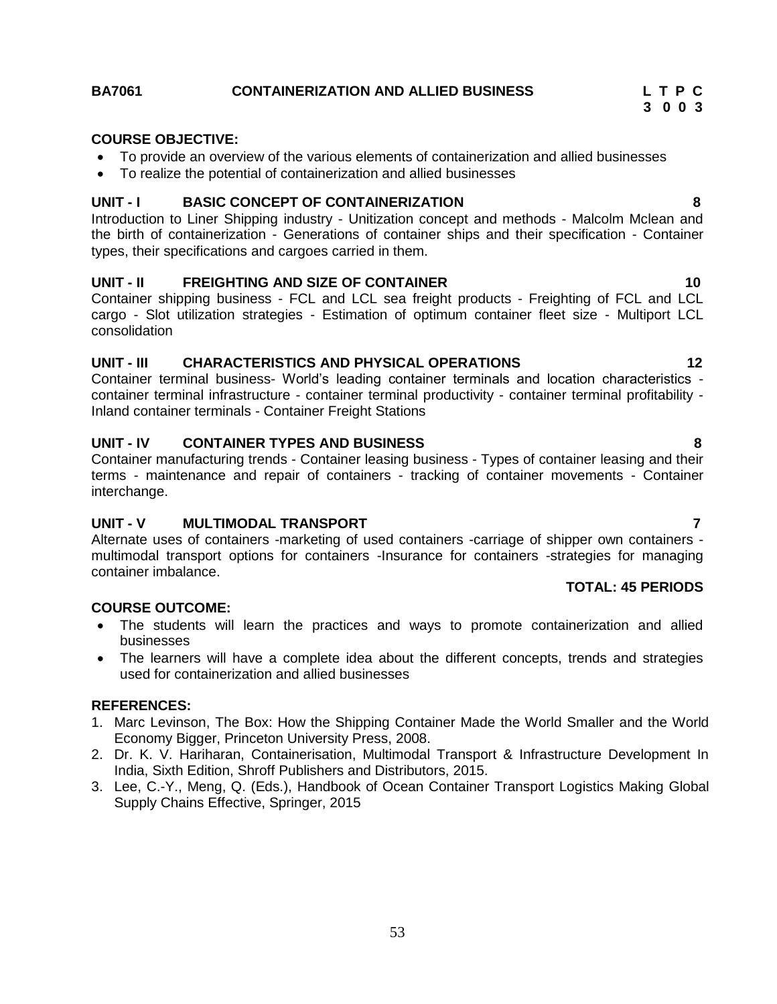### **BA7061 CONTAINERIZATION AND ALLIED BUSINESS L T P C**

### **COURSE OBJECTIVE:**

- To provide an overview of the various elements of containerization and allied businesses
- To realize the potential of containerization and allied businesses

### **UNIT - I BASIC CONCEPT OF CONTAINERIZATION 8**

Introduction to Liner Shipping industry - Unitization concept and methods - Malcolm Mclean and the birth of containerization - Generations of container ships and their specification - Container types, their specifications and cargoes carried in them.

### **UNIT - II FREIGHTING AND SIZE OF CONTAINER 10**

Container shipping business - FCL and LCL sea freight products - Freighting of FCL and LCL cargo - Slot utilization strategies - Estimation of optimum container fleet size - Multiport LCL consolidation

### **UNIT - III CHARACTERISTICS AND PHYSICAL OPERATIONS 12**

Container terminal business- World"s leading container terminals and location characteristics container terminal infrastructure - container terminal productivity - container terminal profitability - Inland container terminals - Container Freight Stations

### **UNIT - IV CONTAINER TYPES AND BUSINESS 8**

Container manufacturing trends - Container leasing business - Types of container leasing and their terms - maintenance and repair of containers - tracking of container movements - Container interchange.

### **UNIT - V MULTIMODAL TRANSPORT 7**

Alternate uses of containers -marketing of used containers -carriage of shipper own containers multimodal transport options for containers -Insurance for containers -strategies for managing container imbalance.

# **TOTAL: 45 PERIODS**

### **COURSE OUTCOME:**

- The students will learn the practices and ways to promote containerization and allied businesses
- The learners will have a complete idea about the different concepts, trends and strategies used for containerization and allied businesses

### **REFERENCES:**

- 1. Marc Levinson, The Box: How the Shipping Container Made the World Smaller and the World Economy Bigger, Princeton University Press, 2008.
- 2. Dr. K. V. Hariharan, Containerisation, Multimodal Transport & Infrastructure Development In India, Sixth Edition, Shroff Publishers and Distributors, 2015.
- 3. Lee, C.-Y., Meng, Q. (Eds.), Handbook of Ocean Container Transport Logistics Making Global Supply Chains Effective, Springer, 2015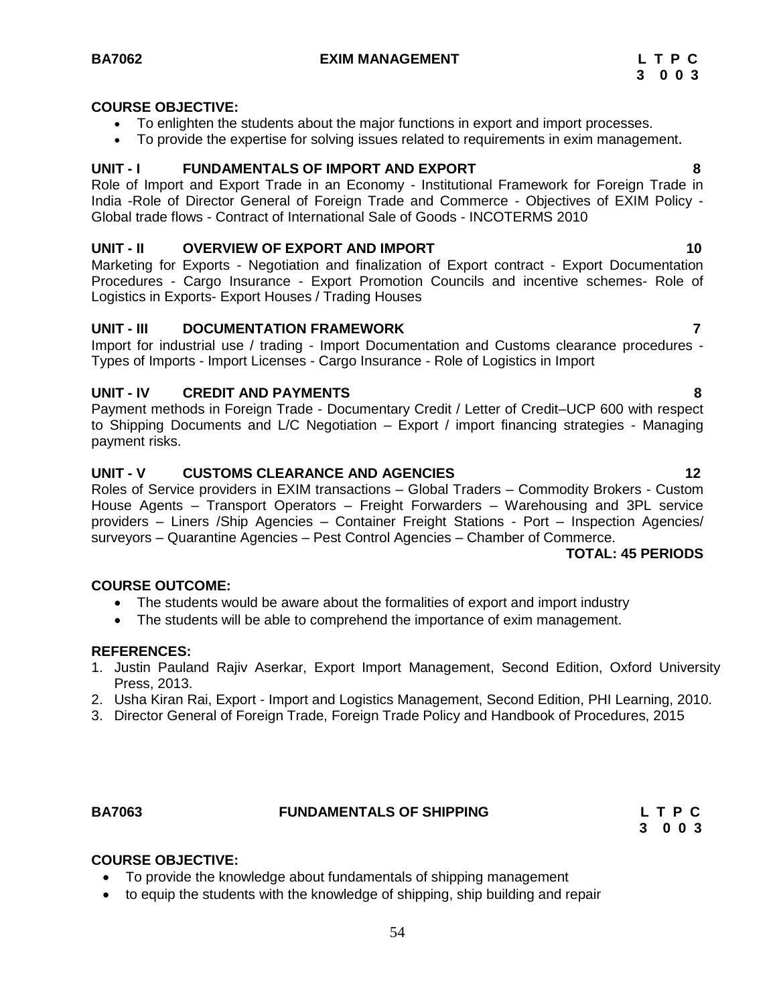#### **COURSE OBJECTIVE:**

- To enlighten the students about the major functions in export and import processes.
- To provide the expertise for solving issues related to requirements in exim management**.**

#### **UNIT - I FUNDAMENTALS OF IMPORT AND EXPORT 8**

Role of Import and Export Trade in an Economy - Institutional Framework for Foreign Trade in India -Role of Director General of Foreign Trade and Commerce - Objectives of EXIM Policy - Global trade flows - Contract of International Sale of Goods - INCOTERMS 2010

#### **UNIT - II OVERVIEW OF EXPORT AND IMPORT 10**

Marketing for Exports - Negotiation and finalization of Export contract - Export Documentation Procedures - Cargo Insurance - Export Promotion Councils and incentive schemes- Role of Logistics in Exports- Export Houses / Trading Houses

#### **UNIT - III DOCUMENTATION FRAMEWORK 7**

Import for industrial use / trading - Import Documentation and Customs clearance procedures - Types of Imports - Import Licenses - Cargo Insurance - Role of Logistics in Import

### **UNIT - IV CREDIT AND PAYMENTS 8**

Payment methods in Foreign Trade - Documentary Credit / Letter of Credit–UCP 600 with respect to Shipping Documents and L/C Negotiation – Export / import financing strategies - Managing payment risks.

#### **UNIT - V CUSTOMS CLEARANCE AND AGENCIES 12**

Roles of Service providers in EXIM transactions – Global Traders – Commodity Brokers - Custom House Agents – Transport Operators – Freight Forwarders – Warehousing and 3PL service providers – Liners /Ship Agencies – Container Freight Stations - Port – Inspection Agencies/ surveyors – Quarantine Agencies – Pest Control Agencies – Chamber of Commerce.

#### **TOTAL: 45 PERIODS**

#### **COURSE OUTCOME:**

- The students would be aware about the formalities of export and import industry
- The students will be able to comprehend the importance of exim management.

#### **REFERENCES:**

- 1. Justin Pauland Rajiv Aserkar, Export Import Management, Second Edition, Oxford University Press, 2013.
- 2. Usha Kiran Rai, Export Import and Logistics Management, Second Edition, PHI Learning, 2010.
- 3. Director General of Foreign Trade, Foreign Trade Policy and Handbook of Procedures, 2015

#### **BA7063 FUNDAMENTALS OF SHIPPING L T P C**

**3 0 0 3**

#### **COURSE OBJECTIVE:**

- To provide the knowledge about fundamentals of shipping management
- to equip the students with the knowledge of shipping, ship building and repair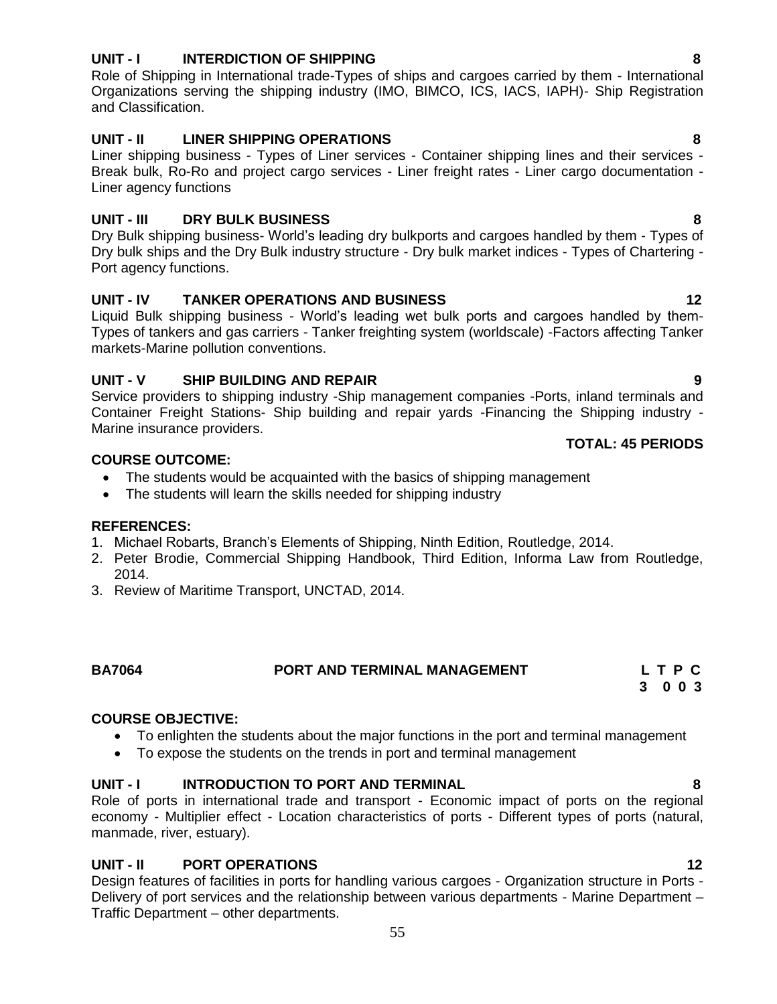### **UNIT - I INTERDICTION OF SHIPPING 8**

Role of Shipping in International trade-Types of ships and cargoes carried by them - International Organizations serving the shipping industry (IMO, BIMCO, ICS, IACS, IAPH)- Ship Registration and Classification.

### **UNIT - II LINER SHIPPING OPERATIONS 8**

Liner shipping business - Types of Liner services - Container shipping lines and their services - Break bulk, Ro-Ro and project cargo services - Liner freight rates - Liner cargo documentation - Liner agency functions

### **UNIT - III DRY BULK BUSINESS 8**

Dry Bulk shipping business- World"s leading dry bulkports and cargoes handled by them - Types of Dry bulk ships and the Dry Bulk industry structure - Dry bulk market indices - Types of Chartering - Port agency functions.

### **UNIT - IV TANKER OPERATIONS AND BUSINESS 12**

Liquid Bulk shipping business - World"s leading wet bulk ports and cargoes handled by them-Types of tankers and gas carriers - Tanker freighting system (worldscale) -Factors affecting Tanker markets-Marine pollution conventions.

### **UNIT - V SHIP BUILDING AND REPAIR 9**

Service providers to shipping industry -Ship management companies -Ports, inland terminals and Container Freight Stations- Ship building and repair yards -Financing the Shipping industry - Marine insurance providers.

#### **COURSE OUTCOME:**

- The students would be acquainted with the basics of shipping management
- The students will learn the skills needed for shipping industry

#### **REFERENCES:**

- 1. Michael Robarts, Branch"s Elements of Shipping, Ninth Edition, Routledge, 2014.
- 2. Peter Brodie, Commercial Shipping Handbook, Third Edition, Informa Law from Routledge, 2014.
- 3. Review of Maritime Transport, UNCTAD, 2014.

### **BA7064 PORT AND TERMINAL MANAGEMENT L T P C**

**3 0 0 3**

### **COURSE OBJECTIVE:**

- To enlighten the students about the major functions in the port and terminal management
- To expose the students on the trends in port and terminal management

#### **UNIT - I INTRODUCTION TO PORT AND TERMINAL 8**

Role of ports in international trade and transport - Economic impact of ports on the regional economy - Multiplier effect - Location characteristics of ports - Different types of ports (natural, manmade, river, estuary).

#### **UNIT - II PORT OPERATIONS 12**

Design features of facilities in ports for handling various cargoes - Organization structure in Ports - Delivery of port services and the relationship between various departments - Marine Department – Traffic Department – other departments.